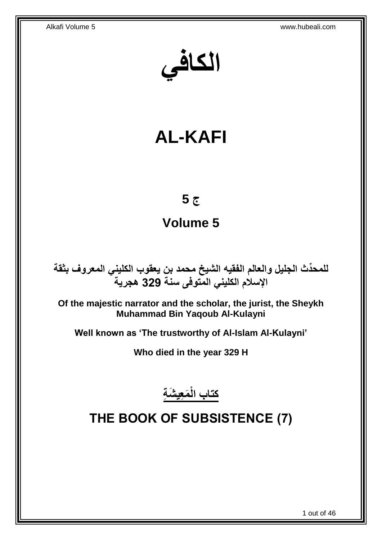**الكافي**

# **AL-KAFI**

# **ج 5**

# **Volume 5**

**دث الجليل والعالم الفقيه الشيخ محمد بن يعقوب الكليني المعروف بثقة للمح ِّ اإلسالم الكليني المتوفى سنة 329 هجرية**

**Of the majestic narrator and the scholar, the jurist, the Sheykh Muhammad Bin Yaqoub Al-Kulayni**

**Well known as 'The trustworthy of Al-Islam Al-Kulayni'**

**Who died in the year 329 H**

**َم ِعي َش ِة كتاب الْ**

# <span id="page-0-0"></span>**THE BOOK OF SUBSISTENCE (7)**

1 out of 46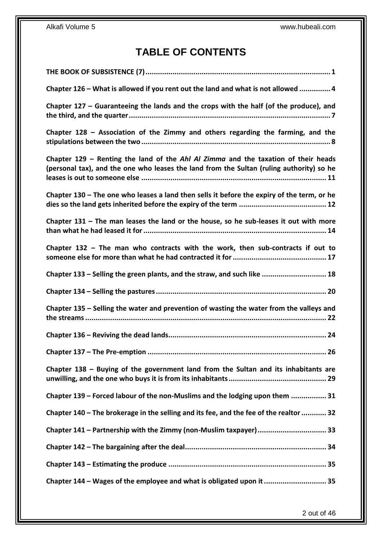# **TABLE OF CONTENTS**

| Chapter 126 - What is allowed if you rent out the land and what is not allowed  4                                                                                              |
|--------------------------------------------------------------------------------------------------------------------------------------------------------------------------------|
| Chapter 127 – Guaranteeing the lands and the crops with the half (of the produce), and                                                                                         |
| Chapter 128 – Association of the Zimmy and others regarding the farming, and the                                                                                               |
| Chapter 129 – Renting the land of the Ahl Al Zimma and the taxation of their heads<br>(personal tax), and the one who leases the land from the Sultan (ruling authority) so he |
| Chapter $130$ – The one who leases a land then sells it before the expiry of the term, or he                                                                                   |
| Chapter $131$ – The man leases the land or the house, so he sub-leases it out with more                                                                                        |
| Chapter $132$ – The man who contracts with the work, then sub-contracts if out to                                                                                              |
| Chapter 133 - Selling the green plants, and the straw, and such like  18                                                                                                       |
|                                                                                                                                                                                |
| Chapter 135 - Selling the water and prevention of wasting the water from the valleys and                                                                                       |
|                                                                                                                                                                                |
|                                                                                                                                                                                |
| Chapter 138 - Buying of the government land from the Sultan and its inhabitants are                                                                                            |
| Chapter 139 - Forced labour of the non-Muslims and the lodging upon them  31                                                                                                   |
| Chapter 140 – The brokerage in the selling and its fee, and the fee of the realtor  32                                                                                         |
| Chapter 141 - Partnership with the Zimmy (non-Muslim taxpayer) 33                                                                                                              |
|                                                                                                                                                                                |
|                                                                                                                                                                                |
| Chapter 144 - Wages of the employee and what is obligated upon it  35                                                                                                          |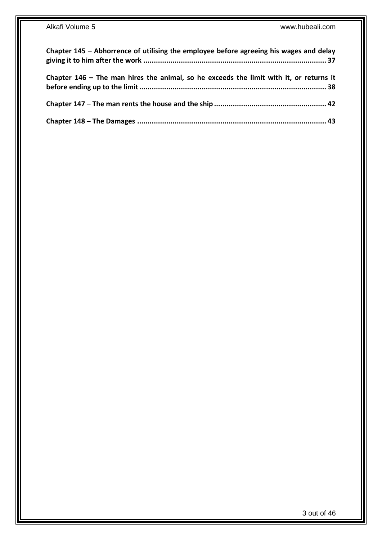| Chapter 145 - Abhorrence of utilising the employee before agreeing his wages and delay |  |
|----------------------------------------------------------------------------------------|--|
| Chapter 146 - The man hires the animal, so he exceeds the limit with it, or returns it |  |
|                                                                                        |  |
|                                                                                        |  |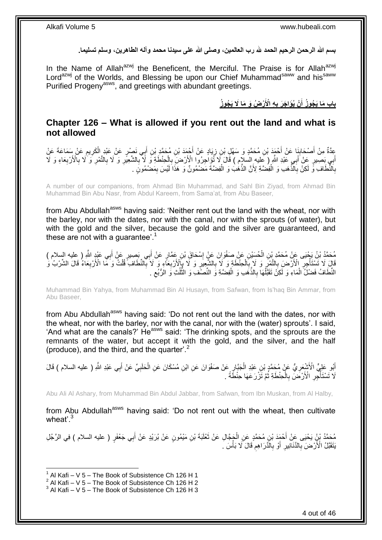**بسم هللا الرحمن الرحيم الحمد هلل رب العالمين، وصلى هللا على سيدنا محمد وآله الطاهرين، وسلم تسليما.**

In the Name of Allah<sup>azwj</sup> the Beneficent, the Merciful. The Praise is for Allah<sup>azwj</sup> Lord<sup>azwj</sup> of the Worlds, and Blessing be upon our Chief Muhammad<sup>saww</sup> and his<sup>saww</sup> Purified Progeny<sup>asws</sup>, and greetings with abundant greetings.

> **ْر ُض َو َما ََل َي ُجو ُز ِه اْْلَ ْن ُيَؤا َج َر ب باب َما َي ُجو ُز أ ِ َ**

## <span id="page-3-0"></span>**Chapter 126 – What is allowed if you rent out the land and what is not allowed**

عِدَّةٌ مِنْ أَصْحَابِنَا عَنْ أَحْمَدَ بْنِ مُحَمَّدٍ وَ سَهْلِ بْنِ زِيَادٍ عَنْ أُجْمَدَ بْنِ مُحَمَّدٍ بْنِ أَبِي نَصْرٍ عَنْ عَبْدِ الْكَرِيمِ عَنْ سَمَاعَةَ عَنْ َ **∣** َ  $\ddot{\phantom{a}}$ ِ ْ َ َ ِ َابِي بَصَبِيرٍ عَنْ أَبِي عَبْدِ اللَّهِ ( عِليه السَلاِم ) قَالَ لَا تُؤِاجِرُوا الْأَرْضَ بِالْحِنْطَةِ وَ لَا بِالشَّعِيَّرِ وَ لَا بِالنَّمْرِ وَ لَا بِالنَّمْرِ وَ لَا بِالنَّمْرِ وَ لَا بِالنَّمْرِ وَ لَا بِالنَّمْر ِ ِ ْ ِ َ َ ِ **∶** ِ ِ بِاَلنَّطَافِ ۚ وَّ لَكِنْ بِاَلَّذَهَبِ وَ الْفِضَّةِ لِأَنَّ الذَّهَٰبُ وَ الْفِضَّةَ مَضْمُونٌ وَ هَذَا لَيْسَ بِمَضْمُونٍ . ِ ْ ْ ِ ِ

A number of our companions, from Ahmad Bin Muhammad, and Sahl Bin Ziyad, from Ahmad Bin Muhammad Bin Abu Nasr, from Abdul Kareem, from Sama'at, from Abu Baseer,

from Abu Abdullah<sup>asws</sup> having said: 'Neither rent out the land with the wheat, nor with the barley, nor with the dates, nor with the canal, nor with the sprouts (of water), but with the gold and the silver, because the gold and the silver are guaranteed, and these are not with a quarantee'.<sup>1</sup>

َ مُحَمَّدُ بْنُ يَجْيَى عَنْ مُحَمَّدِ بْنِ الْحُسِّيْنِ عَنْ صَغْوَانَ عَنٍْ إِسْحَاقَ بْنِ عَمَّارٍ عَنْ أَبِي بِصِبِيرٍ عَنْ أَبِي عَثْدٍ اللَّهِ ( عليه السلام )<br>يُرْجَعَنُ بِنَ عَبِيَّةٍ وَجَمِيعَةٍ عَنِّ الْحُسِّيْنِ ع َ ِ ْ ِ قَالَ لَا تَسْتَأْخِِلّ الْأَرْضَ بِالتَّمْرِ ۚ وَ لَا بِٱلْحِنْطَةِ وَ لَا بِالشَّعِيرِ وَ لَا بِإِلْأَرْبِعَآءِ وَ لَا بِٱلنَّطَافِ فُلْتُ وَ مَا الْأَرْبِعَاءُ قَالَ الشَّرْبُ وَ ِ **∶** ْ **∶** ِ **∶** ِ ة<br>أ ِ ْ ِ ِ النِّطَافُ فَضْلَُ الْمَاءِ وَ لَٰكِنْ تَقَبَّلُهَا بِالذَّهَبِ وَ الْفِضَّةِ وَ النِّصْفِّ وَ النُّلُبُّ وَ الرُّبُعِ ِ ُ ُّ ْ ِ ْ ْ

Muhammad Bin Yahya, from Muhammad Bin Al Husayn, from Safwan, from Is'haq Bin Ammar, from Abu Baseer,

from Abu Abdullah<sup>asws</sup> having said: 'Do not rent out the land with the dates, nor with the wheat, nor with the barley, nor with the canal, nor with the (water) sprouts'. I said, 'And what are the canals?' He<sup>asws</sup> said: 'The drinking spots, and the sprouts are the remnants of the water, but accept it with the gold, and the silver, and the half (produce), and the third, and the quarter<sup>'.2</sup>

أَبُو عَلِيٍّ الْأَشْعَرِ يُّ عَنْ مُحَمَّدٍ بْنِ عَبْدِ الْجَبَّارِ عَنْ صَفْوَانَ عَنِ ابْنِ مُسْكَانَ عَنِ الْحَلَبِيِّ عَنْ أَبِي عَبْدِ اللَّهِ ( عليه السلام ) قَالَ ِ ْ ِ ْ ِ َ لَا تَسْتَأْجِّرِ الْأَرْضَٰ بِالْحِنْطَةِ ثُمَّ تَزْرَعَهَا حِنْطَةً . ُ ْ ِ ِ ا<br>ا

Abu Ali Al Ashary, from Muhammad Bin Abdul Jabbar, from Safwan, from Ibn Muskan, from Al Halby,

from Abu Abdullah<sup>asws</sup> having said: 'Do not rent out with the wheat, then cultivate wheat' $^3$ 

مُحَمَّدُ بْنُ يَحْيَى عَنْ أَحْمَدَ بْنِ مُحَمَّدٍ عَنِ الْجَجَّالِ عَنْ ثَعْلَبَةَ بْنِ مَيْمُونٍ عَنْ بُرَيْدٍ عَنْ أَبِي جَعْفَرٍ ( عليه السلام ) فِي الرَّجُلِ<br>حَصَدَ بْنُ يَحْيَى عَنْ أَحْمَدَ بْنِ مُحَمَّدٍ عَنِ الْج  $\ddot{\phantom{0}}$ ْ َ َ يَتَقَبَّلُ الْأَرْضَ بِالدَّنَانِيرِ ۚ أَوْ بِالْدَّرَاهِمُ قَالَ َلَا بَأْسَ ۚ ِ ْ ِ **∶** َ ِ **∶** 

<sup>1</sup>  $1$  Al Kafi – V 5 – The Book of Subsistence Ch 126 H 1

 $2$  Al Kafi – V 5 – The Book of Subsistence Ch 126 H 2

 $3$  Al Kafi – V 5 – The Book of Subsistence Ch 126 H 3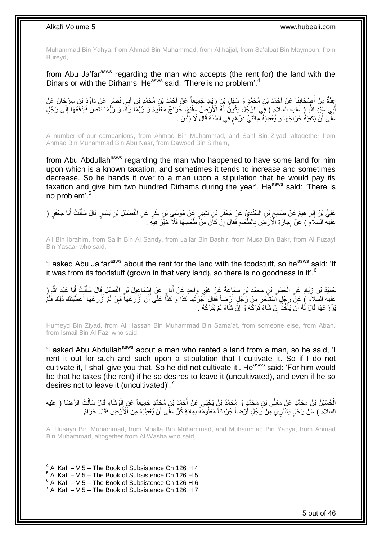Muhammad Bin Yahya, from Ahmad Bin Muhammad, from Al hajjal, from Sa'albat Bin Maymoun, from Bureyd,

from Abu Ja'far<sup>asws</sup> regarding the man who accepts (the rent for) the land with the Dinars or with the Dirhams. He<sup>asws</sup> said: 'There is no problem'.<sup>4</sup>

عِدَّةٌ مِنْ أُصِحْكِلِنَا عَنْ أَحْمَدَ بْنِ مُحَمَّدٍ وَ سَهْلٍ بْنِ زِيَادٍ جَمِيعاً عَنْ أَحْمَدَ بْنِ مُحَكَدٍ بْنِ أَبِي نَصْرٍ عَنْ دَاوُدَ بْنِ سِرْحَانَ عَنْ<br>مَعَلَّذَ مِنْ أُصِحْكِلِنَا عَنْ أَحْمَدَ بْنِ مُحَمَ َ ِ **∣** َ َ أَبِي عَذِّدِ اللَّهِ ( عِليه السلام ) فَمِي الرَّجُلِّ يَكُونُ لَهُ الْأَرْضِلُ عَلَيْهَا خَرَاجٌ مَعْلُومٌ وَ رُبَّمَا زَادَّ وَ رُبَّمَا نَقَصَ فَيَدْفَعُهَا إِلَى رَجُلٍ َ ِ عََلَّى أَنْ يَكْفِيَهُ خَرَاجَهَا وَ يُعْطِيَهُ مِائَتَيْ دِرْ هَم فِي السَّنَةِ قَالَ لَا بَأْسَ . َ ة<br>ا ֧֧֖֧֖֧֖֧֧֧֧֧֧֧֧֧֧֧֧֚֚֚֓֝֝֝֝֝֟֓֝֓֬֝֓֝֬֟֓֟֓֝֬֟֓֟֓֝֬֝֬֝֓֟֓֝֬֜֝֬֝֓֝֬֝֓

A number of our companions, from Ahmad Bin Muhammad, and Sahl Bin Ziyad, altogether from Ahmad Bin Muhammad Bin Abu Nasr, from Dawood Bin Sirham,

from Abu Abdullah<sup>asws</sup> regarding the man who happened to have some land for him upon which is a known taxation, and sometimes it tends to increase and sometimes decrease. So he hands it over to a man upon a stipulation that he would pay its taxation and give him two hundred Dirhams during the year'. He<sup>asws</sup> said: 'There is no problem'.<sup>5</sup>

عَلِيُّ بْنُ إِبْرَاهِيمَ عَنْ صَالِحٍ بْنِ السِّنْدِيِّ عَنْ جَعْفَرِ بْنِ بَشِيرٍ عَنْ مُوسَى بْنِ بَكْرٍ عَنِ الْفُضَيْلِ بْنِ يَسَارٍ قَالَ سَأَلْتُ أَبَا جَعْفَرٍ ( ْ ِ ِ ِ َ ْ ĺ عليه السلَام ) عَنْ إِجَارَةِ الْأَرْضِ بِالطَّعَامِ فَقَالَ إِنَّ كَانَ مِنْ طَعَامِهَا فَلَا خَيْرَ فِيَهِ . ِ ِ ِ ¦<br>∶

Ali Bin Ibrahim, from Salih Bin Al Sandy, from Ja'far Bin Bashir, from Musa Bin Bakr, from Al Fuzayl Bin Yasaar who said,

'I asked Abu Ja'far<sup>asws</sup> about the rent for the land with the foodstuff, so he<sup>asws</sup> said: 'If it was from its foodstuff (grown in that very land), so there is no goodness in it'.<sup>6</sup>

ْ حُمَّيْدُ بْنُ زِيَادٍ عَنِ الْحَسَنِ بْنِ مُحَمَّدٍ بْنِ سَمَاعَةَ عَنْ غَيْرٍ وَاحِدٍ عَنْ أَبَانٍ عَنْ إِسْمَاعِيلَ بْنِ الْفَضْلِ قَالَ سَأَلْتُ أَبَا عَيْدِ الثَّهِ ( ِ َ ِ ْ ِ َ ْ ĺ عليه السلاَم ) عَنْ رَجُلٍ اَسْتَأَجَرَ مِنْ رَجُلٍ أَرْضاً فَقَالَ أَجْرَتُهَا كَذَا وَ كَذَاً عَلَى أَنْ أَرْرَعَهَا فَإِنْ لَمْ أَرْرَعْهَا أَعْطَيْتُكَ ذَلِكَ فَلَمْ َ َ ِ َ َ ا<br>ا اُ ا<br>ا َبْزْرَ عْهَا قَالُ لَهُ أَنْ يَأْخُذَ إِنْ شَاءَ تَرَكَهُ وَ إِنَّ شَاءَ لَمْ يَتْرُكُهُ . ِ יֲ<br>י ا<br>ا َ

Humeyd Bin Ziyad, from Al Hassan Bin Muhammad Bin Sama'at, from someone else, from Aban, from Ismail Bin Al Fazl who said,

'I asked Abu Abdullah<sup>asws</sup> about a man who rented a land from a man, so he said, 'I rent it out for such and such upon a stipulation that I cultivate it. So if I do not cultivate it, I shall give you that. So he did not cultivate it'. He<sup>asws</sup> said: 'For him would be that he takes (the rent) if he so desires to leave it (uncultivated), and even if he so desires not to leave it (uncultivated)'.<sup>7</sup>

الْحُسَيْنُ بْنُ مُحَمَّدٍ عَنْ مُعَلَّى بْنِ مُحَمَّدٍ وَ مُحَمَّدُ بْنُ يَحْيَى عَنْ أَحْمَدَ بْنِ مُحَمَّدٍ جَمِيعاً عَنِ الْوَشَاءِ قَالَ سَأَلْتُ الرِّضَا ( عليه ْ ĺ ْ السلام ) عَنْ رَجُلٍ يَشْتَرِي مِنْ رَجُلٍ أَرْضَاً جُرْبَاناً مَعْلُومَةً بِمِآئَةٍ كُرٍّ عَلَى أَنْ يُعْطِيَهُ مِنَ الْأَرْضِ فَقَالَ حَرَامٌ ِ َ اُ

Al Husayn Bin Muhammad, from Moalla Bin Muhammad, and Muhammad Bin Yahya, from Ahmad Bin Muhammad, altogether from Al Washa who said,

- $<sup>5</sup>$  Al Kafi V 5 The Book of Subsistence Ch 126 H 5</sup>
- $6$  Al Kafi V 5 The Book of Subsistence Ch 126 H 6
- $^7$  Al Kafi V 5 The Book of Subsistence Ch 126 H 7

 $4$  Al Kafi – V 5 – The Book of Subsistence Ch 126 H 4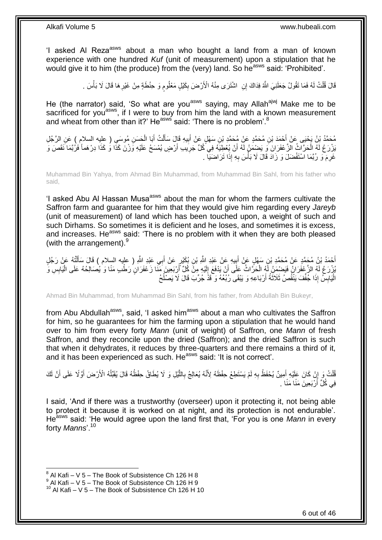'I asked AI Reza<sup>asws</sup> about a man who bought a land from a man of known experience with one hundred *Kuf* (unit of measurement) upon a stipulation that he would give it to him (the produce) from the (very) land. So he<sup>asws</sup> said: 'Prohibited'.

> قَالَ قُلْتُ لَمُ فَمَا تَقُولُ جَعَلَنِيَ اللَّهُ فِدَاكَ إِنِ ۖ اشْتَرَى مِنْهُ الْأَرْضَ بِكَيْلٍ مَعْلُومٍ وَ حِنْطَةٍ مِنْ غَيْرِهَا قَالَ لَا بَأْسَ . ْ ْ ِ ٍ ِ

He (the narrator) said, 'So what are you<sup>asws</sup> saying, may Allah<sup>ajwj</sup> Make me to be sacrificed for you<sup>asws</sup>, if I were to buy from him the land with a known measurement and wheat from other than it?' He<sup>asws</sup> said: 'There is no problem'.<sup>8</sup>

مُحَمَّدُ بْنُ يَحْيَى عَنْ أَحْمَدَ بْنِ مُحَمَّدٍ عَنْ مُحَمَّدٍ بْنِ سَهْلٍ عَنْ أَبِيهِ قَالَ سَأَلْتُ أَبَا الْحَسَنِ مُوسَىِ ( عليه السلام ) عَنِ الرَّجُلِ<br>مُحَمَّدُ بْنُ يَحْيَى مِنْ مَجْمَعَتِهِ مَعْدَ مِنْ مَجْمَع ْ َ ْ َ **!** َ َ َبْرْرَعُ لَهُ الْحَرَّاثُ الزَّعْفَرَانَ وَ يَضْمَنُ لَهُ أَنْ يُعْطِيَهُ فِي كُلِّ جَرِيبِ أَرْضٍ يُمْسَحُ عَلَيْهِ وَرْنَ كَذَا وَ كَذَا دِرْهَماً فَرُبَّمَا نَقَصَ وَ ْ َ ِ غَرِمَ ۖ وَ رُبَّمَا اسْتَفْضَلَ وَ زَادَ قَالَ لَا بَأْسَ بِهِ إِذَا تَرَاضَيَا ۚ ـ **∶ ٔ** 

Muhammad Bin Yahya, from Ahmad Bin Muhammad, from Muhammad Bin Sahl, from his father who said,

'I asked Abu AI Hassan Musa<sup>asws</sup> about the man for whom the farmers cultivate the Saffron farm and guarantee for him that they would give him regarding every *Jareyb* (unit of measurement) of land which has been touched upon, a weight of such and such Dirhams. So sometimes it is deficient and he loses, and sometimes it is excess, and increases. He<sup>asws</sup> said: 'There is no problem with it when they are both pleased (with the arrangement).<sup>9</sup>

أَحْمَدُ بْنُ مُحَمَّدٍ عَنْ مُحَمَّدِ بْنِ سَهْلٍ عَنْ أَبِيهِ عَنْ عَبْدِ اللَّهِ بْنِ بُكَيْرٍ عَنْ أَبِي عَبْدِ اللَّهِ ( عليه السلام ) قَالَ سَأَلْتُهُ عَنْ رَجُلٍ َ ِ َ ْ َ يُوْرَعُ لَمُ الزَّعْفَرَانُ فَيَضْمِنُ لَّهُ الْحَرَّاثُ عَلَى أَنْ يَدْفَعَ إِلَيْهِ مِنْ كُلِّ أَرْبَعِينَ مَنَّا زَعْفَرَانٍ رَطْبِ مَنَّا وَ يُصَالِحُهُ عَلَى الْيَابِسِ وَ لَ  $\frac{1}{2}$ اُ ْ ْ َ الْيَابِسُ إِذَا جُفِّفَ يَنْقُصُ ثَلَاثَةُ أَرْبَاعِهِ وَ يَبْقَى رُبُعُهُ وَكَّذُ جُرِّبَ قَالَ لَا يَصْلُحُ ا<br>ا َ  $\ddot{\phantom{0}}$ **ِ** ْ

Ahmad Bin Muhammad, from Muhammad Bin Sahl, from his father, from Abdullah Bin Bukeyr,

from Abu Abdullah<sup>asws</sup>, said, 'I asked him<sup>asws</sup> about a man who cultivates the Saffron for him, so he guarantees for him the farming upon a stipulation that he would hand over to him from every forty *Mann* (unit of weight) of Saffron, one *Mann* of fresh Saffron, and they reconcile upon the dried (Saffron); and the dried Saffron is such that when it dehydrates, it reduces by three-quarters and there remains a third of it, and it has been experienced as such. He<sup>asws</sup> said: 'It is not correct'.

ُفْلَتُ وَ إِنْ كَانَ عَلَيْهِ أَمِينٌ يُحْفَظُ بِهِ لَمْ يَسْتَطِعْ حِفْظَهُ لِأَنَّهُ يُعَالِجُ بِاللَّيْلِ وَ لَا يُطَاقُ حِفْظُهُ قَالَ يُقَبِّلُهُ الْأَرْضَ أَوَّلًا عَلَى أَنَّ لَكَ َّ ِ **∶** َ ؚ ْ َ َ  $\overline{a}$ فِي كُلِّ أَرْبَعِينَ مَنَّا مَنًا <sub>.</sub> َ

I said, 'And if there was a trustworthy (overseer) upon it protecting it, not being able to protect it because it is worked on at night, and its protection is not endurable'. He<sup>asws</sup> said: 'He would agree upon the land first that, 'For you is one Mann in every forty *Manns*'.<sup>10</sup>

 $^8$  Al Kafi – V 5 – The Book of Subsistence Ch 126 H 8

 $^9$  Al Kafi – V 5 – The Book of Subsistence Ch 126 H 9

 $10$  Al Kafi – V 5 – The Book of Subsistence Ch 126 H 10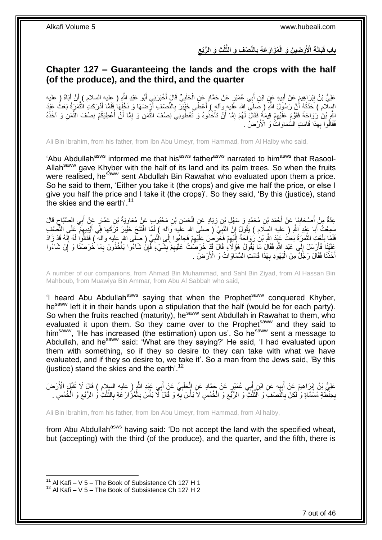**ِ** باب قَبَالَةِ الْأَرَضِينَ وَ الْمُزَارَعَةِ بِالنَّصْفِ وَ الثَّلُثِ وَ الرُّبُع **ِ**

# <span id="page-6-0"></span>**Chapter 127 – Guaranteeing the lands and the crops with the half (of the produce), and the third, and the quarter**

عَلِيُّ بْنُ إِبْرَاهِيمَ عَنْ أَبِيهِ عَنِ ابْنِ أَبِي عُمَيْرٍ عَنْ حَمَّادٍ عَنِ الْحَلَبِيِّ قَالَ أَخْبَرَنِي أَبُو عَبْدِ اللَّهِ ( عِليه السلام ) أَنَّ أَبَاهُ ( عليه َ ِ َ ِ َ َ َ َ **∶** ْ السِّلَام ) حَدَّثَهُ أَنَّ رَسُولَ اللَّهِ ( صَلَى الله عَليه وآلم ) أَعْطَى خَبْيَرَ بِالنِّصْفِ أَرْضَهَا وَ نَخْلَهَا فَقَمَّا أَدْرَكَتِ الْثُمَرِةُ بَعَثُ عَبْدَ َ **∶** َ َ ٔ, َّ اللَّهِ بْنَ ٰ زَوَاحَةَ فَقَوَّمَ عَلَّيْهِمْ قِيمَةً فَقَالَ لَهُمْ إِمَّا أَنّْ تَأْخُذُوهُ وَ تُعْطُونَي نِصْفَ الثَّمَنِ وَ إِمَّا أَنْ أُعْطِيَكُمْ نِصْفَ الثَّمَنِ وَ آخُذَهُ َّ ْ اُ ِ ِ َّ المية المصرية المصرية المصرية المصرية المصرية المصرية المصرية المصرية المصرية المصرية المصرية المصرية المصرية<br>المصرية َ ِ فَقَالُوا بِهَذَا ۖ قَامَتِ الْسُّمَاوَاتُۢ وَ الْأَرْضُ . **∶** 

Ali Bin Ibrahim, from his father, from Ibn Abu Umeyr, from Hammad, from Al Halby who said,

'Abu Abdullah<sup>asws</sup> informed me that his<sup>asws</sup> father<sup>asws</sup> narrated to him<sup>asws</sup> that Rasool-Allah<sup>saww</sup> gave Khyber with the half of its land and its palm trees. So when the fruits were realised, he<sup>saww</sup> sent Abdullah Bin Rawahat who evaluated upon them a price. So he said to them, 'Either you take it (the crops) and give me half the price, or else I give you half the price and I take it (the crops)'. So they said, 'By this (justice), stand the skies and the earth'.<sup>11</sup>

عِدَّةٌ مِنْ أَصْحَابِنَا عَنْ أَحْمَدَ بْنِ مُحَمَّدٍ وَ سَهْلِ بْنِ زِيَادٍ عَنِ الْحَسَنِ بْنِ مَحْبُوبٍ عَنْ مُعَاوِيَةَ بْنِ عَمَّارٍ عَنْ أَبِي الصَّبَّاحِ قَالَ ِ ْ ِ َ **∣** ِ َ سَمِعْتُ أَبَا عَبْدِ اللَّهِ ( عليه السِلَام ) يَقُولُ إِنَّ النَّبِيَّ ( صلب الله عليه وآله ) لَمَّا افْتَتَحَ خَيْبَرَ تَرَكَهَا فِي أَيْدِيهِمْ عَلَى النِّصْف ِ َ ِ ֝׀֛<br>֧֪֧֘ فَلَمَّا بَلَغَتِ الثَّمَرَةُ بَعَثَ عَبْدَ اللَّهِ بْنَ رَوَاحَةَ إِلَيْهِمْ فَخَرَصُ عَلَيْهِمْ فَجَاءُوا إِلَى الْنَبِيِّ ( صلى الله عليه وآلم ً) فَقَالُوا لَهُ إِنَّهُ قَدْ زَادَ ِ ِ ِ ِ لَ  $\frac{1}{2}$ َّ ِ عَلَيْنَا فَأَرْسَلَ إِلَى عَبْدِ اللّهِ فَقَالَ مَا يَقُولُ هَؤُلَاءِ قَالَ قَدْ خَرَصَٰتُ عَلَيْهِمْ بِشَيْءٍ فَإِنْ شَاءُوا يَأْخُذُونَ بِمَا خَرَصْنَا وَ إِنْ شَاءُوا ِ ِ  $\frac{1}{2}$ َ ِ ِ ْ ِ ِ أَخَذْنَا فَقَالَ رَجُلٌ مِنَ الْيَهُودِ بِهَذَا قَامَتِ السَّمَاوَاتُ وَ الْأَرْضُ . :<br>ا **ٔ** َ

A number of our companions, from Ahmad Bin Muhammad, and Sahl Bin Ziyad, from Al Hassan Bin Mahboub, from Muawiya Bin Ammar, from Abu Al Sabbah who said,

'I heard Abu Abdullah<sup>asws</sup> saying that when the Prophet<sup>saww</sup> conquered Khyber, he<sup>saww</sup> left it in their hands upon a stipulation that the half (would be for each party). So when the fruits reached (maturity), he<sup>saww</sup> sent Abdullah in Rawahat to them, who evaluated it upon them. So they came over to the Prophet<sup>saww</sup> and they said to him<sup>saww</sup>, 'He has increased (the estimation) upon us'. So he<sup>saww</sup> sent a message to Abdullah, and he<sup>saww</sup> said: 'What are they saying?' He said, 'I had evaluated upon them with something, so if they so desire to they can take with what we have evaluated, and if they so desire to, we take it'. So a man from the Jews said, 'By this (justice) stand the skies and the earth'. $12$ 

عَلِيُّ بْنُ إِبْرَاهِيمَ عَنْ أَبِيهِ عَنِ ابْنِ أَبِي عُمَيْرٍ عَنْ حَمَّادٍ عَنِ الْحَلَبِيِّ عَنْ أَبِي عَبْدِ اللَّهِ ( عليه السلام ) قَالَ لَا تُقَبِّلِ الْأَرْضَ َ **∶** ْ َ  $\frac{1}{2}$ َ יִין<br>∶ بِحِنْطَةٍ مُسَمَّاةٍ وَ لَكِنْ بِالنَّصْفِ وَ النَّلْكُ ۖ وَ الرُّبُعِ وَ الْخُمُسِ لَا بَأْسَ بِهِ وَ قَالَ لَا بَأْسَ بِالْمُزَارَعَةِ بِالثَّلُثِ وَ الرُّبُعِ وَ الْخُمُسِ . ْ ِ ِ **ٔ** ِ ا<br>ا ُ<br>ُ ِ ِ ِ ُ ُّ ِ

Ali Bin Ibrahim, from his father, from Ibn Abu Umeyr, from Hammad, from Al halby,

from Abu Abdullah<sup>asws</sup> having said: 'Do not accept the land with the specified wheat, but (accepting) with the third (of the produce), and the quarter, and the fifth, there is

 $11$  Al Kafi – V 5 – The Book of Subsistence Ch 127 H 1

 $12$  Al Kafi – V 5 – The Book of Subsistence Ch 127 H 2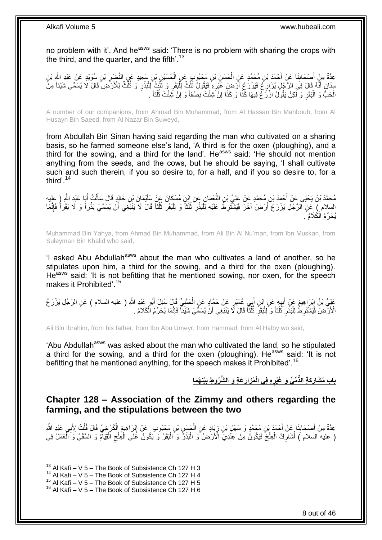no problem with it'. And he<sup>asws</sup> said: 'There is no problem with sharing the crops with the third, and the quarter, and the fifth'.<sup>13</sup>

عِدَّةٌ مِنْ أَصِحَابِنَا عَنْ أَحْمَدَ بْنِ مُحَمَّدٍ عَنِ الْحَسَنِ بْنِ مَحْبُوبٍ عَنِ الْحُسَيْنِ بْنِ سَعِيدٍ عَنِ النَّضْرِ بْنِ سُوَيْدٍ عَنْ عَبْدِ الثَّهِ بْنِ ْ ْ َ ِ َ ِ ا<br>ا سِنَانٍ أَنَّهُ قَالَ فِي الرَّجُلِ يُزَارِغُ فَيَزْرَعُ أَرْضِ غَيْرِهِ فَيَقُولُ ثُلُثٌ لِلَّبَقَرِ وَ ثُلُثٌ لِلْبُذْرِ وَ ثُلُثٌ لِلْأَرْضِ ۖ قَالَ لَا يُسَمِّي شَيْئاً مِنَّ ُ ِ َ ِ َ ُ ِ **ٔ** ْ ُ ِ ْ الْحَبِّّ وَ الْبَقَرِ وَ لَكِنْ يَقُولُ ازْرَحْ فِيهَا كَذَا وَ كَذَا إِنْ َشِئْتَ نِصْفاً وَ إِنْ شَئْتَ ثُلُثاً . ا<br>ا ُ ِ ِ **∶** ا.<br>ا ْ

A number of our companions, from Ahmad Bin Muhammad, from Al Hassan Bin Mahboub, from Al Husayn Bin Saeed, from Al Nazar Bin Suweyd,

from Abdullah Bin Sinan having said regarding the man who cultivated on a sharing basis, so he farmed someone else's land, 'A third is for the oxen (ploughing), and a third for the sowing, and a third for the land'. He<sup>asws</sup> said: 'He should not mention anything from the seeds, and the cows, but he should be saying, 'I shall cultivate such and such therein, if you so desire to, for a half, and if you so desire to, for a third'.<sup>14</sup>

مُحَمَّدُ بْنُ يَحْيَى عَنْ أَحْمَدَ بْنِ مُحَمَّدٍ عَنْ عَلِيِّ بْنِ النُّعْمَانِ عَنِ إِبْنِ مُسْكَانَ عَنْ سُلَيْمَانَ بْنِ خَالِدٍ قَالَ سَأَلْتُ أَبَا عَبْدِ اللَّهِ ( عِليه<br>مُحَمَّدُ بْنُ يَحْيَى عَنْ أَحْمَدَ بْنِ م َ ْ َ ِ السلام ۭ عَنِ الرَّجُلِ يَزْرَ عُ َأَرْضَ لَخَرَ فَيَشْتَرِطُ عَلَيْهِ لِلْبَذْرِ ۚ ثُلُثاً وَ لِلْبَقَرِ ثُلُثاً قَالَ لَا يَنْبَغِي أَنْ يُسَمِّيَ بَذْرٍ أَ وَ لَا بَقَراً فَإِنَّمَا **ٔ** :<br>ا ِ َ  $\frac{1}{2}$ **ٔ** َ ُ ُ ِ :<br>ا ُ ُ يُحَرِّمُ الْكَلَامُ َ ْ

Muhammad Bin Yahya, from Ahmad Bin Muhammad, from Ali Bin Al Nu'man, from Ibn Muskan, from Suleyman Bin Khalid who said,

'I asked Abu Abdullah<sup>asws</sup> about the man who cultivates a land of another, so he stipulates upon him, a third for the sowing, and a third for the oxen (ploughing). He<sup>asws</sup> said: 'It is not befitting that he mentioned sowing, nor oxen, for the speech makes it Prohibited'.<sup>15</sup>

عَلِيُّ بْنُ إِبْرَاهِيمَ عَنْ أَبِيهٍ عَنِ إِبْنِ أَبِي عُمَيْرٍ عَنْ حَمَّادٍ عَنِ الْحَلَبِيِّ قَالَ سُئِلَ أَبُو عَبْدِ اللَّهِ ( عليه السلام ) عَنِ الرَّجُلِ يَزْرَعُ َ ِ ْ **ِ** َ َ الْأَزَّمَٰنَ فَيَشْتَرِطُ لِلْبَذْرِ ثُلُثاً وَ لِلْبَقَرِ ثُلُثاً قَالَ لَا يَنْبَعِي أَنْ يُسَمِّيَ شَيْئاً فَإِنَّمَا يُحَرِّمُ الْكَلَامُ . ُ ا<br>ا **∶** ا.<br>ا ا<br>ا ُ ِ ْ ْ ِ ْ ∣اٍ

Ali Bin Ibrahim, from his father, from Ibn Abu Umeyr, from Hammad, from Al Halby wo said,

'Abu Abdullah<sup>asws</sup> was asked about the man who cultivated the land, so he stipulated a third for the sowing, and a third for the oxen (ploughing). He<sup>asws</sup> said: 'It is not befitting that he mentioned anything, for the speech makes it Prohibited'.<sup>16</sup>

> باب مُشَارَكَةِ الذَّمِّىِّ وَ غَيْرِهِ فِى الْمُزَارَعَةِ وَ الشَّرُوطِ بَيْنَهُمَا **ِ**

### <span id="page-7-0"></span>**Chapter 128 – Association of the Zimmy and others regarding the farming, and the stipulations between the two**

عِدَّةٌ مِنْ أَصْحَابِنَا عِنْ أَحْمَدَ بْنِ مُحَمَّدٍ وَ سَهْلٍ بْنِ زِيَبِادٍ عَنِ الْجَسَنِ بْنِ مَحْبُوبِ عَنْ اِبْرَاهِيمَ الْكَرْخِيِّ قَالَ قُلْتُ لِأَبِي عَبْدِ اللَّهِ ِ ْ ِ َ ِ َ ْ ْ ْلُّ عليه السلام ) أَشَارِكُ الْعِلْجَ فَيَكُونُ مِّنْ عِنْدِيَ الْأَرْضُ ۖ وَالْبَذْرُ وَ الْبَقَرُ وَ يَكُونُ عَلَى الْعِلْجِ الْقِيَامُ وَ السَّقْيُ وَ الْعَمَلُ فِي ِ ْ ْ **ٔ** ْ ْ ْ ِ ْ

 $13$  Al Kafi – V 5 – The Book of Subsistence Ch 127 H 3

 $14$  Al Kafi – V 5 – The Book of Subsistence Ch 127 H 4

<sup>&</sup>lt;sup>15</sup> Al Kafi – V  $5 -$  The Book of Subsistence Ch 127 H 5

 $16$  Al Kafi – V 5 – The Book of Subsistence Ch 127 H 6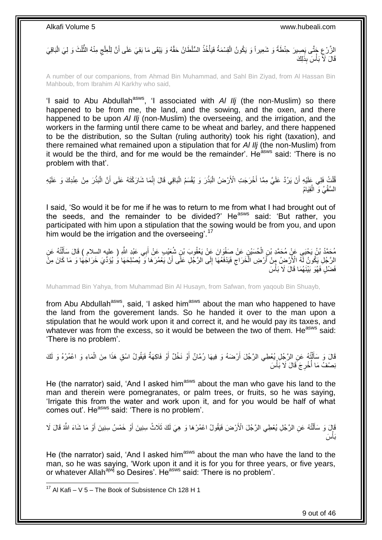الزَّرْعِ جَتَّى بَصِيرَ حِنْطَةً وَ شَعِيراً وَ يَكُونُ الْقِسْمَةُ فَيَأْخُذُ السُّلْطَانُ حَقَّهُ وَ يَبْقَى مَا بَقِيَ عَلَى أَنَّ لِلْعِلْجِ مِنْهُ الثَّلُثَ وَ لِيَ الْبَاقِيَ ْ ْ ِ ْ ُّ ِ ْ اُ قَالَ لَآَ بَأْسَ بِذَلِكَ ؚ<br>֦֧֦֦֧֡֩֟֓֟֘<u>֛</u>

A number of our companions, from Ahmad Bin Muhammad, and Sahl Bin Ziyad, from Al Hassan Bin Mahboub, from Ibrahim Al Karkhy who said,

'I said to Abu Abdullah<sup>asws</sup>, 'I associated with *AI IIj* (the non-Muslim) so there happened to be from me, the land, and the sowing, and the oxen, and there happened to be upon *Al Ilj* (non-Muslim) the overseeing, and the irrigation, and the workers in the farming until there came to be wheat and barley, and there happened to be the distribution, so the Sultan (ruling authority) took his right (taxation), and there remained what remained upon a stipulation that for *Al Ilj* (the non-Muslim) from it would be the third, and for me would be the remainder'. He<sup>asws</sup> said: 'There is no problem with that'.

ُفْلَتُ فَلِي عَلَيْهِ أَنْ يَرُدَّ عَلَيَّ مِمَّا أَخْرَجَتِ الْأَرْضُ الْبَذْرَ وَ يُقْسَمُ الْبَاقِي قَالَ إِنَّمَا شَارَكْتَهُ عَلَى أَنَّ الْبَذْرَ مِنْ عِنْدِكَ وَ عَلَيْهِ ِ ْ **ٔ** ْ اً ْ **ٔ** ْ َ السَّقْيُ وَ الْقِيَامُ ْ

I said, 'So would it be for me if he was to return to me from what I had brought out of the seeds, and the remainder to be divided?' He<sup>asws</sup> said: 'But rather, you participated with him upon a stipulation that the sowing would be from you, and upon him would be the irrigation and the overseeing<sup>'.17</sup>

مُحَمَّدُ بْنُ يَحْيَى عَنْ مُحَمَّدِ بْنِ الْحُسَيْنِ عَنْ صَفْوَانَ عَنْ يَعْقُوبَ بْنِ شُعَيْدِ عَنْ أَبِي عَبْدِ اللَّهِ ( عليه السِلام ) قَالَ سَأَلْتُهُ عَنِ<br>مَعَنْدُ بُنُ يَحْيَى عَنْ مُحَمَّدِ بْنِ الْحُسَيْنِ عَن َ ْ ْ ĺ الرَّجُلِ يَكُونُ لَّهُ الْأَرْضِ مِنْ أَرْضِ الْخَرَاجِ فَيَدْفَعُهَا إِلَى الرَّجُلِ عَلَّى أَنْ يَعْمُرَهَا وَ يُصلِحَهَا وُ يُؤَدِّيَ خَرَاجُهَا وَ مَا كَانَ مِنْ َ ∣∣<br>∶ ِ ْ َ فَضْلٍ فَهُوَ بَيْنَـهُمَا قَالَ لَا بَأْسَ .<br>ا

Muhammad Bin Yahya, from Muhammad Bin Al Husayn, from Safwan, from yaqoub Bin Shuayb,

from Abu Abdullah<sup>asws</sup>, said, 'I asked him<sup>asws</sup> about the man who happened to have the land from the goverement lands. So he handed it over to the man upon a stipulation that he would work upon it and correct it, and he would pay its taxes, and whatever was from the excess, so it would be between the two of them. He<sup>asws</sup> said: 'There is no problem'.

قَالَ وَ سَأَأَتُهُ عَنِ الرَّجُلِ يُعْطِي الرَّجُلَ أَرْضَهُ وَ فِيهَا رُمَّانٌ أَوْ نَخْلٌ أَوْ فَاكِهَةٌ فَيَقُولُ اسْقِ هَذَا مِنَ الْمَاءِ وَ اعْمُرْهُ وَ لَكَ َ َ َ ֺ֦֧֦֦֧֦֧֦֦֧֦֧֦֪֦֧֦֪֦֪֦֪֦֪֦֪֦֧֦֪֦֪֪֦֪֪֦֝֟֟֟֟֟֟֟֟֟֟֟֟֟֟֟֟֟֟֟֟֟֓֟֟֟֓֟֓֟֓֕֟֓֟֓֟֓֟֓֟֓֟֟֓֟֟֓֟֟֟֟֟֟֟֟ َ ْ نِصْفُ مَا أَخْرِجَ َقَالَ لَا بَأْسَ **ٔ ∶** ابل<br>ا

He (the narrator) said, 'And I asked him<sup>asws</sup> about the man who gave his land to the man and therein were pomegranates, or palm trees, or fruits, so he was saying, 'Irrigate this from the water and work upon it, and for you would be half of what comes out'. He<sup>asws</sup> said: 'There is no problem'.

قَإِلَ وَ سَأَلْتُهُ عَنِ الرَّجُلِ يُعْطِي الرَّجُلَ الْأَرْضَ فَيَقُولُ اعْمُرْهَا وَ هِيَ لَكَ ثَلَاثُ سِنِينَ أَوْ خَمْسُ سِنِينَ أَوْ مَا شَاءَ اللَّهُ قَالَ لَا ْ َ َ َ َس َبأ ،<br>ا

He (the narrator) said, 'And I asked him<sup>asws</sup> about the man who have the land to the man, so he was saying, 'Work upon it and it is for you for three years, or five years, or whatever Allah<sup>ajwj</sup> so Desires'. He<sup>asws</sup> said: 'There is no problem'.

 $17$  Al Kafi – V 5 – The Book of Subsistence Ch 128 H 1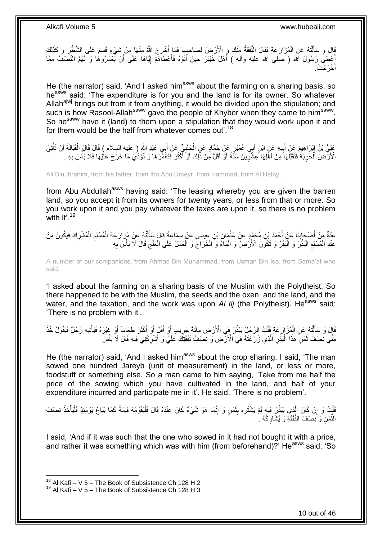قَالَ وَ سَأَلْتُهُ عَنِ الْمُزَارَعَةِ فَقَالَ النَّفَقَةُ مِنْكَ وَ الْأَرْضِ ُ لِصَاحِبِهَا فَمَا أَخْرَجَ اللَّهُ مِنْهَا مِنْ شَيْءٍ قُسِمَ عَلَى الشَّطْرِ وَ كَذَلِكَ<br>يَبْ يَقْسَمَ عَلَى الشَّطْرِ وَ كَذَلِكَ َ ¦ ْ ֺ֦֦֪֦֧֦֦֖֦֦֪֦֧֦֪֦֧֦֪֪֦֧֦֪֦֪֪֦֧֦֪֦֧֦֧֦֪֦֧֦֧֦֪֪֦֧֪֦֧֪֦֧֦֧֦֧֝֟֟֟֟֟֟֟֟֟֟֟֟֟֟֟֟֟֟֟֟֟֟֓֕֬֟֓֡֟֓֟֓֞֟֟֓֞֟֟֟֟֟֟֟֩֓֞֟֟֟֟֟֟ ِ أَعْطَى رَسُولُ اللَّهِ ( صلى الله عليه وآله ) أَهْلَ خَيْبَرَ حِينَ أَتَوْهُ فَأَعْطَاهُمْ إِيَّاهَا عَلَى أَنْ يَعْمُرُوهَا وَ لَهُمُ النِّصَفُ مِمَّا َ ِ َ َ َ َ أُخْرَجَتْ. َ

He (the narrator) said, 'And I asked him<sup>asws</sup> about the farming on a sharing basis, so heasws said: 'The expenditure is for you and the land is for its owner. So whatever Allah<sup>ajwj</sup> brings out from it from anything, it would be divided upon the stipulation; and such is how Rasool-Allah<sup>saww</sup> gave the people of Khyber when they came to him<sup>saww</sup>. So he<sup>saww</sup> have it (land) to them upon a stipulation that they would work upon it and for them would be the half from whatever comes out'.<sup>18</sup>

عَلِيُّ بْنُ إِبْرَاهِيمَ عَنْ أَبِيهِ عَنِ ابْنِ أَبِي عُمَيْرٍ عَنْ حَمَّادٍ عَنِ الْجَلَبِيِّ عَنْ أَبِي عَبْدِ اللَّهِ ( عليه السلام ) قَالَ قَالَ الْقَبَالَةُ أَنْ تَأْتِيَ َ ِ ْ َ **!** َ ֦֦֦֦֦֧֦֦֧֦֧ׅ֦֦֦֧֦֦֦֦֧֦֧֦֧֦֧֦֧֦֧֦֧֦֧֦֚֚֚֚֝֝֘֝֜֜֡֟֓֡֟֓֡֟֓֡֟֓֡֟֓ ة<br>أ َ ْ الْأَرَّضَ الْخَرِبَةَ فَتَقَبَّلَهَا َمِنْ أَهْلِهَا عِشْرٍينَ سَنَّةً أَوْ أَقَلَّ مِنْ ذَلِكَ أَوْ أَكْثَرَ فَتَعْمَّرَهَا وَ تُؤَدِّيَ مَا خَرَجَ عَلْيْهَا فَلَا بَأْسَ بِهِ . َ َ **∶** َ **∶** ْ ِ ْ َ َ َ

Ali Bin Ibrahim, from his father, from Ibn Abu Umeyr, from Hammad, from Al Halby,

from Abu Abdullah<sup>asws</sup> having said: 'The leasing whereby you are given the barren land, so you accept it from its owners for twenty years, or less from that or more. So you work upon it and you pay whatever the taxes are upon it, so there is no problem with it'. $19$ 

عِدَّةٌ مِنْ أَصْحَابِذَا عَنْ أَحْمَدَ بْنِ مُحَمَّدٍ عَنْ عُثْمَانَ بْنِ عِيسَى عَنْ سَمَاعَةَ قَالَ سَأَلْتُهُ عَنْ مُزَارَعَةِ الْمُسْلِمِ الْمُشْرِكَ فَيَكُونُ مِنْ<br>-**ٔ** َ **∣** َ ِ ْ ِ ْ ْ َ عِنْدِ الْمُسْلِمِ الْبَذْرُ وَ الْبَقَرُ وَ تَكُوِّنُ الْأَرْضُ وَ الْمَاءُ وَ الْخَرَاجِّ وَ الْعَمَلُ عَلَى الْعِلْجِ قَالَ لَا بَأْسَ بِهِ ِ ْ ْ ْ ْ :<br>ا **ٔ** :<br>ا ِ ْ ِ ْ

A number of our companions, from Ahmad Bin Muhammad, from Usman Bin Isa, from Sama'at who said,

'I asked about the farming on a sharing basis of the Muslim with the Polytheist. So there happened to be with the Muslim, the seeds and the oxen, and the land, and the water, and the taxation, and the work was upon *Al IIj* (the Polytheist). He<sup>asws</sup> said: 'There is no problem with it'.

قَالَ وَ سَأَلْتُهُ عَنِ الْمُزَارَعَةِ قُلْتُ الرَّجُلُ يَبْذُرُ فِي الْأَرْضِ مِائَةَ جَرِيبٍ أَوْ أَقَلَّ أَوْ أَكْثَرَ طَعَاماً أَوْ غَيْرَهُ فَيَأْتِيهِ رَجُلٌ فَيَقُولُ خُذْ َ َ َ َ َ ¦ ْ ْ ֺ֧֧֧֧֧֦֧֦֧֧֦֧֦֧֦֧֦֧֦֧֧֧֧֧֧֧֧֧֝֟֟֓֟֓֟֓֟֓֡֟֟֓֟֓֡֟֟֟֟֓֡֟֟֟֟֓֡֟֟֓֟֓֡֟֟֩֓֟֓֟֓֟֓֟֓֟֓֟֩֓֟֩֓֝֬֟֓֝֬֝֬֝֬֝֓֝֬֝֬֝֬֝֬֝֬֝֬֝֬<br>֧֪֪֧֪֧֪֧֝֝֝֬֝֬֩**֓** َ **ٔ** ْ َ مِنِّي نِصْفَ ثَمَنِّ هَذَا الْبُذْرِ الَّذِي زَرَعْتَهُ فِي الْأَرْضِ وَ نِصْفُ نَفَقَتِكَ عَلَيٍّ وَ أَشْرِكْنِي فِيهِ قَالَ لَا بَأْسَ ٔ<br>ا ِ **ٔ** ْ َ ْ ِ َ

He (the narrator) said, 'And I asked him<sup>asws</sup> about the crop sharing. I said, 'The man sowed one hundred Jareyb (unit of measurement) in the land, or less or more, foodstuff or something else. So a man came to him saying, 'Take from me half the price of the sowing which you have cultivated in the land, and half of your expenditure incurred and participate me in it'. He said, 'There is no problem'.

ُفَلَٰٓتُ وَ إِنْ كَانَ الَّذِي يَبْذُرُ فِيهِ لَمْ يَشْتَرِهِ بِثَمَنٍ وَ إِنَّمَا هُوَ شَيْءٌ كَانَ عِنْدَهُ قَالَ فَلْيُقَوِّمْهُ قِيمَةً كَمَا يُبَاعُ يَوْمَئِذٍ فَلْيَأْخُذْ نِصْفَ َّ ِ ْ ِ َ  $\frac{1}{2}$ ِ **ٔ** ْ ْ ْ الثَّمَنِ وَ نِصْفَ النَّفَقَةِ وَ يُشَارِكُهُ ۚ ِ َّ

I said, 'And if it was such that the one who sowed in it had not bought it with a price, and rather it was something which was with him (from beforehand)?' He<sup>asws</sup> said: 'So

 $18$  Al Kafi – V 5 – The Book of Subsistence Ch 128 H 2

 $19$  Al Kafi – V 5 – The Book of Subsistence Ch 128 H 3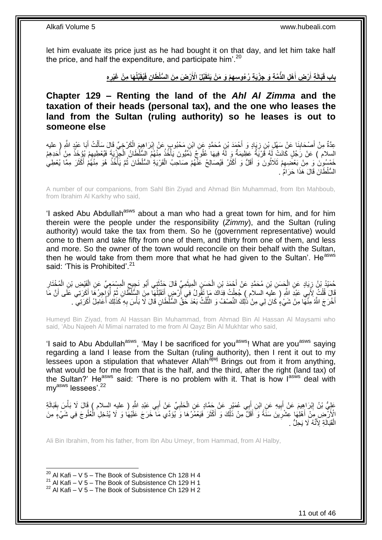let him evaluate its price just as he had bought it on that day, and let him take half the price, and half the expenditure, and participate him'.<sup>20</sup>

> باب قَبَالَةِ أَرْضِ أَهْلِ الذِّمَّةِ وَ جِزْيَةِ رُءُوسِهِمْ وَ مَنْ يَتَقَبَّلُ الْأَرْضَ مِنَ السُّلْطَانِ فَيُقَبِّلُهَا مِنْ غَيْرِهِ **َ َ ِ**

<span id="page-10-0"></span>**Chapter 129 – Renting the land of the** *Ahl Al Zimma* **and the taxation of their heads (personal tax), and the one who leases the land from the Sultan (ruling authority) so he leases is out to someone else**

عِدَّةٌ مِنْ أَصْحَابِنَا عَنْ سَهْلِ بْنِ زِيَادٍ وَ أَحْمَدَ بْنِ مُحَمَّدٍ عَنِ ابْنِ مَحْبُوبٍ عَنْ إِبْرَاهِيمَ الْكَرْخِيِّ قَالَ سَأَلْتُ أَبَا عَبْدِ اللَّهِ ( عليه ْ ِ َ ِ **∣** َ َ ْ ĺ السلام ) عَنْ رَجُلٍ كَانَتْ لَهُ قَرْيَةٌ عَظِيمَةٌ وَ لَهُ فِيهَا عُلُوجٌ ذِمَّيُّونَ يَأْخُذُ مِنْهُمُ السُّلْطَانُ الْجِزْيَةَ فَيُعْطِيعِمْ يُؤْخَذُ مِنْ أَحَدِهِمْ ْ :<br>أ َ  $\frac{1}{2}$ خَمْسُوِنَ ۚ وَ مِّنْ بَعْضَـٰهِمْ ثَلَاثُونَ وَ أَقَلُّ وَ أَكْثَرُ فَيُصَالِحُ عَفْهُمْ صَاحِبُ الْقَرْيَةِ السُّلْطَانَ ثُمَّ يَأْخُذُ هُوَ مِنْهُمْ أَكْثَرَ مِمَّا يُعْطِي َ َ َ ُ َ َ ا<br>أ ا<br>ئا ْ السُّلْطَانَ قَالَ هَذَا حَرَامٌ ۚ.

A number of our companions, from Sahl Bin Ziyad and Ahmad Bin Muhammad, from Ibn Mahboub, from Ibrahim Al Karkhy who said,

'I asked Abu Abdullah<sup>asws</sup> about a man who had a great town for him, and for him therein were the people under the responsibility (*Zimmy*), and the Sultan (ruling authority) would take the tax from them. So he (government representative) would come to them and take fifty from one of them, and thirty from one of them, and less and more. So the owner of the town would reconcile on their behalf with the Sultan, then he would take from them more that what he had given to the Sultan'. He<sup>asws</sup> said: 'This is Prohibited'.<sup>21</sup>

ٍ حُمَدُ بْنُ زِيَادٍ عَنِ الْجَسَنِ بْنِ مُحَمَّدٍ عَنْ أَحْمَدَ بْنِ الْحَسَنِ الْمِيثَمِيِّ قَالَ حَدَّثَنِي أَبُو نَجِيحِ الْمِسْمَعِيِّ عَنِ الْفَنْصِ بْنِ الْمُخْتَارِ<br>حَمْدُهُ بْنُ زِيَادٍ عَنِ الْجَسَنِ بْنِ مُحَمَّد َ َ  $\ddot{\phantom{0}}$ ْ ْ َ ْ ِ ِ ْ ْ ْ قَالَ قُلْتُ لِأَبِي عَبْدِ اللَّهِ ( عِليهِ السلام ) جُعِلْتُ فِدَاكَ مَإِ تَقُولُ فِي أَرْضٍ أَتَقَبَّلُهَا مِنَ السُّلْطُانِ ثُمَّ أُؤَلِّحِرُهَا أَكْرَتِي عَلَى أَنَّ مَا ْ ْ َ َ ُ  $\overline{a}$ َ أُخْرَجَ اللَّهُ مِنْهَا مِنْ شَيْءٍ كَانَ لِي مِنْ ذَٰلِكَ النِّصْفُ وَ النُّلُثُ بَعْدَ حَقِّ السُّلْطَانِ قَالَ لَا بَأْسَ بِهِ كَذَٰلِكَ أُعَامِلُ أَكَرَتِي ۖ ـ َ ُ ِ **ٔ** ة<br>بالأنبا

Humeyd Bin Ziyad, from Al Hassan Bin Muhammad, from Ahmad Bin Al Hassan Al Maysami who said, 'Abu Najeeh Al Mimai narrated to me from Al Qayz Bin Al Mukhtar who said,

'I said to Abu Abdullah<sup>asws</sup>, 'May I be sacrificed for you<sup>asws</sup>! What are you<sup>asws</sup> saying regarding a land I lease from the Sultan (ruling authority), then I rent it out to my lessees upon a stipulation that whatever Allah<sup>ajwj</sup> Brings out from it from anything, what would be for me from that is the half, and the third, after the right (land tax) of the Sultan?' He<sup>asws</sup> said: 'There is no problem with it. That is how  $I^{asws}$  deal with my<sup>asws</sup> lessees'.<sup>22</sup>

عَلِيُّ بْنُ إِبْرَاهِيمَ عَنْ أَبِيهِ عَنِ ابْنِ أَبِي عُمَيْرٍ عَنْ حَمَّادٍ عَنِ الْحَلَبِيِّ عَنْ أَبِي عَبْدِ اللَّهِ ( عليه السلام ) قَالَ لَا بَأْسَ بِقَبَالَةِ َ **∶** ْ َ **! ֽוּ** ْ ِ الْأَزَّضِ مِنْ أَهْلِهَا عِشْرِينَ سَنَّةً وَ أَقَلَّ مِنْ ذَٰلِكَ وَ أَكْثَرَ فَيَعْمُرُهَا وَ يُؤَدِّي مَا ۖخَرَجَ عَلَيْهَا وَ لَا يُدْخِلِ الْعُلُوجَ فِي شَيْءٍ مِنَ َ َ **∶** َ ا<br>ا ْ الْقَبَالَةِ لِأَنَّهُ لَا يَحِلُّ ْ

Ali Bin Ibrahim, from his father, from Ibn Abu Umeyr, from Hammad, from Al Halby,

 $20$  Al Kafi – V 5 – The Book of Subsistence Ch 128 H 4

<sup>&</sup>lt;sup>21</sup> Al Kafi – V 5 – The Book of Subsistence Ch 129 H 1

 $22$  Al Kafi – V 5 – The Book of Subsistence Ch 129 H 2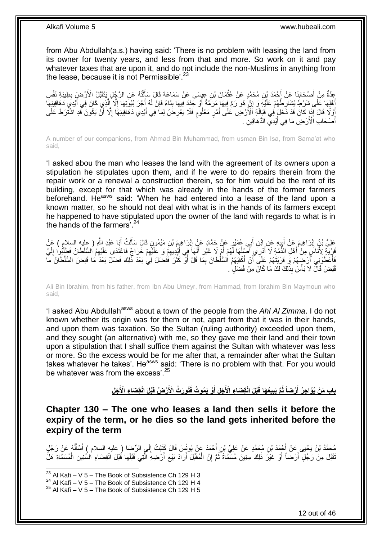from Abu Abdullah(a.s.) having said: 'There is no problem with leasing the land from its owner for twenty years, and less from that and more. So work on it and pay whatever taxes that are upon it, and do not include the non-Muslims in anything from the lease, because it is not Permissible'.<sup>23</sup>

عِدَّةٌ مِنْ أَصْحَابِذَا عَنْ أَحْمَدَ بْنِ مُحَمَّدٍ عَنْ عُثْمَانَ بْنِ عِبِسَى عَنْ سَمَاعَةَ قَالَ سَأَلْتُهُ عَنِ الرَّجُلِ يَتَقَبَّلُ الْأَرْضِيَ بِطِينَةِ نَفْسِ<br>يَبِدَتُ الْجَمَانِيَةِ إِنِّ مَا يَسْتَمِينَ الْم ْ َ **ٔ** َ ِ َ ِ أَهْلِهَا عَلَى ِشَرْطٍ يُشَارِطُهُمْ عَلَيْهِ وَ إِنْ هُوَ رَمَّ فِيهَا مَرَمَّةً أَوْ جَدَّدَ فِيهَا بِذَاءً فَإِنَّ لَهُ أَجْرَ بُيُوتِهَا إِلَّا إِلَّا إِلَي كَانَ فِي أَيْدِي دَهَاقِينِهَا َ ِ ِ َ َ َّ ا<br>ا َ ِ **!** ْوََلَّا قَالَ إِذَا كَانَ قَدْ دَّخَلَ فِي قَبَالَةِ ٱلْأَرْضِ عَلَى أَمْرٍ مَعْلُومٍ فَلَا يَعْرِضُ لِمَا فِي أَيْدِي دَهَاقِينِهَا إِلَّا أَنْ يَكُونَ قَدِ اشْتُرَطَ عَلَى َ ِ ֧֧֖֧֖֧֖֧֧֧֧֧֧֧֧֧֧֧֧֚֚֚֓֝֝֝֝֝֟֓֝֓֬֝֓֝֬֟֓֟֓֝֬֟֓֟֓֝֬֝֬֝֓֟֓֝֬֜֝֬֝֓֝֬֝֓ َ َ ِ أَصْحَابِ اَّلْأَرْضِ مَا فِي أَيْدِي الذَّهَاقِينِ ۖ. َ َ

A number of our companions, from Ahmad Bin Muhammad, from usman Bin Isa, from Sama'at who said,

'I asked abou the man who leases the land with the agreement of its owners upon a stipulation he stipulates upon them, and if he were to do repairs therein from the repair work or a renewal a construction therein, so for him would be the rent of its building, except for that which was already in the hands of the former farmers beforehand. He<sup>asws</sup> said: 'When he had entered into a lease of the land upon a known matter, so he should not deal with what is in the hands of its farmers except he happened to have stipulated upon the owner of the land with regards to what is in the hands of the farmers'.<sup>24</sup>

عَلِيُّ بْنُ إِبْرَاهِيمَ عَنْ أَبِيهِ عَنِ ابْنِ أَبِي عُمَيْرٍ عَنْ حَمَّادٍ عَنْ إِبْرَاهِيمَ بْنِ مَيْمُونِ قَالَ سَأَلْتُ أَبَا عَبْدِ اللَّهِ ( عليه السلام ) عَنْ<br>حَفَّ اللَّهُ الْمَرْضَى الْمَرْضَى اللَّهِ الْمَرْضَ ْ ĺ ِ َ **∶** َ ِ َ َفَا غُذَيَّةٍ لِأُنَّاسٍ مِنْ أَهْلِ الذِّمَّةِ لَا أَدْرِي أَصَّنْهَا لَّهُمْ أَمْ لَا غَيْرَ أَنَّهَا فَقِي أَيْدِيهِمْ وَ عَلَيْهِمْ خَرَاجٌ فَاعْتَدَى عَلَيْهِمُ السُّلْطَانُ فَطَلْوِا إِلَيَّ َ ٔ<br>ا َ َ َ لَ ِ ِ ِ َ فَأَعْطَوْنِي أَرْضَهُمْ وَ قَرْيَتَهُمْ عَلَى ۖ أَنْ أَكْفِيَهُمُ السُّلْطَانَ بِمَا قَلَّ أَوْ كَثُرَ فَفَضَلَ لِي بَعْدَ ذَٰلِكَ فَضْلٌ بَعْدَ مَا قَبَضَ السُّلْطَانُ مَا ان<br>سال اُ ِ َ َ َ اً<br>ا قَبَضَ قَالَ لَا بَأْسَ بِذَلِكَ لَكَ مَا كَانَ مِنْ فَضْلٍ . **ٔ** 

Ali Bin Ibrahim, from his father, from Ibn Abu Umeyr, from Hammad, from Ibrahim Bin Maymoun who said,

'I asked Abu Abdullah<sup>asws</sup> about a town of the people from the *Ahl Al Zimma*. I do not known whether its origin was for them or not, apart from that it was in their hands, and upon them was taxation. So the Sultan (ruling authority) exceeded upon them, and they sought (an alternative) with me, so they gave me their land and their town upon a stipulation that I shall suffice them against the Sultan with whatever was less or more. So the excess would be for me after that, a remainder after what the Sultan takes whatever he takes'. He<sup>asws</sup> said: 'There is no problem with that. For you would be whatever was from the excess'.<sup>25</sup>

> باب مَنْ يُوَاجِرُ أَرْضاً ثُمَّ يَبِيعُهَا قَبْلَ انْقِضَاءِ الْأَجَلِ أَوْ يَمُوتُ فَتُورَثُ الْأَرْضُ قَبْلَ انْقِضَاءِ الْأَجَلِ **َ ِ َ**

<span id="page-11-0"></span>**Chapter 130 – The one who leases a land then sells it before the expiry of the term, or he dies so the land gets inherited before the expiry of the term**

مُحَمَّدُ بْنُ يَحْيَى عَنْ أَجْمَدَ بْنِ مُحَمَّدٍ عَنْ عَلِيِّ بْنِ أَحْمَدَ عَنْ يُونُسَ قَالَ كَثَبْتُ إِلَي الرِّضِا ( عليه السلام ) أَسْأَلُهُ عَنْ رَجُلٍ<br>سَمَّدُ بْنُ يَحْيَى عَنْ أَجْمَدَ بْنِ مُسَمَّدٍ عَنْ عَلِيِ ِ َ َ ُ َ َ نَّقَبَّلَ مِنْ رَجُلٍ أَرْضَاً أَوْ غَيْرَ ذَلِكَ سِنِينَ مُسَّمَّاةً ثُمَّ إِنَّ الْمُقَبِّلَ أَرَادَ بَيْعَ أَرْضِهِ الَّتِي قَبَّلَهَا قُبْلَ انْقِضَاءِ الشِّنِينَ الْمُسَمَّاةِ هَلُّ َّ َ اُ ْ ِ ُ َ ْ

 $^{23}$  Al Kafi – V 5 – The Book of Subsistence Ch 129 H 3

 $^{24}$  Al Kafi – V 5 – The Book of Subsistence Ch 129 H 4

 $25$  Al Kafi – V 5 – The Book of Subsistence Ch 129 H 5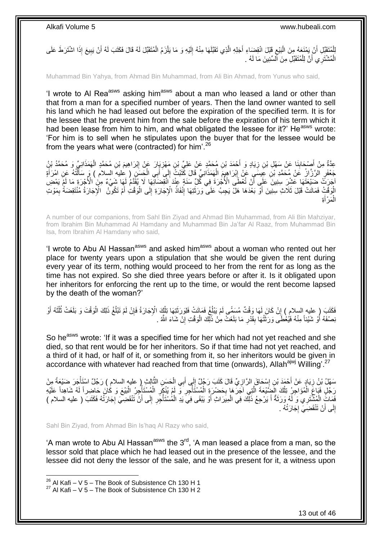لِلْمُتَقَبِّلِ أَنْ يَمْنَعَهُ مِنَ الْبَيْعِ قَبْلَ انْقِضِاءِ أَجَلِهِ الَّذِي تَقَبَّلَهَا مِنْهُ إِلَيْهِ وَ مَا يَلْزَمُ الْمُتَقَبِّلَ لَهُ قَالَ فَكَتَبَ لَهُ أَنْ يَبِيعَ إِذَا اشْتَرَطَ عَلَى َّ ِ :<br>ا َ ِ َ ْ ْ لَ ِ الْمُشْتَرِ ي أَنَّ لِلْمُتَقَبِّلِ مِنَ ٱلْسِّنِينَ مَا لَهُ . ْ َ ْ

Muhammad Bin Yahya, from Ahmad Bin Muhammad, from Ali Bin Ahmad, from Yunus who said,

'I wrote to AI Rea<sup>asws</sup> asking him<sup>asws</sup> about a man who leased a land or other than that from a man for a specified number of years. Then the land owner wanted to sell his land which he had leased out before the expiration of the specified term. It is for the lessee that he prevent him from the sale before the expiration of his term which it had been lease from him to him, and what obligated the lessee for it?' He<sup>asws</sup> wrote: 'For him is to sell when he stipulates upon the buyer that for the lessee would be from the years what were (contracted) for him'.<sup>26</sup>

عِدَّةٌ مِنْ أَصْحَابِنَا عَنْ سَهْلِ بْنِ زِيَادٍ وَ أَحْمَدَ بْنِ مُحَمَّدٍ عَنْ عَلِيٍّ بْنِ مَهْزِيَارَ عَنْ إِبْرَاهِيمَ بْنِ مُحَمَّدٍ الْهَمَذَانِيِّ وَ مُحَمَّدُ بْنٍُ ِ **ٍ** َ ِ **∣** ْ جَعْفَرٍ الرَّزَّازُ ۚ عَنْ مُحَمَّدِ بْنِ عِيسَى ۚ عَنْ إِبْرَاهِيمَ الْهَمَذَانِيِّ قَالَ كََتَبْتُۢ إِلَى أَبِي الْحَسَنِ ( عليه السلام ) وَ سَأَلْتُهُ عَنِ امْرَأَةٍ ْ اُ ْ َ ِ ْ ِ َ اْجَرَتَ ۖ ضَيْعَتَّهَا عَشْنَ سِنِينَ ۖ عَلَى أَنْ تُعْطَى الْأُجْرَةَ فِي كُلِّ سَنَةٍ عِنْدَ انْقِضَائِّهَا لَا يُقِّدَّمُ لَهَا شَيْءٌ مِنَ الْأُجْرَةِ مَا لَمْ يَمْضِ اً أَوَقْتُ فَمَاتَتْ قَبْلَ ثَلَاثِ سِنِينَ أَوَّ بَعْدَهَا هَلَّ يَجِبُ عَلَى ۖ وَرَثَتِهَا إِنْفَاذُ الْإِجَارَةِ إِلَى الْوَقْتِ أَمْ تَكُونَّى ۖ الْإِجَارَةُ مُنْتَقِضَةً بِمَوْتِ ْ ِ ِ َ َ ِ َ ِة َ مَرْأ ْ ال

A number of our companions, from Sahl Bin Ziyad and Ahmad Bin Muhammad, from Ali Bin Mahziyar, from Ibrahim Bin Muhammad Al Hamdany and Muhammad Bin Ja'far Al Raaz, from Muhammad Bin Isa, from Ibrahim Al Hamdany who said,

'I wrote to Abu AI Hassan<sup>asws</sup> and asked him<sup>asws</sup> about a woman who rented out her place for twenty years upon a stipulation that she would be given the rent during every year of its term, nothing would proceed to her from the rent for as long as the time has not expired. So she died three years before or after it. Is it obligated upon her inheritors for enforcing the rent up to the time, or would the rent become lapsed by the death of the woman?'

ْ عَلَيْتَ ( عليه السلام ) إِنْ كَانَ لَهَا وَقْتٌ مُسَمَّى لَمْ يَبْلُغْ فَمَاتَتْ فَلِوَرَثَتِهَا تِلْكَ الْإِجَارَةُ فَإِنْ لَمْ تَبْلُغْ ذَلِكَ الْوَقْتَ وَ بَلَغَتْ ثُلُثَهُ أَوْ ْ َ ا<br>ا ِ َ َ ُ ر<br>دینې ْ ُ ِ نِصْفَهُ أَوْ شَيْئاً مِنْهُ فَيُعْطَى وَرَثَتُهَا بِقَدْرِ مَا بَلَغَتْ مِنْ ذَلِّكَ الْوَقْتِ إِنْ شَاءَ اللَّهُ . ِ ْ ِ **∣** َ َ

So he<sup>asws</sup> wrote: 'If it was a specified time for her which had not yet reached and she died, so that rent would be for her inheritors. So if that time had not yet reached, and a third of it had, or half of it, or something from it, so her inheritors would be given in accordance with whatever had reached from that time (onwards), Allah<sup>ajwj</sup> Willing'.<sup>27</sup>

سَهْلُ بْنُ زِيَادٍ عَنْ أَحْمَدَ بْنِ إِسْحَاقَ الرَّازِيِّ قَالَ كَتَبَ رَجُلٌ إِلَى أَبِي الْحَسَنِ الثَّالِرِ ( عليه السلام ) رَجُلٌ اسْتَأْجَرَ صَنْعَةً مِنْ َّ ْ ِ ِ ِ ِ ْ رَجُلٍ فَبَاعَ الْمُؤاجِرُ تِلْكَ الْضَّيْعَةَ الَّتِي آجَرَهَا بِحَضْرَةٍ الْمُسْتَأْجِرِ وَ لَمْ يُنْكَرِ الْمُسْتَأْجِرُ الْبَيْعَ وَ كَانَ حَاضِراً لَهُ شَاهِداً عَلَيْهِ ِ ہ<br>أ ْ **∶** َّ ْ ْ لَ ْ ا<br>أ ْ ِ لَ فَمَاتٍّ الْمُشْتَرِي وَ لَهُ وَرَثَةٌ أَ يَرْجِعُ ذَلِّكَ فِي الْمِيَرَاثِ أَوْ يَبْقَى فِيَ يَدِ الْمُسْتَأْجَرِ إِلَى أَنْ تَنْقَضِيَ إِجَارَتُهُ فَكَتَبَ ( عليه السلام ) َ ∣∣<br>ِ **ٍ** ة<br>أ ْ َ ْ َ َ ْ ¦<br>∶ لَ ِ إِلَى أَنْ تَنْقَضِيَ إِجَارَتُهُ . ِ َ

Sahl Bin Ziyad, from Ahmad Bin Is'haq Al Razy who said,

'A man wrote to Abu Al Hassan<sup>asws</sup> the  $3<sup>rd</sup>$ , 'A man leased a place from a man, so the lessor sold that place which he had leased out in the presence of the lessee, and the lessee did not deny the lessor of the sale, and he was present for it, a witness upon

 $^{26}$  Al Kafi – V 5 – The Book of Subsistence Ch 130 H 1

 $27$  Al Kafi – V 5 – The Book of Subsistence Ch 130 H 2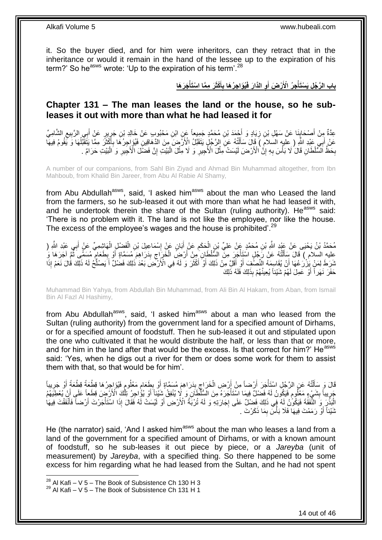it. So the buyer died, and for him were inheritors, can they retract that in the inheritance or would it remain in the hand of the lessee up to the expiration of his term?' So he<sup>asws</sup> wrote: 'Up to the expiration of his term'.<sup>28</sup>

> باب الرَّجُلِ يَسْتَأْجِرُ الْأَرْضَ أَوِ الذَّارَ فَيُوَاجِرُهَا بِأَكْثَرَ مِمَّا اسْتَأْجَرَهَا **ْ َ ِ َ ْ**

### <span id="page-13-0"></span>**Chapter 131 – The man leases the land or the house, so he subleases it out with more than what he had leased it for**

عِدَّةٌ مِِنْ أَصْحَابِنَا عَنْ سَهْلِ بْنِ زِيَادٍ وَ أَحْمَدَ بْنِ مُحَمَّدٍ جَمِيعاً عَنِ ابْنِ مَحْبُوبٍ عَنْ خَالِدِ بْنِ جَرِيرٍ عَنْ أَبِي الرَّبِيعِ الشَّامِيِّ ِ ِ ِ َ ِ **∶** عَنْ أَبِي عَبْدِ اللَّهِ ( عِلْيهِ السَلامَ ) َقَالَ سَأَلَٰتُهُ عَنِّ الرَّجُلُ يَتَقَبَّلُ الْأَرْضَ مِنَ الْذَّهَاقِينِ فَيُؤَاجِرُ مَا بِأَكْثَرَ مِمَّا يَتَقَبَّلُهَا وَ يَقُومُ فِيهَاۖ ْ َ َ ُ َ َ ِ بِحَظُّ السُّلْطَانِ قَالَ لَا بَأْسَ بِهِ إِنَّ الْأَرْضَ لَيْسَتْ مِثْلَ الْأُجِيرِ وَ لَا مِثْلَ الْبَيْتِ إِنَّ فَضْلَ الْأُجِيرِ وَ الْبَيْتِ حَرَامٌ . ِ ْ **ٔ** ِ **ٔ** ֧<u>׀</u> **∶ ٔ** ِ ْ ِ

A number of our companions, from Sahl Bin Ziyad and Ahmad Bin Muhammad altogether, from Ibn Mahboub, from Khalid Bin Jareer, from Abu Al Rabie Al Shamy,

from Abu Abdullah<sup>asws</sup>, said, 'I asked him<sup>asws</sup> about the man who Leased the land from the farmers, so he sub-leased it out with more than what he had leased it with, and he undertook therein the share of the Sultan (ruling authority). He<sup>asws</sup> said: 'There is no problem with it. The land is not like the employee, nor like the house. The excess of the employee's wages and the house is prohibited'.<sup>29</sup>

ْ مُحَمَّدُ بْنُ يَحْيَى عَنْ عَيْدِ اللَّهِ بْنِ مُحَمَّدٍ عَنْ عَلِيِّ بْنِ الْحَكَمِ عَنْ أَبَانٍ عَنْ الِسْمَاعِيلَ بْنِ الْفَضْلِ الْهَاشِمِيِّ عَنْ أَبِي عَبْدِ اللَّهِ ( ِ َ ِ ْ َ ْ عليه السلام ) قَالَ سَأَلْتُهُ عَنْ رَّجُلٍ اسْتَأْجَرَ مِنَّ الشَّلْطَانِ مِنْ أَرْضٍّ الْخَرَاجِ بِدَرَاهِمَ مُسَمَّاةٍ أَوْ بِطَعَامٍ مُسَمَّةٍ مَّزَى أَجْرَهَا وَ<br>يَدِيدَ ذِرودٍ فَي أَصِيرَ مِنْ يَرْسَلْ مِنْ السَّنَا َ ة<br>المسابق ْ ِ َ ِ ِ ْ ثَلِكَ فَمَنْ بِزُرْكُهَا أَنْ يُقَاسِمَهُ الْنُصُفَ أَوْ أَقَلَّ مِنْ ذَلِكَ أَوْ أَكْثَرَ وَ لَهُ هِي الْأَرْضَ بَعْدَ ذَلِكَ فَضَلْ أَ يَصْلُحُ لَهُ ذَلِكَ قُالَ نَعَمْ إِذَا ة<br>أ َ َ َ َ َ  $\ddot{\phantom{1}}$ َ حَفَرَ نَـهَراً أَوْ عَمِلَ لَـهُمْ شَيْئاً يُـعِينُـهُمْ بِذَلِكَ فَلَهُ ذَلِكَ َ

Muhammad Bin Yahya, from Abdullah Bin Muhammad, from Ali Bin Al Hakam, from Aban, from Ismail Bin Al Fazl Al Hashimy,

from Abu Abdullah<sup>asws</sup>, said, 'I asked him<sup>asws</sup> about a man who leased from the Sultan (ruling authority) from the government land for a specified amount of Dirhams, or for a specified amount of foodstuff. Then he sub-leased it out and stipulated upon the one who cultivated it that he would distribute the half, or less than that or more, and for him in the land after that would be the excess. Is that correct for him?' He<sup>asws</sup> said: 'Yes, when he digs out a river for them or does some work for them to assist them with that, so that would be for him'.

֧׆֧ قَالَ وَ سَأَلْتُهُ عَنِ الرَّجُلِ اسْتَأْجَرَ أَرْضاً مِنْ أَرْضِ الْخَرَاجِ بِدَرَاهِمَ مُسَمَّاةٍ أَوْ بِطَعَامٍ مَعْلُومٍ فَيُؤاجِرُهَا قِطْعَةً قِطْعَةً أَوْ جَرِيباً ٍ ِ َ **!** ِ ْ َ ة<br>أ ֦֧֦֦֦֦֧֦֦֧֦֦֧֦֦֧֦֧֦֧֦֧֦֧֦֧֦֧֦֧֦֪֦֧֦֪֦֧֦֧֦֪֦֧֦֧֦֧֦֧֦֧֦֧֦֧֦֧֦֪֦֧֦֧֘֝֟֟֟֟֟֟֟֟֟֘֟֟֟֘֟֟֟֟֟֟֟֟֘֟֓֕֟֓֞֟֟֓֞֟֟֓֟֓֟֓֟֟֟֟ ِ َ جَرِيباً بِشَيْءٍ مَعْلُومٍ فَيَكُونُ لَهُ فَضْلِ فِيمَا اسْتَأْجَرَهُ مِنَ الْسُلْطَانِ وَ لَإِ يُنْفِقُ شَيْئاً أَوْ يُؤُاجِرُ تَلْكَ الْأَزْضَ قِطَعاً عَلَى أَنْ يُعْطِيَهُمُ **ِ ٍ** ا<br>ا ْ ٍ َ ْ َ الْبَذْرَ وَ الثَّفَقَّةَ فَيَكُونُ لَهُ فَمِي ذَلِكَ فَضلٌ عَلَى إِجَارَتِهِ وَ لَهُ تُرْبَّةُ الْأَرْضِ أَوْ لَيْسَتْ لَّهُ فَقَالَ إِذَا اسْتَأْجَرْتَ أَرْضاً فَأَنْفَقْتَ فِيهَا َ **∶** :<br>-<br>-ْ َ َ ْ نَنَيْئاً أَوْ رَمَمْتَ فِيهَا فَلَا بَأْسَ بِمَا ذَكَرْتَ . ِ ر<br>ا َ

He (the narrator) said, 'And I asked him<sup>asws</sup> about the man who leases a land from a land of the government for a specified amount of Dirhams, or with a known amount of foodstuff, so he sub-leases it out piece by piece, or a *Jareyba* (unit of measurement) by *Jareyba*, with a specified thing. So there happened to be some excess for him regarding what he had leased from the Sultan, and he had not spent

 $^{28}$  Al Kafi – V 5 – The Book of Subsistence Ch 130 H 3

 $29$  Al Kafi – V 5 – The Book of Subsistence Ch 131 H 1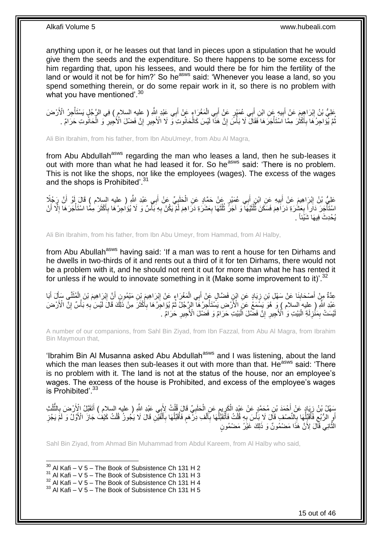anything upon it, or he leases out that land in pieces upon a stipulation that he would give them the seeds and the expenditure. So there happens to be some excess for him regarding that, upon his lessees, and would there be for him the fertility of the land or would it not be for him?' So he<sup>asws</sup> said: 'Whenever you lease a land, so you spend something therein, or do some repair work in it, so there is no problem with what you have mentioned'.<sup>30</sup>

ِ طَيُّ بْنُ إِبْرَاهِيمَ عَنْ أَبِيهِ عَنِ ابْنِ أَبِي عُمَيْرٍ عَنْ أَبِي الْمَغْرَاءِ عَنْ أَبِي عَبْدِ إِشَّر ( عليه السلام ) فِي الرَّجُلِ يَسْتَأْجِرُ الْأَرْضَ َ ْ َ َ **!** َ ِ ْ نُّمَّ يُوَاجِرُكَمَا بِأَكْثَرَ مِمَّا اَسْتَأْجَرَكَا فَقَالَ لَا بَأْسٌ إِنَّ هَذَا لَيْسَ كَالْحَانُوتِ وَ لَا الْأَجِيرِ إِنَّ فَضْلَ الْأُجِيرِ وَ الْحَانُوتِ حَرَامٌ . ِ **ٍ** ْ ِ ْ ْ  $\ddot{\phantom{0}}$ َ ِ ُ ْ ِ

Ali Bin Ibrahim, from his father, from Ibn AbuUmeyr, from Abu Al Magra,

from Abu Abdullah<sup>asws</sup> regarding the man who leases a land, then he sub-leases it out with more than what he had leased it for. So he<sup>asws</sup> said: 'There is no problem. This is not like the shops, nor like the employees (wages). The excess of the wages and the shops is Prohibited'.<sup>31</sup>

عَلِيُّ بْنُ إِبْرَاهِيمَ عَنْ أَبِيهِ عَنِ ابْنِ أَبِي عُمَيْرٍ عَنْ حَمَّادٍ عَنِ الْحَلَبِيِّ عَنْ أَبِي عَبْدِ اللَّهِ ( عليه السلام ) قَالَ أَوْ أَنَّ رَجُلًا<br>عَلِيُّ بْنُ إِبْرَاهِيمَ عَنْ أَبِيهِ عَنِ ابْنِ أَبِي عُ َ ِ ْ َ ِ **ֽ**ו َ اسْتَأْجَرَ دَاَراً بِعَشُرَةِ دَرَاَهُمَ فَسَكَنَ ثُّلُثَيْهَا ۖ وَ آجَرٌ ثُلُثَهَا بِعَشَرَةِ دَرَاهِمَ لَمْ يَكُنْ بِهِ بَأَسٌ وَ لَا يُوَاجِرْهَا بِأَكْثَرَ مِمَّا اسْتَأْجَرَهَا إِلَّا أَنْ **∶** ة<br>ا ا:<br>ا ان<br>المقامات ٔ, ا:<br>ا ُ **∶** َ ا<br>ا ْ َ َ ِ ا<br>ا ِ يُحْدِثَ فِيهَا شَيْئاً .

Ali Bin Ibrahim, from his father, from Ibn Abu Umeyr, from Hammad, from Al Halby,

from Abu Abullah<sup>asws</sup> having said: 'If a man was to rent a house for ten Dirhams and he dwells in two-thirds of it and rents out a third of it for ten Dirhams, there would not be a problem with it, and he should not rent it out for more than what he has rented it for unless if he would to innovate something in it (Make some improvement to it)<sup>'.32</sup>

عِدَّةٌ مِنْ أَصْحَابِنَا عَنْ سَهْلِ بْنِ زِيَادٍ عَنِ ابْنِ فَضَّالٍ عَنْ أَبِي الْمَغْرَاءِ عَنْ إِبْرَاهِيمَ بْنِ مَيْمُونٍ أَنَّ إِبْرَاهِيمَ بْنَ الْمُثَنَّي سَأَلَ أَبَا ِ ْ َ ِ **!** َ َ Í َ ْ ِ اُ عَبْدِ اللَّهِ ( عِليه السلام ) وَ هُوَ يَسْمَعُ عَنِّ الْأَرْضِ يَسْتَأْجِرُ هَا ۖ الرِّجُلُ ثُمَّ يُؤَاجِرُ هَا بِأُكْثَرَ مِنْ ذَلِّكَ قَالَ لَّيْسَ بِهِ بَأْسٌ إِنَّ الْأَرْضَ ْ ِ ْ ِ َ َ ِ ُ يْسَتْ بِمَثْرِلَةِ الْبَيْتِ وَ الْأَجِيرِ ۚ إِنَّ فَضْلَ الْبَيْتِ حَرَامٌ وَ فَضْلَ الْأَجِيرِ حَرَامٌ ۚ . ِ ْ ِ **∶** :<br>ا لَ ِ ِ لَ

A number of our companions, from Sahl Bin Ziyad, from Ibn Fazzal, from Abu Al Magra, from Ibrahim Bin Maymoun that,

'Ibrahim Bin Al Musanna asked Abu Abdullah<sup>asws</sup> and I was listening, about the land which the man leases then sub-leases it out with more than that. He<sup>asws</sup> said: 'There is no problem with it. The land is not at the status of the house, nor an employee's wages. The excess of the house is Prohibited, and excess of the employee's wages is Prohibited'.<sup>33</sup>

سَهْلُ بْنُ زِيَادٍ عَنْ أَحْمَدَ بْنِ مُحَمَّدٍ عَنْ عَبْدٍ الْكَرِيمِ عَنِ الْحَلَبِيِّ قَالَ قُلْتُ لِأَبِي عَبْدِ اللَّهِ ( عليه السلام ) أَتَقَبَّلُ الْأَرْضَ بِالنَّلُثِ<br>يَجْمَعُ الْمَثَّلِ الْمَرْضَ الْمَحْمَدِ عَن ْ **∶** ْ ֧֧֧֚֚֚֚֚֚֚֚֚֚֚֚֝֘֝֓֜֡֓׆֧ ِ ْ َ ِ ُ ُّ **∶** َ أَوِ الرُّبُعِ فَأُقَبِّلُهَا بِالنَّصنْفِ قَالَ لَا بَأْسَ بِهِ قُلْتُ فَأَتَقَبَّلُهَا بِالْفَبِ دَرْهُمٍ فَأُقَبِّلُهَا بِالْفَيْنِ قَالَ لَا يَجُونُ قُلْتُ كَيْفُ جَازَ الْأَوَّلُ وَ لَمَّ يَجُزِ ا<br>ا ْ ِ ،<br>ا ِ :<br>ا ُ ِ ِ اً ِ ْ ْ اً<br>أ ِ ُ ُ ֧֧֧֖֧֧֧֧֦֧֧֧֚֓֝֬֝֝֓֝֬֟֓֟֓֓֝֓֝֬֝֓֝֓֟֓֟֓֝֬ ْ َ ِ ا<br>ا النَّانِيَّ قَالَ لِأَنَّ هَذَا مَضْمُونٌ وَ ذَلِكَ غَيْرُ مَضْمُونٍ َّ

Sahl Bin Ziyad, from Ahmad Bin Muhammad from Abdul Kareem, from Al Halby who said,

 $30$  Al Kafi – V 5 – The Book of Subsistence Ch 131 H 2

1

 $32$  Al Kafi – V 5 – The Book of Subsistence Ch 131 H 4

 $33$  Al Kafi – V 5 – The Book of Subsistence Ch 131 H 5

 $31$  Al Kafi – V 5 – The Book of Subsistence Ch 131 H 3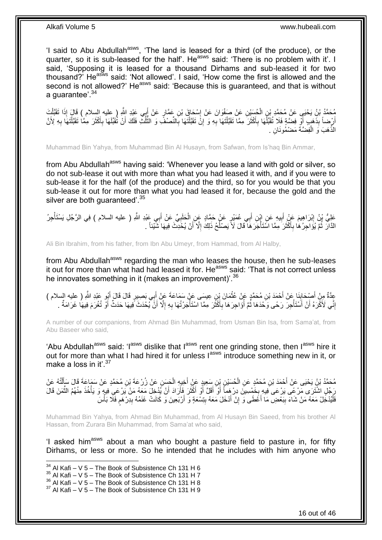'I said to Abu Abdullah<sup>asws</sup>, 'The land is leased for a third (of the produce), or the quarter, so it is sub-leased for the half'. He<sup>asws</sup> said: 'There is no problem with it'. I said, 'Supposing it is leased for a thousand Dirhams and sub-leased it for two thousand?<sup>'</sup> He<sup>asws</sup> said: 'Not allowed'. I said, 'How come the first is allowed and the second is not allowed?' He<sup>asws</sup> said: 'Because this is guaranteed, and that is without a quarantee'.<sup>34</sup>

مُحَمَّدُ بْنُ يَحْيَى عَنْ مُحَمَّدٍ بْنِ الْجُسَيْنِ عَنْ صَفُوَانَ عَنْ إِسْجَاقَ بْنِ عَمَّارٍ عَنْ إِبِي عَيْدِ اللَّهِ ( عِليه السلام ) قَالَ إِذَا تَقَبَّلْتَ<br>يَسْمَدُّ بِّنْ يَحْيَى عَنْ مُحَمَّدٍ بِّنِ الْجُسَيْن َ ِ ْ ْ ِ أَرِّضاً بِذَّهَبٍ أَوّْ فِضَّةٍ فَلَا تُقَبِّلُهَا بِأَكْثَرَ مِمَّا تَقَبَّلْتَهَا بِهِ وَ إِنَّ تَقَبَّلْتَهَا بِالنِّصْفِّ وَ الثُّلُثِّ فَلَكَ أَنْ تُقَبِّلَهَا بِأَكْثَرَ مِمَّا تَقَبَّلْتَهَا بِهِ لِأَنَّ ِ ْ َ َ ِ **ٔ** ا<br>ا ِ ْ َ َ ِ َ ُ ُ<br>ُ ِ ْ الذَّهَبَ وَ الْفِضَّةَ مَضْمُونَانِ . ْ

Muhammad Bin Yahya, from Muhammad Bin Al Husayn, from Safwan, from Is'haq Bin Ammar,

from Abu Abdullah<sup>asws</sup> having said: 'Whenever you lease a land with gold or silver, so do not sub-lease it out with more than what you had leased it with, and if you were to sub-lease it for the half (of the produce) and the third, so for you would be that you sub-lease it out for more than what you had leased it for, because the gold and the silver are both guaranteed'.<sup>35</sup>

عَلِيُّ بِنُ إِبْرَاهِيمَ عَنْ أَبِيهِ عَنِ إِبْنِ أَبِي عُمَيْرٍ عَنْ حَمَّادٍ عَنِ الْخَلَبِيِّ عَنْ أَبِي عَبْدِ اللَّهِ ( عليه السلام ) فِي الرَّجُلِ يَسْتَأْجِرُ َ ِ ْ َ **!** َ ْ الذَّارَ ثُمَّ يُؤَاجِرُ هَا بِأَكْثَرَ مِمَّا اسَّتَأْجَرَ هَا قَالَ لَأَ يَصْلُحُ ذَلِكَ إِلَّا أَنْ يُخْدِثَ فِيهَا شَّيْئاً . ِ ا<br>ا :<br>أ ن<br>با َ ِ ا<br>ا َ

Ali Bin Ibrahim, from his father, from Ibn Abu Umeyr, from Hammad, from Al Halby,

from Abu Abdullah<sup>asws</sup> regarding the man who leases the house, then he sub-leases it out for more than what had had leased it for. He<sup>asws</sup> said: 'That is not correct unless he innovates something in it (makes an improvement)<sup>36</sup>

عِدَّةٌ مِنْ أَصْحَابِنَا عَنْ أَحْمَدَ بْنِ مُحَمَّدٍ عَنْ عُثْمَانَ بْنِ عِيسَى عَنْ سَمَاعَةَ عَنْ أَبِي بَصِبِيرٍ قَالَ قَالَ أَبُو عَبْدِ اللَّهِ ( عِليه السلام )<br>وَيَدَّدُّ مِنْ أَصْحَابِيَةٍ ۚ َ ْ َ **∣** َ َ إِنِّي لَأَكْرَهُ أَنْ أَسْتَأْجِرَ رَحًى وَحْدَهَا ثُمَّ أُؤَاجِرَهَا بِأَكْثَرَ مِمَّا اسْتَأْجَرْتُهَا بِهِ إِلَّا أَنَّ يُحْدَثَ فِيهَا حَدَثٌ أَوْ تُغْرَمَ فِيهَا غَرَامَةٌ . ِ َ ِ ِ ا<br>أ  $\ddot{\phantom{0}}$ َ ِ ُ ا<br>المقام ا<br>المستقبل َ َ َ

A number of our companions, from Ahmad Bin Muhammad, from Usman Bin Isa, from Sama'at, from Abu Baseer who said,

'Abu Abdullah<sup>asws</sup> said: 'I<sup>asws</sup> dislike that I<sup>asws</sup> rent one grinding stone, then I<sup>asws</sup> hire it out for more than what I had hired it for unless last introduce something new in it, or make a loss in it'.<sup>37</sup>

مُحَمَّدُ بْنُ يَحْيَى عَنْ أَحْمَدَ بْنِ مُحَمَّدٍ عَنِ الْحُسَيْنِ بِنِ سَعِيدٍ عَنْ أَخِيهِ الْحَسَنِ عَنْ زُرْعَةَ بْنِ مُحَمَّدٍ عَنْ سَمَاعَةَ قَالَ سَأَلْتُهُ عَنْ<br>مُحَمَّدُ بْنُ يَحْيَى عَنْ أَحْمَدَ بْنِ مُحَمَّدٍ ْ َ ْ ْ َ رَجُلٍ اشْتَرَى مَرْ عَى يَرْ عَى فِيهِ بِخَمْسِينَ دِرْهِماً أَوْ أَقَلَّ أَوْ أَكْثَرَ فَأَرَادَ أَنْ يُدْخِلَ مَعَهُ مَنْ يَرْ عَي فِيهِ وَ يَأْخُذَ مِنْهُمُ الثَّمَنَ قَالَ َ َ ة<br>أ َ َ َ َ **∶** َّ ْ فَلْيُدْخُِلْ مَعَهُ مَنْ شَاءَ بِبَعْضِ مَا أَعْطَى وَ إِنْ أَدْخَلَ مَعَهُ بِتِسْعَةٍ وَ أَرْبَعِينَ وَ كَانَتْ غَنَمُهُ بِدِرْهَم فَلَا بَأْسَ ِ َ **∶** َ ِ َ **∣** :<br>ا ْ ֧֖֖֖֖֖֖֖֧֧֧֧ׅ֧֧֧֧ׅ֧֧֧֧֛֪֧֛֪֧֚֚֚֚֚֚֚֚֚֚֚֚֚֚֚֚֚֚֚֚֚֚֚֚֚֓֝֝֬֝֝֓֝֓֝֓֜֝֓֜֓֜֓֞֡֝֬֜֜֡֜֡

Muhammad Bin Yahya, from Ahmad Bin Muhammad, from Al Husayn Bin Saeed, from his brother Al Hassan, from Zurara Bin Muhammad, from Sama'at who said,

'I asked him<sup>asws</sup> about a man who bought a pasture field to pasture in, for fifty Dirhams, or less or more. So he intended that he includes with him anyone who

 $34$  Al Kafi – V 5 – The Book of Subsistence Ch 131 H 6

 $35$  Al Kafi – V 5 – The Book of Subsistence Ch 131 H 7

 $36$  Al Kafi – V 5 – The Book of Subsistence Ch 131 H 8

 $37$  Al Kafi – V 5 – The Book of Subsistence Ch 131 H 9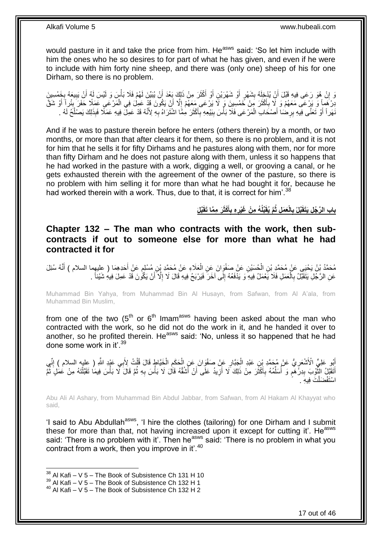would pasture in it and take the price from him. He<sup>asws</sup> said: 'So let him include with him the ones who he so desires to for part of what he has given, and even if he were to include with him forty nine sheep, and there was (only one) sheep of his for one Dirham, so there is no problem.

وَ إِنْ هُوَ رَعَى فِيهِ قَبْلَ أَنِّ يُدْخِلَهُ بِشَهْرٍ أَوْ شَهْرَيْنِ أَوْ أَكْثَرَ مِنْ ذَلِكَ بَعْدَ أَنْ يُبَيِّنَ لَهُمْ فَلَا بَأْسَ وَ لَيْسَ لَهُ أَنْ يَبِيعَهُ بِخَمْسِينَ َ َ َ اُ اُ ِ َ יֲ<br>י ِ ِ َ **ٔ** دِرْهَمِاً وَ يَرْعَى مَعَهُمْ وَ لَا بِأَكْثَرَ مِنْ خَمْسِينَ وَ لَا يَرْعَى مَعَهُمْ إِلَّا أَنْ يَكُونَ قَدْ عَمِلَ فِي الْمَرْعَى عَمَلًا حَفَرَ بِئْرِ أَ أَوْ شَقَّ ِ ْ  $\frac{1}{2}$ َ َ **∶** أ ِ نَهَراً أَوْ تَعَنَّى فِيهِ بِرِضْنَا أَصْحَابَ الْمَرْعَى فَلَا بَأْسَ بِبَيْعِهِ بِأَكْثَرَ مِمَّا اشْتَرَاهُ بِهِ لِأَنَّهُ قَدْ عَمِلٌّ فِيهِ عَمَلًا فَبِذَلِكَ يَصْلُحُ لَهُ . َ َ **∶ ٔ** ْ َ ِ َ ُ

And if he was to pasture therein before he enters (others therein) by a month, or two months, or more than that after clears it for them, so there is no problem, and it is not for him that he sells it for fifty Dirhams and he pastures along with them, nor for more than fifty Dirham and he does not pasture along with them, unless it so happens that he had worked in the pasture with a work, digging a well, or grooving a canal, or he gets exhausted therein with the agreement of the owner of the pasture, so there is no problem with him selling it for more than what he had bought it for, because he had worked therein with a work. Thus, due to that, it is correct for him'.<sup>38</sup>

> بابِ الرَّجُلِ يَتَقَبَّلُ بِالْعَمَلِ ثُمَّ يُقَبِّلُهُ مِنْ غَيْرِهِ بِأَكْثَرَ مِمَّا تَقَبَّلَ **َ ِ ِ ِ**

### <span id="page-16-0"></span>**Chapter 132 – The man who contracts with the work, then subcontracts if out to someone else for more than what he had contracted it for**

مُحَمَّدُ بْنُ يَحْيَى عَنْ مُحَمَّدِ بْنِ الْحُسَيْنِ عَنْ صَفْوَانَ عَنِ الْعَلَاءِ عَنْ مُحَمَّدِ بْنِ مُسْلِمٍ عَنْ أَحَدِهِمَا ( عِليهِما السلام ) أَنَّهُ سُئِلَ<br>يَهْدَمَ بَيْنَ يَجِمِي عَنْ مُحَمَّدٍ بْنِ الْحُسَيْنِ َ ٍ ْ ْ َّ َ عَنِ الرَّجُلِ يَتَقَبَّلُ بِالْعَمَلِ فَلَا يَعْمَلُ فِيهِ ۖ وَ يَدْفَعُهُ إِلَى آخَرَ فَيَرْبَحُ فِيهِ قَالَ لَا إِلَّا أَنْ يَكُّونَ قَدْ عَمِلَ فِيهِ شَيْئاً . ِ ْ **∶** اُ ا<br>ا

Muhammad Bin Yahya, from Muhammad Bin Al Husayn, from Safwan, from Al A'ala, from Muhammad Bin Muslim,

from one of the two  $(5<sup>th</sup>$  or  $6<sup>th</sup>$  Imam<sup>asws</sup> having been asked about the man who contracted with the work, so he did not do the work in it, and he handed it over to another, so he profited therein. He<sup>asws</sup> said: 'No, unless it so happened that he had done some work in it' 39

أَبُو عَلِيٍّ الْأَشْعَرِ يُّ عَنْ مُحَمَّدِ بْنِ عَبْدِ الْجَبَّارِ عَنْ صَفْوَانَ عَنِ الْحَكَمِ الْخَيَّاطِ قَالَ قُلْتُ لِأَبِي عَبْدِ اللَّهِ ( عِليه السلام ) إِنِّي<br>يَسَنِدُ عَلَيْ الْأَشْعَرِ يُّ عَنْ مُجَمَّدِ بْن ِ ْ ِ ِ ْ ْ ِ ْ أَنَقَبَّلُ النُّوْبَ بِدِرْهَمٍ وَ أُسَلِّمُهُ بِأَكْثَرَ مِنْ ذَلِكَ لَا أَزِيدُ عَلَى أَنْ أَشُقَّهُ قَالَ لَا بَأْسَ بِهِ ثُمَّ قَالَ لَا بَأْسَ فِيمَا تَقَبَّلْنَهُ مِنْ عَمَلٍ ثُمَّ ِ **ٔ** َ َ ِ َ ٔ : َ ِ ِّ ُ ٍ **∣** ة<br>أ ْ ْ ់ اسْتَفْضَلْتَ فِيهِ . ْ

Abu Ali Al Ashary, from Muhammad Bin Abdul Jabbar, from Safwan, from Al Hakam Al Khayyat who said,

'I said to Abu Abdullah<sup>asws</sup>, 'I hire the clothes (tailoring) for one Dirham and I submit these for more than that, not having increased upon it except for cutting it'. He<sup>asws</sup> said: 'There is no problem with it'. Then he<sup>asws</sup> said: 'There is no problem in what you contract from a work, then you improve in it'.<sup>40</sup>

 $38$  Al Kafi – V 5 – The Book of Subsistence Ch 131 H 10

 $39$  Al Kafi – V 5 – The Book of Subsistence Ch 132 H 1

<sup>40</sup> Al Kafi – V 5 – The Book of Subsistence Ch 132 H 2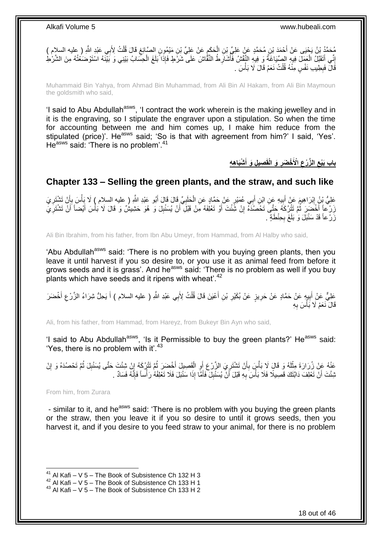ِن ُم َح َّمٍد َع ْن َعلِ ِّي ْب ْح َمَد ْب ِي َعْبِد ََّّللا ُم َح َّمُد ْب ُن َي ْحَيى َع ْن <sup>أ</sup> ِ ) عليه السالم ( ب ُت ِْلَ ل َقا َل قُ ِن َمْي ُمو ٍن ال َّصاِئغ َع ْن َعلِ ِّي ْب َح َكم ِن ال ْ ِ ِ ْ إِنِّي أَتَقَبَّلُ الْعَمَلِّ فِيهِ الصِّيَاغَةُ وَ فِيهِ النَّقْشُ فَأَشَارِطُ النَّقَّاشَ عَلَى شَرَّطٍ فَإِذَا ۖ بَلَغَ الْحِسَابُ بَيْنِي وَ بَيْنَهُ اسْتَوْضَعُتُهُ مِنَ الشَّرْطِ ْ ِ ا<br>ا ْ َ ِ قَّالَ فَبِطِيبِ نَفْسٍ مِنْهُ قُلْتُ نَعَمْ قَالَ لَا بَأْسَ . **ٔ** ْ ِ

Muhammaid Bin Yahya, from Ahmad Bin Muhammad, from Ali Bin Al Hakam, from Ali Bin Maymoun the goldsmith who said,

'I said to Abu Abdullah<sup>asws</sup>, 'I contract the work wherein is the making jewelley and in it is the engraving, so I stipulate the engraver upon a stipulation. So when the time for accounting between me and him comes up, I make him reduce from the stipulated (price)'. He<sup>asws</sup> said; 'So is that with agreement from him?' I said, 'Yes'. He<sup>asws</sup> said: 'There is no problem'.<sup>41</sup>

> **ْشَبا ِه ِه ِصي ِل َو أ َو الْقَ ْخ َضر اْْلَ ال َّز ْرع باب َبْيع َ ِ ِ ِ**

### <span id="page-17-0"></span>**Chapter 133 – Selling the green plants, and the straw, and such like**

عَلِيُّ بِنُ إِبْرَاهِيمَ عَنْ أَبِيهِ عَنِ ابْنِ أَبِي عُمَيْرٍ عَنْ حَمَّادٍ عَنِ الْحَلَبِيِّ قَالَ قَالَ أَبُو عَبْدِ اللَّهِ ( عليه السلام ) لَا يَأْسَ بِأَنْ تَشْتَرِيَ<br>-َ ِ ْ َ ِ َ ِ ِ أ ِ ْ زَرْعاً أَخْضَرَ ثُمَّ تَتْرُكَهُ حَتَّىَ تَحْصُدَهُ إِنْ شَئْتَ أَوْ تَعْلِفَهُ مَِنْ قَبْلَ أَنْ يُسَنْبِلَ وَ هُوَ حَشِيشٌ وَ قَالَ لَا بَأْسَ أَيْضاً أَنْ تَشْتَرِيَي ِ َ َ ِ ُ َ ِ َ َ ْ زَرْ عاً قَدْ سَنْبَلَ وَٰ بَلَغَ بِحِنْطَةٍ . **∶** 

Ali Bin Ibrahim, from his father, from Ibn Abu Umeyr, from Hammad, from Al Halby who said,

'Abu Abdullah<sup>asws</sup> said: 'There is no problem with you buying green plants, then you leave it until harvest if you so desire to, or you use it as animal feed from before it grows seeds and it is grass'. And he<sup>asws'</sup> said: 'There is no problem as well if you buy plants which have seeds and it ripens with wheat<sup>'.42</sup>

عَلِيٌّ عَنْ أَبِيهٍ عَنْ حَمَّادٍ عَنْ حَرِيزٍ عَنْ بُكَيْرِ بْنِ أَعْيَنَ قَالَ قُلْتُ لِأَبِي عَبْدِ اللَّهِ ( عليه السلام ) أَ يَحِلُّ شِرَاءُ الزَّرْعِ أَخْضَرَ ْ َ ِ ِ **!** َ ِ َ قَالَ نَعَمْ لَا بَأْسَ بِهِ ِ **ٔ** 

Ali, from his father, from Hammad, from Hareyz, from Bukeyr Bin Ayn who said,

'I said to Abu Abdullah<sup>asws</sup>, 'Is it Permissible to buy the green plants?' He<sup>asws</sup> said: 'Yes, there is no problem with it'.<sup>43</sup>

عَنْهُ عَِنْ زُرَارَةَ مِثْلَهُ وَ قَالَ لَا بَأْسَ بِأَنْ تَشْتَرِيَ الزَّرْعَ أَوِ الْقَصِيلَ أَخْضَرَ ثُمَّ تَتْرُكَهُ إِنْ شِئْتَ حَتَّى يُسَنْبِلَ ثُمَّ تَحْصُدَهُ وَ إِنْ ِ ُ ا<br>ا ْ ِ اُ ِ َ ِ ،<br>ا لَ ْ ِ ر<br>ا ِ نْشِتَ أَنْ تَعْلِفَ دَابَّتَكَ قَصِيلًا فَلَا بَأْسَ بِهِ قَبْلَ أَنْ يُسَنْبِلَ فَأَمَّا إِذَا سَنْبَلَ فَلَا تَعْلِفْهُ رَأْساً فَإِنَّهُ فَسَادٌ .  $\frac{1}{2}$ م<br>أ َ **ِ** اُ ِ ا<br>المسلمان

From him, from Zurara

1

- similar to it, and he<sup>asws</sup> said: 'There is no problem with you buying the green plants or the straw, then you leave it if you so desire to until it grows seeds, then you harvest it, and if you desire to you feed straw to your animal, for there is no problem

<sup>&</sup>lt;sup>41</sup> Al Kafi – V 5 – The Book of Subsistence Ch 132 H 3

 $42$  Al Kafi – V 5 – The Book of Subsistence Ch 133 H 1

 $43$  Al Kafi – V 5 – The Book of Subsistence Ch 133 H 2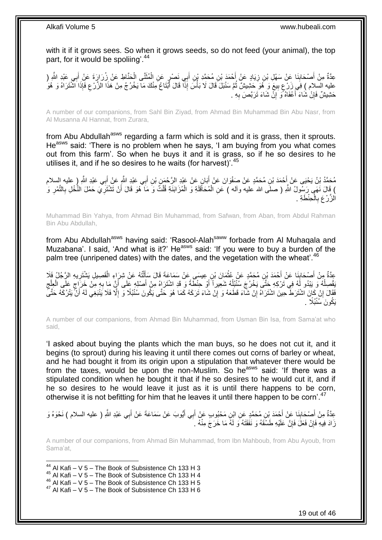with it if it grows sees. So when it grows seeds, so do not feed (your animal), the top part, for it would be spoliing'.<sup>44</sup>

عِدَّةٌ مِنْ أَصْحَابِنَا عَنْ سَهْلِ بْنِ زِيَادٍ عَنْ أَحْمَدَ بْنِ مُحَمَّدِ بْنِ أَبِي نَصْرٍ عَنِ الْمُثَنَّى الْحَنَّاطِ عَنْ زِرَارَةَ عَنْ أَبِي عَبْدِ اللَّهِ ( ْ َ ْ َ ِ **∣** َ َ عليه السلام ) فِي زَرْعٍ بِيعَ وَ هُوَ حَشِيشٌ ثُمَّ سَنْبَلَ َقَالَ لَا بَأْسَ إِذَا قَالَ أَبْتَاعُ مِنْكَ مَا يَخْرُجُ مِنْ هَذَا الزَّرْعِ فَإِذَا َشْتَرَاهُ وَ هُوَ<br>عَذِيهُ وَبَاهُ وَزَوْجٌ عَزَيْهِ عَزَيْدٍ حَزَيْفٍ **ٔ** ُ **!** ֺ֧֧֧֦֧֧֧֦֧֦֧֧֦֧֦֧֚֚֚֚֚֚֝֓֝֬֓֓֓֓֓֝֓֓֓֝֓֓֝֬֝֬֓֝֓֓ َ ∣اٍ َ حَشِيشٌ فَإِنْ شَاءَ أَعْفَاهُ وَ إِنْ شَاءَ تَرَبَّصَ بِهِ . ِ <u>֚֚֚֚֚֚֚֚</u> َ ِ

A number of our companions, from Sahl Bin Ziyad, from Ahmad Bin Muhammad Bin Abu Nasr, from Al Musanna Al Hannat, from Zurara,

from Abu Abdullah<sup>asws</sup> regarding a farm which is sold and it is grass, then it sprouts. He<sup>asws</sup> said: 'There is no problem when he says, 'I am buying from you what comes out from this farm'. So when he buys it and it is grass, so if he so desires to he utilises it, and if he so desires to he waits (for harvest)<sup>'.45</sup>

ِي َعْبِد ََّّللاِ ب ِن أ ِن ْب ٍن َع ْن َعْبِد ال َّر ْح َم َبا َوا َن َع ْن أ ِن ُم َح َّمٍد َع ْن َصفْ ْح َمَد ْب ِي َعْبِد ََّّللا ُم َح َّمُد ْب ُن َي ْحَيى َع ْن <sup>أ</sup> ِ ) عليه السالم َ ب َع ْن أ َ َ َ ) قَالَ نَهَى رَسُولُ اللهِ ( صلَى الله عليه وأله ) عَنِ الْمُحَاقَلَةِ وَ الْمُزَابَنَةِ قُلْتُ وَ مَا َّهُوَ قَالَ أَنْ تَشْنَزِّيَ حَمْلَ النَّخْلِ بِالنَّمْرِ وَ ْ ْ ِ ِ ِ َ ْ الزَّرْعَ بِالْحِنْطَةِ . ْ **∶** 

Muhammad Bin Yahya, from Ahmad Bin Muhammad, from Safwan, from Aban, from Abdul Rahman Bin Abu Abdullah,

from Abu Abdullah<sup>asws</sup> having said: 'Rasool-Alah<sup>saww</sup> forbade from Al Muhaqala and Muzabana'. I said, 'And what is it?' He<sup>asws</sup> said: 'If you were to buy a burden of the palm tree (unripened dates) with the dates, and the vegetation with the wheat'.<sup>46</sup>

عِدَّةٌ مِنْ أُصِحَابِنَا عَنْ أَحْمَدَ بْنِ مُحَمَّدٍ عَنْ عُثْمَانَ بْنِ عِيسَى عَنْ سَمَاعَةَ قَالَ سَأَلْتُهُ عَنْ شِرَاءِ الْقَصِيلِ يَشْتَرِيهِ الرَّجُلُ فَلَا **∣** َ ِ ْ ْ اً<br>أ ْ َقْصِلُهُ وَ يَبْدُو لَهُ فِي تَرْكِهِ حَتَّى يَخْرُجَ سُنْبُلُهُ شَعِيراً أَوْ حِنْطَةً وَ قَدِ اشْتَرَاهُ مِنْ أَصْلِهِ عَلَى أَنِّ مَا بِهِ مِنْ خَرَاجٍ عَلَى الْعِلْج َ َ ا<br>ا ا<br>ا **∶** َ  $\zeta$ ْ ٍ فَقَالَ إِنْ كَانَ اشْتَرَطَ حِينَ اشْتَرَاهُ إِنْ شَآءَ قَطَعَهُ وَ إِنْ شَاءَ تَرَكَهُ كَمَا هُوَ حَتَّى يَكُونَ سُنْبُلًا وَ إِلَّا فَلَا يَنْبَغِي لَهُ أَنَّ يَتْرُكَهُ حَتَّى ِ **׀** ا َ ِ يَكُونَ َسُنْبُلًا .

A number of our companions, from Ahmad Bin Muhammad, from Usman Bin Isa, from Sama'at who said,

'I asked about buying the plants which the man buys, so he does not cut it, and it begins (to sprout) during his leaving it until there comes out corns of barley or wheat, and he had bought it from its origin upon a stipulation that whatever there would be from the taxes, would be upon the non-Muslim. So he<sup>asws</sup> said: 'If there was a stipulated condition when he bought it that if he so desires to he would cut it, and if he so desires to he would leave it just as it is until there happens to be corn, otherwise it is not befitting for him that he leaves it until there happen to be corn'.<sup>47</sup>

عِدَّةٌ مِنْ أَصْحَابِنَا عَنْ أَحْمَدَ بْنِ مُحَمَّدٍ عَنِ ابْنِ مَحْبُوبٍ عَنْ أَبِي أَيُّوبَ عَنْ سَمَاعَةَ عَنْ أَبِي عَبْدِ اللَّهِ ( عليه السلام ) نَحْوَهُ وَ َ **∣** َ َ زَادَ فِيهِ فَإِنْ فَعَلَ فَإِنَّ عَلَيْهِ طَسْقَهُ وَ نَفَقَتَهُ وَ لَهُ مَا خَرَجَ مِنْهُ <sub>ـ</sub> ِ ِ

A number of our companions, from Ahmad Bin Muhammad, from Ibn Mahboub, from Abu Ayoub, from Sama'at,

 $44$  Al Kafi – V 5 – The Book of Subsistence Ch 133 H 3

1

- $45$  Al Kafi V 5 The Book of Subsistence Ch 133 H 4
- 46 Al Kafi V 5 The Book of Subsistence Ch 133 H 5

 $47$  Al Kafi – V 5 – The Book of Subsistence Ch 133 H 6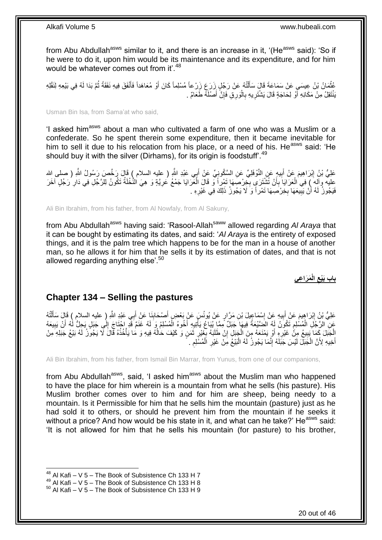from Abu Abdullah<sup>asws</sup> similar to it, and there is an increase in it, '(He<sup>asws</sup> said): 'So if he were to do it, upon him would be its maintenance and its expenditure, and for him would be whatever comes out from it'.<sup>48</sup>

عُثْمَانُ بْنُ عِيسَىِ عَنْ سَمَاعَةَ قَالَ سَأَلْتُهُ عَنْ رَجُلٍ زَرَعٍ زَرْعاً مُسْلِماً كَانَ أَوْ مُعَاهَداً فَأَنْفَقَ فِيهِ نَفَقَةً ثُمَّ بَذَا لَهُ فِي بَيْعِهِ لِنَقْلِهِ ُ َ َ ْ يَنْتَقِلُ مِنْ مَكَانِهِ أَوْ لِحَاجَةٍ قَالَ يَشْتَرِيهِ بِالْوَرِقِ فَإِنَّ أَصْلَهُ طَعَامٌ . َ ِ ا<br>ا **∶** ِ ز<br>ا

Usman Bin Isa, from Sama'at who said,

'I asked him<sup>asws</sup> about a man who cultivated a farm of one who was a Muslim or a confederate. So he spent therein some expenditure, then it became inevitable for him to sell it due to his relocation from his place, or a need of his. He<sup>asws</sup> said: 'He should buy it with the silver (Dirhams), for its origin is foodstuff<sup>'.49</sup>

عَلِيُّ بْنُ إِبْرَاهِيمَ عَنْ أَبِيهٍ عَنِ النَّوْفَلِيِّ عَنِ السَّكُونِيِّ عَنْ أَبِي عَبْدِ اللَّهِ ( عليه السلام ) قَالَ رَخَّصَ رَسُولُ اللَّهِ ( صلى الله ِ َ ِ عليه وآله َ) فِي الْعَرَايَا بِأَنْ تُُثَنِّنَرَي بِخِرْصَهَا تَمْرٍاً وَ قَالَ الْعَرَايَا جَمْعُ عَرِيَّةٍ وَ هِيَ النُّخْلَةُ تَكُونُ لِلرَّجُلِ فِي دَارِ رَجُلٍ آخَرَ ْ **∶** َ ِ ِ فَيَجُوزُ لَهُ أَنْ يَبِيعَهَا بِخِرْصِهَا تَمْرٍ أَ وَ لَا يَجُوزُ ذَلِكَ فِي غَيْرِهِ . ِ ِ **!** ؘ

Ali Bin Ibrahim, from his father, from Al Nowfaly, from Al Sakuny,

from Abu Abdullah<sup>asws</sup> having said: 'Rasool-Allah<sup>saww</sup> allowed regarding Al Araya that it can be bought by estimating its dates, and said: '*Al Araya* is the entirety of exposed things, and it is the palm tree which happens to be for the man in a house of another man, so he allows it for him that he sells it by its estimation of dates, and that is not allowed regarding anything else'.<sup>50</sup>

> **َم َرا ِعي الْ باب َبْيع ِ**

### <span id="page-19-0"></span>**Chapter 134 – Selling the pastures**

عَلِيُّ بْنُ إِبْرَاهِيمَ عَنْ أَبِيهِ عَنْ إِسْمَاعِيلَ بْنِ مَرَّارٍ عَنْ يُونُسَ عَنْ بَعْضٍ أَصْحَابِنَا عَنْ أَبِي عَبْدِ اللَّهِ ( عليه السلام ) قَالَ سَأَلْتُهُ َ ِ َ ِ ِ َ יִין<br>: ْ َ عَنِ الرَّجُلِ الْمُسْلِمِ تَكُونُ لَهُ الضَّنْبِعَةُ فِيهَا جَبَلٌ مِمَّا يُبَاعُ يَأْتِيهِ أَخُوهُ الْمُسْلِمُ وَ لَهُ غَنَمَّ قَدِ إِحْتَاجَ إِلَى جَبَلٍ يَجِلُّ لَهُ أَنْ يَبِيعَهُ ֦֦֪֦֦֚֚֚֚֚֚֝֝֝֝֝֝֝֝֓֝֝֓֝֬֝֝֟֓֝֬֝֝֟֟֓֟֟֓֟֝ ْ لَ ِ ْ َ ٔ َ الْجَبَلَ كَمَا َيبِيعُ مِنْ غَيْرِهِ أَوْ بَمْنَعَهُ مِنَ الْجَبَلِ إِنْ طَلَبَهُ بِغَيْرِ ثَمَنٍ وَ كَيْفَ حَالْهُ فِيهِ وَ مَا يَأْخُذُهُ قَالَ لَّا يَجُونُ لَهُ بَيْعُ جَبَلِهِ مِنْ َ ِ ; ِ ْ َ ِ **ِ** ْ ُ أَخِيهِ لِأَنَّ الْجَبَّلَ لَيْسَ جَبَلَهُ إِنَّمَا يَجُوزُ لَهُ الْبَيْعُ مِنْ غَيْرِ الْمُسْلِمِ . ِ ْ ِ ا.<br>ا ِ ْ َ

Ali Bin Ibrahim, from his father, from Ismail Bin Marrar, from Yunus, from one of our companions,

from Abu Abdullah<sup>asws</sup>, said, 'I asked him<sup>asws</sup> about the Muslim man who happened to have the place for him wherein is a mountain from what he sells (his pasture). His Muslim brother comes over to him and for him are sheep, being needy to a mountain. Is it Permissible for him that he sells him the mountain (pasture) just as he had sold it to others, or should he prevent him from the mountain if he seeks it without a price? And how would be his state in it, and what can he take?' He<sup>asws</sup> said: 'It is not allowed for him that he sells his mountain (for pasture) to his brother,

<sup>1</sup>  $48$  Al Kafi – V 5 – The Book of Subsistence Ch 133 H 7

 $49$  Al Kafi – V 5 – The Book of Subsistence Ch 133 H 8

 $50$  Al Kafi – V 5 – The Book of Subsistence Ch 133 H 9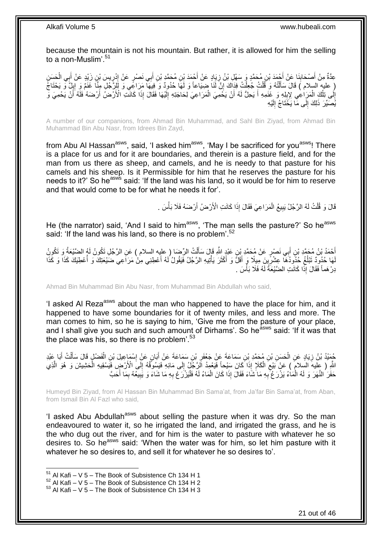because the mountain is not his mountain. But rather, it is allowed for him the selling to a non-Muslim'.<sup>51</sup>

عِدَّةٌ مِنْ أَصْحَابِنَا عَنْ أَجْمَدَ بْنِ مُحَمَّدٍ وَ سَهْلِ بْنُ زِيَادٍ عَنْ أَجْمَدَ بْنِ مُحَمَّدٍ بْنِ أَبِي نَصْرٍ عَنْ إِدْرِيسَ بْنِ زَيْدٍ عَنْ أَبِي الْحَسَنِ **∣** َ ْ َ ِ ∣∣<br>∶ٌ َ َ ِ ( عليه السلام ) قَالَ سَأَلْتُهُ وَ قُلْتُ جُعِلْتُ فِدَاكَ إِنَّ لَٰنَا ضِيَاعاً وَ لَمَا حُدُودٌ وَ فِيهَا مَرَاغِي وَ لَإِنَّ جُلِ مِنَّا غَذَمٌ وَ إِلِنٌ وَ يَحْتَاجُ ِ ْ ْ ֺ֦֦֦֦֧֦֧֦֦֧֦֧֦֧֦֧֦֧֦֧֦֧֦֧֦֧֦֧֝֟֟֓֕֓֕֓֕֓֕֓֓֡֓֓֡֟֓֡֟֓֡֟֓֡֟֓֡֟֓֡֟֩֓֓֞֓֞֓֞֓֞֟֓֡֟֩֓֓֟֓֡֟֩֓֟֓֟֩֓<br>֧ׅ֧֧֪ׅ֧֖֧֦֧֦֧֜֘֩֞֟֘֩֞֩֞ ِ إِلَى تِلْكَ الْمَرَاعِي لِإِبِلِهِ وَ غَنَمِهِ أَ يَحِلُّ لَهُ أَنْ يَخْمِيَ الْمَرَاعِيَ لِحَاجَتِهِ إِلَيْهَا فَقَالَ إِذَا كَانَتْ الْأَرْضُ أَرْضَهُ فَلَهُ أَنْ يَحْمِيَ وَ لَ ∣∣<br>∶ ْ َ َ ِ ْ ْ ِ َ اً يُّصَيِّرَ ذَٰلِكَ إِلَى مَا يَخَّتَاجُ إِلَيْهِ لَ  $\frac{1}{2}$ ِ

A number of our companions, from Ahmad Bin Muhammad, and Sahl Bin Ziyad, from Ahmad Bin Muhammad Bin Abu Nasr, from Idrees Bin Zayd,

from Abu Al Hassan<sup>asws</sup>, said, 'I asked him<sup>asws</sup>, 'May I be sacrificed for you<sup>asws</sup>! There is a place for us and for it are boundaries, and therein is a pasture field, and for the man from us there as sheep, and camels, and he is needy to that pasture for his camels and his sheep. Is it Permissible for him that he reserves the pasture for his needs to it?' So he<sup>asw's</sup> said: 'If the land was his land, so it would be for him to reserve and that would come to be for what he needs it for'.

> قَالَ وَ قُلْتُ لَهُ الرَّجُلُ يَبِيعُ الْمَرَاعِيَ فَقَالَ إِذَا كَانَتِ الْأَرْضُ أَرْضَهُ فَلَا بَأْسَ . َ ْ ِ ْ

He (the narrator) said, 'And I said to him<sup>asws</sup>, 'The man sells the pasture?' So he<sup>asws</sup> said: 'If the land was his land, so there is no problem'.<sup>52</sup>

أَحْمُدُ بْنُ مُحَمَّدِ بْنِ أَبِي نَصْرٍ عَنْ مُحَمَّدٍ بْنِ عَبْدٍ اللَّهِ قَإِلَ سَأَلْتُ الرِّحْلِ السلام ) عَنِ الرَّجُلِ تَكُونُ لَهُ الضَّيْعَةُ وَ تَكُونُ<br>أَحْمَدُ بَنُّ مُحَمَّدٍ بَنِّ أَبِي نَصْرٍ عَنْ مُحَمَّدٍ ْ َ َ لَهَا حُذُودٌ تَبْلُغُ حُذُودُهَا عِشْرِينَ مِيلًا وَ أَقَلَّ وَ أَكْثَرَ يَأْتِيهِ الرَّجُلُ فَيَقُولُ لَهُ أَعْطِنِي مِنْ مَرَاعِي ضَيْعَتِكَ وَ أُعْطِيَكَ كَذَا وَ كَذَا َ ْ َ َ ِ ا<br>ا ُ دِرْ هَماً فَقَالَ إِذَا كَانَتِ الضَّيْعَةُ لَهُ فَلَا بَأْسَ . **ٔ** لَ

Ahmad Bin Muhammad Bin Abu Nasr, from Muhammad Bin Abdullah who said,

'I asked AI Reza<sup>asws</sup> about the man who happened to have the place for him, and it happened to have some boundaries for it of twenty miles, and less and more. The man comes to him, so he is saying to him, 'Give me from the pasture of your place, and I shall give you such and such amount of Dirhams'. So he<sup>asws</sup> said: 'If it was that the place was his, so there is no problem'. $53$ 

جُمَيْدُ بْنُ زِيَادٍ عَنِ الْحَسَنِ بْنِ مُحَمَّدِ بْنِ سَمَاعَةَ عَنْ جَعْفَرٍ بْنِ سَمَاعَةَ عَنْ أَبَانٍ عَنْ إِسْمَاعِلَ بْنِ الْفَضْلِ قَالَ سَأَلْتُ أَبَا عَبْدِ ِ َ ¦ ْ **∶** َ ْ َ ْ لَّهِ ( عليهَ السلامَ ) عَنْ بَيْعَ الْكَلَإِ إِذَا كَانَ سَيْحاً فَيَعْمِدُ الرَّجُلُ إِلَى مَائِهِ فَيَسُوقُهُ إِلَى الْأَرْضِ فَيَسْقِيهِ الْحَشِيشَ وَ هُوَ الَّذِي<br>وَيَسَمَّدُ الْفَسْلامُ ) عَنْ بَيْعَ الْكَلَإِ إِذَا ْ  $\zeta$ َّ ْ ∣∣<br>∶ ∣ا<br>∶ حَفَرَ النَّهَرَ وَ لَهُ الْمَاءُ يَزْرَ عُ ۖبِهِ مَا َشَاءَ فَقَالَ إِذَا كَانَ الْمَاءُ لَهُ فَلْيَزْرَعْ بِهِ مَا شَاءَ وَ يَبِيعُهُ بِمَا أَحَبَّ ِ :<br>ا ْ **∶** :<br>ا َ ِ ِ

Humeyd Bin Ziyad, from Al Hassan Bin Muhammad Bin Sama'at, from Ja'far Bin Sama'at, from Aban, from Ismail Bin Al Fazl who said,

'I asked Abu Abdullah<sup>asws</sup> about selling the pasture when it was dry. So the man endeavoured to water it, so he irrigated the land, and irrigated the grass, and he is the who dug out the river, and for him is the water to pasture with whatever he so desires to. So he<sup>asws</sup> said: 'When the water was for him, so let him pasture with it whatever he so desires to, and sell it for whatever he so desires to'.

 $51$  Al Kafi – V 5 – The Book of Subsistence Ch 134 H 1

 $52$  Al Kafi – V 5 – The Book of Subsistence Ch 134 H 2

 $53$  Al Kafi – V 5 – The Book of Subsistence Ch 134 H 3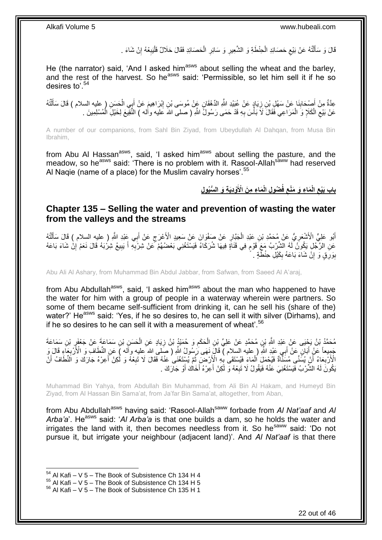قَالَ وَ سَأَلْتُهُ عَنْ بَيْعٍ حَصَائِدِ الْحِنْطَةِ وَ الشَّعِيرِ وَ سَائِرِ الْحَصَائِدِ فَقَالَ حَلَالٌ فَلْيَبِعْهُ إِنْ شَاءَ . ِ ِ ،<br>ا ْ **ٍ ∶** ْ  $\zeta$ ֺ֦֦֪֦֧֦֦֖֦֦֪֦֧֦֪֦֧֦֪֪֦֧֦֪֦֪֪֦֧֦֪֦֧֦֧֦֪֦֧֦֧֦֪֪֦֧֪֦֧֪֦֧֦֧֦֧֝֟֟֟֟֟֟֟֟֟֟֟֟֟֟֟֟֟֟֟֟֟֟֓֕֬֟֓֡֟֓֟֓֞֟֟֓֞֟֟֟֟֟֟֟֩֓֞֟֟֟֟֟֟ َ

He (the narrator) said, 'And I asked him<sup>asws</sup> about selling the wheat and the barley, and the rest of the harvest. So he<sup>asws</sup> said: 'Permissible, so let him sell it if he so desires to'.<sup>54</sup>

ِ عِدَّةٌ مِنْ أَصِنْحَابِذَا عَنْ سَهْلِ بْنِ زِيَادٍ عَنْ عُبَيْدِ اللَّهِ الدَّهْقَانِ عَبْنْ مُوسَى بْنِ إِبْرَاهِيمَ عَنْ أَبِي الْحَسَنِ ( عليه السلام ) قَالَ سَأَلْتُهُ َ ِ ِ **∣** ْ َ ْ عَنْ بَيْعِ الْكَلَإِ وَ الْمَرَاعِي فَقَالَ َلَا بَأْسَ بِهِ قَدْ حَمَى رَسُولُ اللَّهِ ( صلى الله َعليه وأله ) النَّقِيعَ لِخَيْلِ الْمُسْلِمِينَ . ْ  $\zeta$ ْ ِ ا<br>ا ْ

A number of our companions, from Sahl Bin Ziyad, from Ubeydullah Al Dahqan, from Musa Bin Ibrahim,

from Abu Al Hassan<sup>asws</sup>, said, 'I asked him<sup>asws</sup> about selling the pasture, and the meadow, so he<sup>asws</sup> said: 'There is no problem with it. Rasool-Allah<sup>saww</sup> had reserved Al Naqie (name of a place) for the Muslim cavalry horses'.<sup>55</sup>

> باب بَيْع الْمَاعِ وَ مَنْعٍ فُضُولِ الْمَاعِ مِنَ الْأَوْدِيَةِ وَ السُّيُولِ **ِ ِ**

### <span id="page-21-0"></span>**Chapter 135 – Selling the water and prevention of wasting the water from the valleys and the streams**

أَبُو عَلِيٍّ الْأَشْعَرِيُّ عَنْ مُحَمَّدِ بْنِ عَبْدِ الْجَيَّارِ عَنْ صَفْوَانَ عَنْ سَعِيدٍ الْأَعْرَجِ عَنْ أَبِي عَبْدِ اللَّهِ ( عليه السلام ) قَالَ سَأَلْتُهُ َ ِ ِ ْ ِ َ ْ َ ِ عَنِ الرَّجُلِ يَكُونُ لَهُ الشَّرْبُ مَعَ قَوْمٍ فِي قَنَاةٍ فِيهَا شُرَكَاءُ فَيَسْتَغْنِي بَعْضُهُمْ كَّنْ شِرْبِهِ أَ يَبِيعُ شِرْبَهُ قَالَ نَعَمْ إِنْ شَاءَ بَاعَهُ َ ِ م ِ بِوَرِقٍ وَ إِنْ شَاءَ بَاعَهُ بِكَيْلِ حِنْطَّةٍ <sub>.</sub> ِ **׀ ِ** 

Abu Ali Al Ashary, from Muhammad Bin Abdul Jabbar, from Safwan, from Saeed Al A'araj,

from Abu Abdullah<sup>asws</sup>, said, 'I asked him<sup>asws</sup> about the man who happened to have the water for him with a group of people in a waterway wherein were partners. So some of them became self-sufficient from drinking it, can he sell his (share of the) water?' He<sup>asws</sup> said: 'Yes, if he so desires to, he can sell it with silver (Dirhams), and if he so desires to he can sell it with a measurement of wheat'.<sup>56</sup>

مُحَمَّدُ بْنُ يَجْيَى عَنْ عَبْدِ اللَّهِ بْنِ مُحَمَّدٍ عَنْ عَلِيِّ بْنِ الْحَكَمِ وَ حُمَيْدٍۢ بْنُ زِيَادٍ عَنِ الْحَسَنِ بْنِ سَمَاعَةَ عَنْ جَعْفَرٍ بْنِ سَمَاعَةَ ْ **ٍ** ِ ْ ِ جَمِيعاً عَنْ أَبَانٍ عَنْ أَبِي عَبْدِ اللَّهِ ( عليه السِّلام ) قَالَ نَهَى رَسُولُ اللَّهِ ( َصَلّٰىَ اللهُ عليه وأَله ) عَنِ النِّطَافِ وَ الْأَرْبِعَاءِ قَالَ وَ َ َ ِ الْإِزْبِعَاءُ أَنْ يُسَّنًى مُسَنَّأَةٌ فَيُحْمَلَ الْمَاءَ فَيُسْتَقَىٰ بِهِ الْأِزْضَ ثُمَّ يُسْتَغْنَى عَنْهُ فَقَالَ لَا تَبِعْهُ وَ لَكِنْ أَعِرْهُ جَارَكَ وَ النِّطَافُ أَنْ ان<br>المقام العالمية ¦ ْ َ ِ َ َ ِ يَكُونَ لَهُ الشِّرْبُ فَيَسْتَغْنِيَ عَنْهُ فَيَقُولُ لَا تَبِعْهُ وَ لَكِنْ أَعِرْهُ أَخَاكَ أَوْ جَارَكَ . َ َ َ **∶** 

Muhammad Bin Yahya, from Abdullah Bin Muhammad, from Ali Bin Al Hakam, and Humeyd Bin Ziyad, from Al Hassan Bin Sama'at, from Ja'far Bin Sama'at, altogether, from Aban,

from Abu Abdullah<sup>asws</sup> having said: 'Rasool-Allah<sup>saww</sup> forbade from *AI Nat'aaf* and *AI* Arba'a'. He<sup>asws</sup> said: '*Al Arba*'a is that one builds a dam, so he holds the water and irrigates the land with it, then becomes needless from it. So he<sup>saww</sup> said: 'Do not pursue it, but irrigate your neighbour (adjacent land)'. And *Al Nat'aaf* is that there

 $54$  Al Kafi – V 5 – The Book of Subsistence Ch 134 H 4

 $55$  Al Kafi – V 5 – The Book of Subsistence Ch 134 H 5

<sup>56</sup> Al Kafi – V 5 – The Book of Subsistence Ch 135 H 1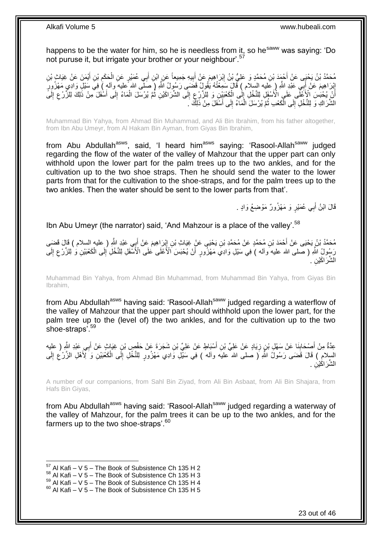happens to be the water for him, so he is needless from it, so he<sup>saww</sup> was saying: 'Do not puruse it, but irrigate your brother or your neighbour'.<sup>57</sup>

مُحَمَّدُ بْنُ يَحْيَى عَنْ أُحْمَدَ بْنِ مُحَمَّدٍ وَ عَلِيُّ بْنُ إِبْرَاهِيمَ عَنْ أَبِيهِ جَمِيعاً عَنِ إبْنِ أَبِي عُمَيْرٍ عَنِ الْحَكَمِ بْنِ أَيْمَنَ عَنْ غِيَاثٍ بْنِ َ ِ َ ِ َ َ ِ ْ إِبْرَاهِيمَ عَنْ أُبِيِّ عَبْدِ اللَّهِ ( عَليه السلام ) قَالَ سَمِعْتُهُ يَقُولُ قَضَبَى رَسُولُ اللَّهِ ( صَلَّى الله عليه وآله ) فِي سَيْلِ وَادِي مَهْزُورِ َ ِ اْنَ يُحْبَسَ الْأَعْلَى عَلَى الْأَسْفَلِ لِلتَّخْلِ إِلَٰى الْكَعْبَيْنِ وَ لِلزَّرْعِ إِلَى الشَّرَاكَيْنِ ثُمَّ يُرْسَلَ الْمَاءُ إِلَى أَسْفَلَ مِنْ ذَٰلِكَ لِلزَّرْعِ إِلَىً ُ ∣∣<br>∶ ِ ْ ∣∣<br>∶ لَ ِ ِ َ ِ ْ الشَّرَاكِ وَ لِلنَّخْلِ إِلَى الْكَعْبِ ثُمَّ يُرْسَلَ الْمَاءُ إِلَى أَسْفَلَ مِنْ ذَلِكَ َ اً ِ ْ ُ ْ  $\frac{1}{2}$ 

Muhammad Bin Yahya, from Ahmad Bin Muhammad, and Ali Bin Ibrahim, from his father altogether, from Ibn Abu Umeyr, from Al Hakam Bin Ayman, from Giyas Bin Ibrahim,

from Abu Abdullah<sup>asws</sup>, said, 'I heard him<sup>asws</sup> saying: 'Rasool-Allah<sup>saww</sup> judged regarding the flow of the water of the valley of Mahzour that the upper part can only withhold upon the lower part for the palm trees up to the two ankles, and for the cultivation up to the two shoe straps. Then he should send the water to the lower parts from that for the cultivation to the shoe-straps, and for the palm trees up to the two ankles. Then the water should be sent to the lower parts from that'.

> قَالَ ابْنُ أَبِي عُمَيْرٍ وَ مَهْزُورٌ مَوْضِعُ وَادٍ . َ

Ibn Abu Umeyr (the narrator) said, 'And Mahzour is a place of the valley'.<sup>58</sup>

مُحَمَّدُ بْنُ يَحْيَى عَنْ أَحْمَدَ بْنِ مُحَمَّدٍ عَنْ مُحَمَّدِ بْنِ يَحْيَى عَنْ غِيَاثِ بْنِ إِبْرَاهِيمَ عَنْ أَبِي عَبْدِ اللَّهِ ( عليه السلام ) قَالَ قَضَى<br>. َ ِ لَ ِ رَسُولُ اللَّهِ ( صلى الله عليه وآله ) فِي سَيْلِ وَادِي مَهْزُورٍ أَنْ يُحْبَسَ الْأَعْلَى عَلَى الْأَسْفَلِ لِلنَّخْلِ إِلَى الْكَعْبَيْنِ وَ لِلزَّرْعِ إِلَى َ لَ ِ ِ ْ الشَّرَ اكَيْنِ .

Muhammad Bin Yahya, from Ahmad Bin Muhammad, from Muhammad Bin Yahya, from Giyas Bin Ibrahim,

from Abu Abdullah<sup>asws</sup> having said: 'Rasool-Allah<sup>saww</sup> judged regarding a waterflow of the valley of Mahzour that the upper part should withhold upon the lower part, for the palm tree up to the (level of) the two ankles, and for the cultivation up to the two shoe-straps'.<sup>59</sup>

عِدَّةٌ مِنْ أَصِحْابِنَا عَنْ سَهْلٍ بْنٍ زِيَادٍ عَنْ عَلِيِّ بْنِ أَسْيَاطٍ عَنْ عَلِيٍّ بْنِ شَجَرَةَ عَنْ حَفْصٍ بْنٍ غِيَاثٍ عَنْ أَبِي عَبْدِ اللَّهِ ( عليه َ ِ **∣** َ َ السلامِ ۖ) قَالَ قَضَى رَسُولُ اللَّهِ ( صلى الله عليه وآله ) فِي سَيْلِ وَادِي مَهْزُورٍ لِلنَّخْلِ إِلَى الْكَعُبَيْنِ وَ َلِّأَهْلِ الزَّرْعِ إِلَى لَ ِ ِ ْ ِ الشَّرَ اكَيْنِ .

A number of our companions, from Sahl Bin Ziyad, from Ali Bin Asbaat, from Ali Bin Shajara, from Hafs Bin Giyas,

from Abu Abdullah<sup>asws</sup> having said: 'Rasool-Allah<sup>saww</sup> judged regarding a waterway of the valley of Mahzour, for the palm trees it can be up to the two ankles, and for the farmers up to the two shoe-straps'. $60$ 

 $57$  Al Kafi – V 5 – The Book of Subsistence Ch 135 H 2

 $58$  Al Kafi – V 5 – The Book of Subsistence Ch 135 H 3

 $^{59}$  Al Kafi – V 5 – The Book of Subsistence Ch 135 H 4

 $60$  Al Kafi – V 5 – The Book of Subsistence Ch 135 H 5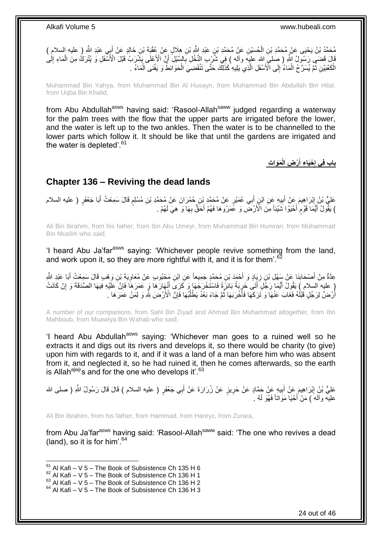مُحَمَّدُ بْنُ يَحْيَى عَنْ مُحَمَّدِ بْنِ الْحُسَيْنِ عَنْ مُحَمَّدِ بْنِ عَبْدِ اللَّهِ بْنِ هِلَالٍ عَنْ عُقْبَةَ بْنِ خَالِدٍ عَنْ أَبِي عَبْدِ اللَّهِ ( عليه السلام ) ْ َ قَالَ قَضَـهِ رَسُولُ اللَّهِ ( صِلمَ اللهِ عليه وآله ) فِي شُرْبِ النَّخْلِ بِالسَّيْلِ أَنَّ الْأَعْلَى بَشْرَبُ قَبْلَ الْأَسْفَلِ وَ يُتْرَكُ مِنَ الْمَاءِ إِلَٰى اُ ِ ِ ْ لَ ∣∣<br>∶ الْكَعْبَيْنِ ثُمَّ يُسَرَّحُ الْمَاءُ إِلَى الْأَسْفَلِ الَّذِي يَلِيهِ كَذَلِكَ حَتَّى تَنْقَضِيَ الْحَوَائِطُ وَ يَفْنَى الْمَاءُ . ْ ُ ْ ْ ْ َّ

Muhammad Bin Yahya, from Muhammad Bin Al Husayn, from Muhammad Bin Abdullah Bin Hilal, from Uqba Bin Khalid,

from Abu Abdullah<sup>asws</sup> having said: 'Rasool-Allah<sup>saww</sup> judged regarding a waterway for the palm trees with the flow that the upper parts are irrigated before the lower. and the water is left up to the two ankles. Then the water is to be channelled to the lower parts which follow it. It should be like that until the gardens are irrigated and the water is depleted'.<sup>61</sup>

> **َمَوا ِت ْر ِض الْ ْحَيا ِء أ باب فِي إ َ ِ**

# <span id="page-23-0"></span>**Chapter 136 – Reviving the dead lands**

عَلِيُّ بْنُ إِبْرَاهِيمَ عَنْ أَبِيهِ عَنِ ابْنِ إِبِي عُمَيْرٍ عَنْ مُحَمَّدِ بْنِ حُمْرَانَ عَنْ مُحَمَّدِ بْنِ مُسْلِمٍ قَالَ سَمِعْتُ أَبَا جَعْفَرٍ ( عليه السلام م َ **!** َ ِ َ ) يَقُولُ أَيُّمَا ۖ قَوْمٍ أَحْيَوْا شَيْئاً مِنَ الْأَرْضَٰ وَ عََّمَرُوهَا فَهُمْ أَحَقُّ بِهَا وَ هِيَ لَهُمْ . َ َ َ ֧֧֧֧֧֧֧֧֧֓֝֓֝֓֝֓֝֬֟֓֓֝֓֓֝֬֓֝֓<del>֛</del>

Ali Bin Ibrahim, from his father, from Ibn Abu Umeyr, from Muhammad Bin Humran, from Muhammad Bin Muslim who said,

'I heard Abu Ja'far<sup>asws</sup> saying: 'Whichever people revive something from the land, and work upon it, so they are more rightful with it, and it is for them'.<sup>6</sup>

عِدَّةٌ مِنْ أَصْحَابِنَا عَنْ سَهْلِ بْنِ زِيَبِادٍ وَ أَحْمَدَ بْنِ مُحَمَّدٍ جَمِيعاً عَنِ ابْنِ مَحْبُوبِ عَنْ مُعَاوِيَةَ بْنِ وَهْبِ قَالَ سَمِعْتُ أَبَا عَبْدِ اللَّهِ ِ َ ِ ِ َ َ إِ عليه السلام ِ) يَقُولُ أَيُّمَا رَجُلٍ أَتَنِي خَرِيَةً بَائِرَةً فَاسْتُخْرَجَهَا وَ كَرَيَ أَنْهَارَهَا وَ عَمَرَهَا فَإِنَّ عَلَيْهِ فِيهَا الصَّدَقَةَ وَ إِنْ كَانَتْ ِ َ ِ َ َ أَرْضٌ لِرَجُلٍ قُبْلُهُ فَغَابَ عَنْهَا وَ تَرَكَهَا فَأَخْرَبَهَا ثُمَّ جَاءَ بَعْدُ يَطْلُبُهَا فَإِنَّ الْأَرْضَ شِّهِ وَ لِمَنْ عَمَرَهَا لَـ اُ ∣ٍ إ ا ُ َ

A number of our companions, from Sahl Bin Ziyad and Ahmad Bin Muhammad altogether, from Ibn Mahboub, from Muawiya Bin Wahab who said,

'I heard Abu Abdullah<sup>asws</sup> saying: 'Whichever man goes to a ruined well so he extracts it and digs out its rivers and develops it, so there would be charity (to give) upon him with regards to it, and if it was a land of a man before him who was absent from it, and neglected it, so he had ruined it, then he comes afterwards, so the earth is Allah<sup>ajwj</sup>'s and for the one who develops it'.<sup>63</sup>

عَلِيُّ بْنُ إِبْرَاهِيمَ عَنْ أَبِيهِ عَنْ جَمَّادٍ عَنْ حَرِيزٍ عَنْ زُرَارَةَ عَنْ أَبِي جَعْفَرٍ ( عليه السلام ) قَالَ قَالَ رَسُولُ اللَّهِ ( صلى الله َ **∶ !** َ ِ عليه وألهُ ) مَنْ أَحْيَا مَوَاتاً فَهُوَ لَهُ . َ

Ali Bin Ibrahim, from his father, from Hammad, from Hareyz, from Zurara,

from Abu Ja'far<sup>asws</sup> having said: 'Rasool-Allah<sup>saww</sup> said: 'The one who revives a dead (land), so it is for him'.  $64$ 

 $61$  Al Kafi – V 5 – The Book of Subsistence Ch 135 H 6

 $62$  Al Kafi – V 5 – The Book of Subsistence Ch 136 H 1

 $^{63}$  Al Kafi – V 5 – The Book of Subsistence Ch 136 H 2

 $64$  Al Kafi – V 5 – The Book of Subsistence Ch 136 H 3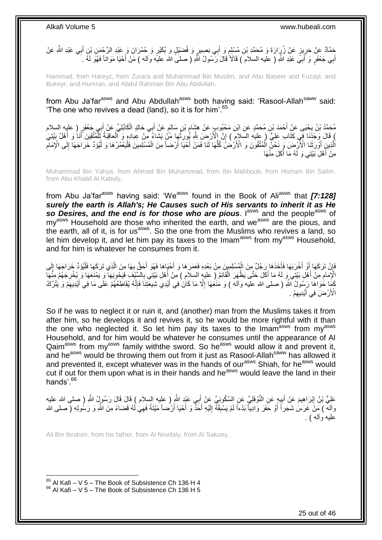ِجَمَّادٌ عَنْ حَرِيزٍ عَنْ زُرٍَارَةَ وَ مُحَمَّدِ بْنِ مُسْلِمٍ وَ أَبِي بَصِيرٍ وَ فُضَيْلٍ وَ بُكَيْرٍ وَ حُمْرَانَ وَ عَبْدِ الرَّحْمَنِ بْنِ أَبِي عَبْدِ الثَّهِ عَنْ َ ֧׆֧<br>ֺ֧֠ ِ َ أَبِي جَعْفَرٍ وَ أَبِيَ عَبْدِ اللَّهِ ( عليه السلام َ) قَالَأَ قَالَ رَسُولُ اللَّهِ ( صلى الله عليه وأله ) مَنْ أَحْيَا مَوَاتًا فَهُوَ لَمُهُ ـ َ َ َ

Hammad, from Hareyz, from Zurara and Muhammad Bin Muslim, and Abu Baseer and Fuzayl, and Bukeyr, and Humran, and Abdul Rahman Bin Abu Abdullah,

from Abu Ja'far<sup>asws</sup> and Abu Abdullah<sup>asws</sup> both having said: 'Rasool-Allah<sup>saww</sup> said: 'The one who revives a dead (land), so it is for him'.<sup>65</sup>

مُحَمَّدُ بْنُ يَحْيَى عَنْ أَحْمَدَ بْنِ مُحَمَّدٍ عَنِ ابْنِ مَحْيُوبٍ عَنْ هِشَامٍ بْنِ سَالِمٍ عَنْ أَبِي خَالِدٍ الْكَابُلِيِّ عَنْ أَبِي جَعْفَرٍ ( عليه السلام َ ْ َ ֧֧֖֧֖֧֖֧֧֧֧֧֧֧֧֧֧֧֧֚֚֚֓֝֝֝֝֝֟֓֝֓֬֝֓֝֬֟֓֟֓֝֬֟֓֟֓֝֬֝֬֝֓֟֓֝֬֜֝֬֝֓֝֬֝֓ **ื้** ﴾ قَالَ وَجَدْنَا فِي كِتَابِ عَلِيٍّ ( عِليه السَلامِ ) إِنَّ إِلْأَرْضَ شَّهِ يُورِثُها مَنْ يَشاءُ مِّنْ عِبادِهِ وَ ٱلْعاقِبَةُ لِلْمُنْتَقِينَ أَنَا وَ أَهْلُ بَيْتِيَ ْ ُ ِ ِ َ َ ْ الَّذِينَِ أَوْرَثَنَا الْأَرْضَ وَ نَحْنٌ الْمُتَّقُونَ وَ الْأَرْضُ كُلُّهَا لَنَا فَمَنْ أَخَيَّا أَرْضاً مِنَ الْمُسْلِمِينَ فَلْيَعْمُرْهَا وَ لْيُوَدِّ خَرَاجَهَا إِلَى الْإِمَامِ ْ اُ َ ُّ ْ **ٔ** َّ ِ ِ ْ ْ مِنْ أَهْلِ بَيْتِي وَ لَهُ مَا أَكَلَ مِنْهَا َ

Muhammad Bin Yahya, from Ahmad Bin Muhammad, from Ibn Mahboub, from Hisham Bin Salim, from Abu Khalid Al Kabuly,

from Abu Ja'far<sup>asws</sup> having said: 'We<sup>asws</sup> found in the Book of Ali<sup>asws</sup> that **[7:128]** *surely the earth is Allah's; He Causes such of His servants to inherit it as He*  so Desires, and the end is for those who are pious. I<sup>asws</sup> and the people<sup>asws</sup> of  $mv<sup>asws</sup>$  Household are those who inherited the earth, and we<sup>asws</sup> are the pious, and the earth, all of it, is for us<sup>asws</sup>. So the one from the Muslims who revives a land, so let him develop it, and let him pay its taxes to the Imam<sup>asws</sup> from  $mv<sup>asws</sup>$  Household. and for him is whatever he consumes from it.

فَإِنْ تَرَكَهَا أَوْ أَخْرَبَهَا فَأَخَذَهَا ِرَجُلٌ مِنَ الْمُسْلِمِينَ مِنْ بَعْدِهِ فَعَمَرَهَا وَ أَحْيَاهَا فَهُوَ أَحَقُّ بِهَا مِنَ الَّذِي تَرَكَهَا فَلْيُؤَدِّ خَرَاجَهَا إِلَى َ ْ َ َ ِ ِ ْ َّ **∶** الْإِمَامِ مِنْ أَهْلِ بَيْتِي وَ لَهُ مَا أَكَلَ حَتَّى يَظْهَرَ الْقَائِمُ ( عليه السلام ) مِنْ أَهْلِ بَيْتِي بِالسِّيْفَ فَيَحْوِيَهَا وَ يَمْنَعَهَا وَ يُخْرِجَهُمْ مِنْهَا ْ َ ِ ِ ِ ِ َ كَمَا خَوَاهَا رَسُولُ ٱللَّهِ ( صلى الله عليه وآله ) وَ مَنَعَهَا إِلَّا مَا كَانَ فِي أَيْدِيَ شِيعَتِنَا فَإِنَّهُ يُقَاطِعُهُمْ عَلَى مَا فِي أَيْدِيهِمْ وَ يَتْرُكُ ∣اٍ َ ِ َ ِ الْأَرْضَ فِي أَيْدِيْهِمْ . ِ َ

So if he was to neglect it or ruin it, and (another) man from the Muslims takes it from after him, so he develops it and revives it, so he would be more rightful with it than the one who neglected it. So let him pay its taxes to the Imam<sup>asws</sup> from  $mv^{assws}$ Household, and for him would be whatever he consumes until the appearance of Al Qaim<sup>asws</sup> from my<sup>asws</sup> family withthe sword. So he<sup>asws</sup> would allow it and prevent it, and he<sup>asws</sup> would be throwing them out from it just as Rasool-Allah<sup>saww</sup> has allowed it and prevented it, except whatever was in the hands of our<sup>asws</sup> Shiah, for he<sup>asws</sup> would cut if out for them upon what is in their hands and he<sup>asws</sup> would leave the land in their hands'.<sup>66</sup>

عَلِيُّ بْنُ إِبْرَاهِيمَ عَنِْ أَبِيهٍ عَنِ النَّوْفَلِيِّ عَنِ السَّكُونِيِّ عَنْ أَبِي عَبْدٍ النَّهِ ( عليه السلام ) قَالَ قَالَ رَسُولٍ ُ النَّهِ ( صلى الله عليه َ !!<br>∶ ِ وآله ۖ ) مَنْ غَرَسَٰ شَجَراً أَوْ حَفَرَ وَادِيآً بَدْءاً لَمْ يَسْبِقْهُۚ إِلَيْهِ أَحَدٌّ وَ أَحْيَا أَرْضناً مَيْتَةً فَهِيَٰ لَٰهُ قَضَاءً مِنَ اللَّهِ وَ رَسُولِهِ ( صلى الله َ لَ ∣∣<br>ِ **∣** لَ َ ِ اً عليه وأله ) .

Ali Bin Ibrahim, from his father, from Al Nowfaly, from Al Sakuny,

 $65$  Al Kafi – V 5 – The Book of Subsistence Ch 136 H 4  $66$  Al Kafi – V 5 – The Book of Subsistence Ch 136 H 5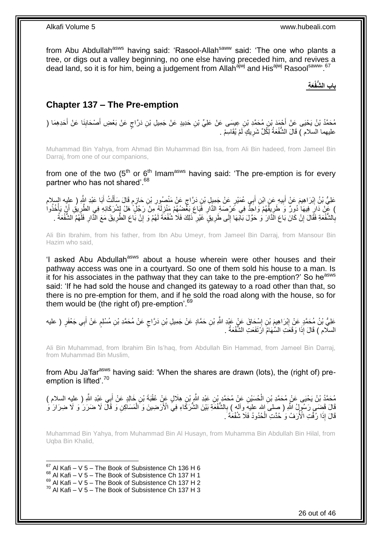from Abu Abdullah<sup>asws</sup> having said: 'Rasool-Allah<sup>saww</sup> said: 'The one who plants a tree, or digs out a valley beginning, no one else having preceded him, and revives a dead land, so it is for him, being a judgement from Allah<sup>ajwj</sup> and His<sup>ajwj</sup> Rasool<sup>saww, 67</sup>

## **َع ِة باب ال ُّشفْ**

## <span id="page-25-0"></span>**Chapter 137 – The Pre-emption**

مُحَمَّدُ بْنُ يَحْيَى عَنْ أَجْمَدَ بْنِ مُحَمَّدِ بْنِ عِيسَى عَنْ عَلِيٍّ بْنِ حَدِيدٍ عَنْ جَمِيلِ بْنِ دَرَّاجٍ عَنْ بَعْضِ أَصْحَابِنَا عَنْ أَحَدِهِمَا ( َ َ ِ َ ٍ عليهما السلام ) قَالَ الشُّفْعَةُ لِكُلِّ شَرِيكٍ لَمْ يُقَاسِمْ . ِ

Muhammad Bin Yahya, from Ahmad Bin Muhammad Bin Isa, from Ali Bin hadeed, from Jameel Bin Darraj, from one of our companions,

from one of the two  $(5<sup>th</sup>$  or  $6<sup>th</sup>$  Imam<sup>asws</sup> having said: 'The pre-emption is for every partner who has not shared'.<sup>68</sup>

ٍ عَلِيُّ بْنُ إِبْرَاهِيمَ عَنْ أَبِيهِ عَنِ ابْنِ أَبِي عُمَيْرٍ عَنْ جَمِيلٍ بْنِ دَرَّاجٍ عَنْ مَنْصُورِ بْنِ حَازِمٍ قَالَ سَأَلْتُ أَبَا عَبْدِ اللَّهِ ( عليه السلام َ **!** ِ َ ْ ĺ م<br>م ِ **ٍ** ) عَنْ ذَارِ فِيهَا ٰدُوِرٌ وَ طَرِيفَهُمْ وَاحَدٌّ فِي عُرْصَةِ الذَّارِ فَبَاعَ بَعْضُهُمْ مَنْزِلَهُ مِنْ رَجُلٍّ هَلْ لِشُرَكَائِهِ فِي الطَّرِيقِ أَنْ يَأْخُذُوا لَ ِ **∶** ِ ْ َ ِ بِالشُّفْعَةِ فَقَالَ إِنْ كَانَ بَاعَ الَّذَارَ وَ حَوَّلَ بَابَهَا إِلَى طَرِيقٍ غَيْرِ ذَلِكَ فَلَا شُفْعَةَ لَهُمْ وَ إِنْ بَاعَ الطَّرِيقَ مَعَ الْذَارِ فَلَهُمُ الشُّفْعَةُ . **∶** ِ ِ ِ ِ ِ ֧<u>׀</u> ِ

Ali Bin Ibrahim, from his father, from Ibn Abu Umeyr, from Jameel Bin Darraj, from Mansour Bin Hazim who said,

'I asked Abu Abdullah<sup>asws</sup> about a house wherein were other houses and their pathway access was one in a courtyard. So one of them sold his house to a man. Is it for his associates in the pathway that they can take to the pre-emption?' So he<sup>asws</sup> said: 'If he had sold the house and changed its gateway to a road other than that, so there is no pre-emption for them, and if he sold the road along with the house, so for them would be (the right of) pre-emption'.<sup>69</sup>

عَلِيُّ بْنُ مُحَمَّدٍ عَنْ إِبْرَاهِيمَ بْنِ إِسْحَاقَ عَنْ عَبْدِ اللَّهِ بْنِ حَمَّادٍ عَنْ جَمِيلِ بْنِ دَرَّاجٍ عَنْ مُحَمَّدِ بْنِ مُسْلِمٍ عَنْ أَبِي جَعْفَرٍ ( عليه ٍ ِ ِ َ م<br>وا السلّام ) قَالَ إِذَا وَقَعَتِ السِّهَامُ ارْتَفَعَتِ الشُّفْعَةُ .

Ali Bin Muhammad, from Ibrahim Bin Is'haq, from Abdullah Bin Hammad, from Jameel Bin Darraj, from Muhammad Bin Muslim,

from Abu Ja'far<sup>asws</sup> having said: 'When the shares are drawn (lots), the (right of) preemption is lifted'.<sup>70</sup>

مُحَمَّدُ بْنُ يَحْيَى عَنْ مُحَمَّدِ بْنِ الْحُسَيْنِ عَنْ مُحَمَّدٍ بْنِ عَبْدِ اللَّهِ بْنِ هِلَالٍ عَنْ عُقْبَةَ بْنِ خَالِدٍ عَنْ أَبِي عَبْدِ اللَّهِ ( عليه السلام ) َ ْ قَالَ قَضَـمِ رَسُولُ اللَّهِ ( صلى الله عليهِ وآله ) بِالشُّفْعَةِ بَيْنَ الشُّرَكَّاءِ فِي الْأَرَضِينَ وَ الْمَسَلَكِنِ وَ قَالَ لَا ضَرَرَ ُ وَ لَا ضِرَارَ وَ ْ ِ قَالَ إِذَا رُفَّتِ الْأُرَفُ وَ حُدَّتِ الْحُدُودُ فَلَا شُفْعَةَ ۚ. ْ

Muhammad Bin Yahya, from Muhammad Bin Al Husayn, from Muhamma Bin Abdullah Bin Hilal, from Uqba Bin Khalid,

1  $67$  Al Kafi – V 5 – The Book of Subsistence Ch 136 H 6

- $68$  Al Kafi V 5 The Book of Subsistence Ch 137 H 1
- $^{69}$  Al Kafi V 5 The Book of Subsistence Ch 137 H 2

 $70$  Al Kafi – V 5 – The Book of Subsistence Ch 137 H 3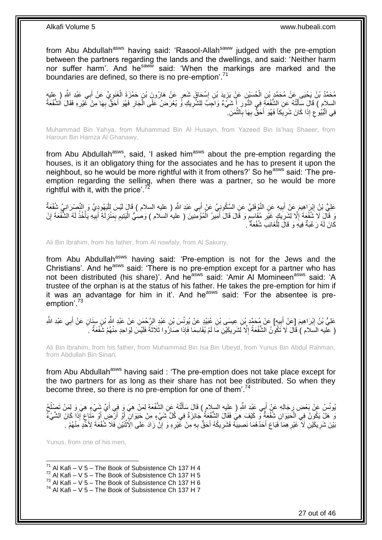from Abu Abdullah<sup>asws</sup> having said: 'Rasool-Allah<sup>saww</sup> judged with the pre-emption between the partners regarding the lands and the dwellings, and said: 'Neither harm nor suffer harm'. And he<sup>saww</sup> said: 'When the markings are marked and the boundaries are defined, so there is no pre-emption<sup>'.71</sup>

مُحَمَّدُ بْنُ يَحْيَى عَنْ مُحَمَّدٍ بْنِ الْحُسَيْنِ عَنٍْ يَزِيدَ بْنِ إِسْحَاقَ شَعِرٍ عَنْ هَارُونَ بْنِ حَمْزَةَ الْغَنَوِيِّ عَنْ أَبِي عَبْدِ اللَّهِ ( عليه<br>مُحَمَّدُ بْنُ يَحْيَى عَبْدِ اللَّهِ ( عليه ِ َ **∶** ْ ∣l<br>∶  $\ddot{\cdot}$ ْ السلامِ ) قَالَ سَأَلْتُهُ عَنِ الشُّفْعَةِ فِي الدُّوَرِ إِنَّ شَيْءٌ وَاجَبٌ لِلشَّرِيكِ وَّ يُعْرَضُ عَلَى الْجَارِ فَهُوَ أَحَقٌّ بِهَا مِنْ غَيْرِهِ فَقَالَ الشُّفْعَةُ َ **∶** ْ ِ ِ **∶** َ ِ ْ فِي الْبُيُوعِ إِذَا كَانَ شَرِيَكاً فَهُوَ أَحَقٌّ بِهَا بِالثَّمَنِ. ۖ َّ **∶ ∶** َ ِ ِ ֖֦֧֦֦֧֦֦֖֦֧֦֖֦֧֦֦֧֦֪֦֧֦֪֦֧֦֧֦֡֟֟֟֟֟֟֟֟֟֟֟֟֟֟֟֟֟֟֟֟֟֟֟֟֟֟֟֓֕֬֟֓֕֟֟֓֕֓֞֟֟֓֞֟֟֓֞֟֟֓֞֟֟֟

Muhammad Bin Yahya, from Muhammad Bin Al Husayn, from Yazeed Bin Is'haq Shaeer, from Haroun Bin Hamza Al Ghanawy,

from Abu Abdullah<sup>asws</sup>, said, 'I asked him<sup>asws</sup> about the pre-emption regarding the houses, is it an obligatory thing for the associates and he has to present it upon the neighbout, so he would be more rightful with it from others?' So he<sup>asws</sup> said: 'The preemption regarding the selling, when there was a partner, so he would be more rightful with it, with the price'. $^{72}$ 

عَلِيُّ بْنُ إِبْرَاهِيمَ عَنْ أَبِيهِ عَنِ النَّوْفَلِيِّ عَنِ السَّكُونِيِّ عَنْ أَبِي عَبْدِ اللَّهِ ( عليه السلام ) قَالَ لَيْسَ لِلْيَهُودِيِّ وَ النَّصْرَانِيِّ شُفُعَةٌ َ **!** َ ِ ْ لَ رَ قَالَ لَا تَشْفُعَةَ إِلَّا لِشَرِيكٍ غَيْرِ مُقَاسِمٌ وَ قَالَ قَالَ أَمِيرُ الْمُؤْمِّنِينَ ( عليهُ السلام ) وَصِٰيُّ الْيَتِيم بِمَنْزِلَةِ أَبِيّهِ يَأْخُذُ لَهُ الشَّفْعَةَ إِنْ َ ٍ **∶** ¦ ِ ِ لَ ْ ِ َ لَ ِ ِ ِ ْ ْ كَانَ لَهُ رَغْبَةٌ فِيهِ وَ قَالَ لِلْغَائِبِ شُفْعَةٌ ۚ . ْ

Ali Bin Ibrahim, from his father, from Al nowfaly, from Al Sakuny,

from Abu Abdullah<sup>asws</sup> having said: 'Pre-emption is not for the Jews and the Christians'. And he<sup>asws</sup> said: 'There is no pre-emption except for a partner who has not been distributed (his share)'. And he<sup>asws</sup> said: 'Amir Al Momineen<sup>asws</sup> said: 'A trustee of the orphan is at the status of his father. He takes the pre-emption for him if it was an advantage for him in it'. And he<sup>asws</sup> said: 'For the absentee is preemption'.<sup>73</sup>

عَلِيُّ بْنُ إِبْرَاهِيمَ [عَنْ أَبِيهِ] عَنْ مُحَمَّدٍ بْنِ عِيسَى بْنِ عُبَيْدٍ عَنْ يُونُسَ بْنِ عَبْدِ الرَّحْمَنِ عَنْ عَبْدِ اللَّهِ بْنِ سِنَانٍ عَنْ أَبِي عَبْدِ اللَّهِ **∣** َ ِ َ ( عليه السلام ) قَالَ لَا تَكُونُ الشُّفْعَةُ إِلَّا لَشَرِيكَيْنِ مَا لَمْ يُقَاسِمَا فَإِذَا صَارُوا ثَلاَثَةً فَلَيْسَ لِوَاحِدٍ مِنْهُمْ شُفْعَةٌ . ِ ِ َ

Ali Bin Ibrahim, from his father, from Muhammad Bin Isa Bin Ubeyd, from Yunus Bin Abdul Rahman, from Abdullah Bin Sinan,

from Abu Abdullah<sup>asws</sup> having said : 'The pre-emption does not take place except for the two partners for as long as their share has not bee distributed. So when they become three, so there is no pre-emption for one of them'.<sup>74</sup>

يُونُسُ عَنْ بَعْضِ رِجَالِهِ عَنْ أَبِي عَبْدِ اللَّهِ ( عِليه السلام ) قَالَ سَأَلْتُهُ عَنِ الشُّفْعَةِ لِمَنْ هِيَ وَ فِي أَيِّ شِّيْءٍ هِيَ وَ لِمَنْ تَصِلْحُ ْ َ َ ِ َ ُ َوَ هَلْ يَكُونُ فِي الْحَيَوَانِ شُفْعَةٌ وَ كَيْفَ هِيَ فَقَالَ الشُّفْعَةُ جَائِزَةٌ فِي كُلِّ شَيْءٍ مِنْ جَيَوَانٍ أَوْ أَرْضٍ أَوْ مَتَاعٍ إِذَا كَانَ الشَّيْءُ ْ ٍ َ َ َ بَيْنَ شَرِيكَيْنِ لَا ۖ غَيْرِ هِمَا َفَبَاعَ أَحَدُّهُمَا نَصِيبَهُ فَشَرِيكُهُ أَحَقُّ بِهِ مِنْ غَيْرِهِ وَ إِنَّ زَادَ عَلَى الِّأَثْنَيْنِ فَلَا شُفْعَةَ لِأَحَدٍ مِنْهُمْ بِ ِ ْ ِ ِ ِ َ **∶** َ **∶** 

Yunus, from one of his men,

1

 $71$  Al Kafi – V 5 – The Book of Subsistence Ch 137 H 4

 $72$  Al Kafi – V 5 – The Book of Subsistence Ch 137 H 5

 $73$  Al Kafi – V 5 – The Book of Subsistence Ch 137 H 6

 $^{74}$  Al Kafi – V 5 – The Book of Subsistence Ch 137 H 7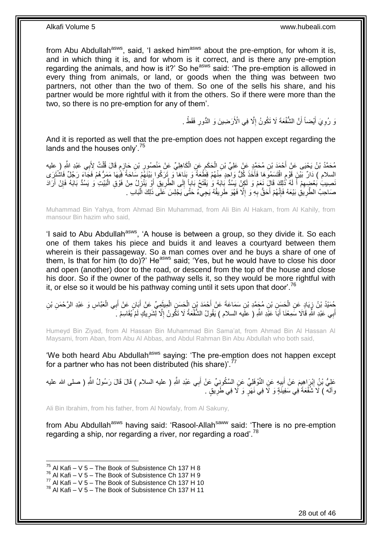from Abu Abdullah<sup>asws</sup>, said, 'I asked him<sup>asws</sup> about the pre-emption, for whom it is, and in which thing it is, and for whom is it correct, and is there any pre-emption regarding the animals, and how is it?' So he<sup>asws</sup> said: 'The pre-emption is allowed in every thing from animals, or land, or goods when the thing was between two partners, not other than the two of them. So one of the sells his share, and his partner would be more rightful with it from the others. So if there were more than the two, so there is no pre-emption for any of them'.

> نَّ رُوِيَ أَيْضاً أَنَّ الشُّفْعَةَ لَا تَكُونُ إِلَّا فِي الْأَرَضِينَ وَ الدُّورِ فَقَطْ . **∶** ِ َ َ ِ

And it is reported as well that the pre-emption does not happen except regarding the lands and the houses only'.<sup>75</sup>

مُحَمَّدُ بْنُ يَحْيَى عَنِْ أَحْمَدَ بْنِ مُحَمَّدٍ عَنْ عَلِيِّ بْنِ الْحَكَمِ عَنِ الْكَاهِلِيِّ عَنْ مَنْصُورِ بْنِ حَإِرِمِ قَالَ قُلْتُ لِأَبِي عَبْدِ اللَّهِ ( عليه ْ ֧֖֧֚֚֓֝֝֝ ِ ِ ْ ِ ْ السلام ) دَارٌ بَيْنَ قَوْمِ اقْتَسَمُوَهَا فَأَخَذَ كُلُّ وَاجِدٍ مِنْهُمْ قِطْعَةً وَ بَنَاهَا ۖ وَ تَرَكُوا بَيْنَهُمْ سَاحَةً فَيُهَا مَمَرُّهُمْ فَجَآءَ رَجُلٌ فَاشْتَرَى ا<br>است ٍ َضِيبِ بَعْضٍهِمْ أَ لَهُ ذُٰلِكَ قَالٍٓ نَعَمْ وَ لَكِنْ يَسُدُّ بَابَهُ وَ يَفْتَحُ بَاباً إِلَى الْطَّرِيقِ أَوْ يَنْزِلُ مِنْ فَوْقِ الْبَيْتِ وَ يَسُدُّ بَابَهُ فَإِنْ أَرَادَ ₹ َ ِ ِ لَ َ ِ َ ∣ļ ْ صَاحِبُ الطَّرِيَقِ بَيْعَهُ فَإِنَّهُمْ أَحَقُّ بِهِ وَ إِلَّا فَهُوَ طَرِيقُهُ يَجِيءُ حَتَّىَ يَجْلِسَ عَلَى ذَلِكَ الْبَابِ . ِ **∶ ∶** ِ **∶** َ ْ

Muhammad Bin Yahya, from Ahmad Bin Muhammad, from Ali Bin Al Hakam, from Al Kahily, from mansour Bin hazim who said,

'I said to Abu Abdullah<sup>asws</sup>, 'A house is between a group, so they divide it. So each one of them takes his piece and buids it and leaves a courtyard between them wherein is their passageway. So a man comes over and he buys a share of one of them, Is that for him (to do)?' He<sup>asws</sup> said; 'Yes, but he would have to close his door and open (another) door to the road, or descend from the top of the house and close his door. So if the owner of the pathway sells it, so they would be more rightful with it, or else so it would be his pathway coming until it sets upon that door'.<sup>76</sup>

حُمَّيْدُ بْنُ زِيَادٍ عَنِ الْحَسَنِ بْنِ مُجَمَّدِ بْنِ سَمَاعَةَ عَنْ أَحْمَدَ بْنِ الْحَسَنِ الْمِيثَمِيِّ عَنْ أَبَانٍ عَنْ أَبِي الْعَبَّاسِ وَ عَبْدِ الرَّحْمَنِ بْنِ َ َ ْ ْ َ ْ ِ ْ َ أَبِي عَبْدِ اللَّهِ قَالَا سَمِعْنَا أَبَاَ عَلَدِ اللَّهِ ( علَيه السلام ) يَقُولُ الشُّفْعَةُ لَا تَكُونُ إِلَّا لِّشَرِيكٍ لَمْ يُقَاسِمْ ـَ َ َ **∶** ِ

Humeyd Bin Ziyad, from Al Hassan Bin Muhammad Bin Sama'at, from Ahmad Bin Al Hassan Al Maysami, from Aban, from Abu Al Abbas, and Abdul Rahman Bin Abu Abdullah who both said,

'We both heard Abu Abdullah<sup>asws</sup> saying: 'The pre-emption does not happen except for a partner who has not been distributed (his share)'.<sup>7</sup>

عَلِيُّ بْنُِ إِبْرَاهِيمَ عَنْ أَبِيهِ عَنِ النَّوْفَلِيِّ عَنِ السَّكُونِيِّ عَنْ أَبِي عَبْدِ اللَّهِ ( عليه السلام ) قَالَ قَالَ رَسُولُ اللَّهِ ( صلى الله عليه َ ¦; ِ وآله ) لَا َشُفْعَةَ فِي سَفِينَةٍ وَ لَا فِي نَهَرٍ وَ لَا فِي طَرِّيقٍ . ِ

Ali Bin Ibrahim, from his father, from Al Nowfaly, from Al Sakuny,

from Abu Abdullah<sup>asws</sup> having said: 'Rasool-Allah<sup>saww</sup> said: 'There is no pre-emption regarding a ship, nor regarding a river, nor regarding a road'.<sup>78</sup>

<sup>1</sup>  $^{75}$  Al Kafi – V 5 – The Book of Subsistence Ch 137 H 8

 $^{76}$  Al Kafi – V 5 – The Book of Subsistence Ch 137 H 9

 $77$  Al Kafi – V 5 – The Book of Subsistence Ch 137 H 10

 $^{78}$  Al Kafi – V 5 – The Book of Subsistence Ch 137 H 11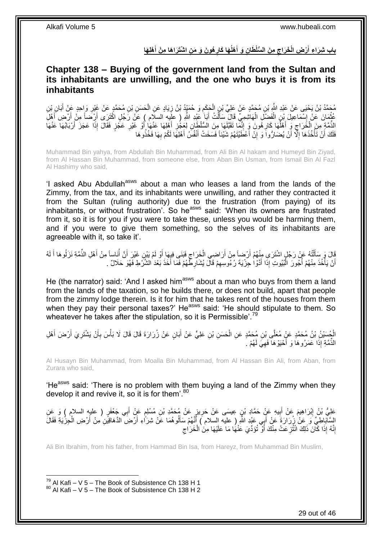باب شِرَاءِ أَرْضِ الْخَرَاجِ مِنَ السُّلْطَانِ وَ أَهْلُهَا كَارِهُونَ وَ مَنِ اشْتَرَاهَا مِنْ أَهْلِهَا **َ ِ َ ِ َ**

### <span id="page-28-0"></span>**Chapter 138 – Buying of the government land from the Sultan and its inhabitants are unwilling, and the one who buys it is from its inhabitants**

مُحَمَّدُ بْنُ يَحْيَى عَنْ عَبْدِ اللَّهِ بْنِ مُحَمَّدٍ عَنْ عَلِيٍّ بْنِ الْحَكَمِ وَ حُمَيْدُ بْنُ زِيَادٍ عَنِ الْحَسَنِ بْنِ مُحَمَّدٍ عَنْ غَيْرِ وَإِحدٍ عَنْ أَبَانٍ بْنِ ْ ِ ِ ْ َ ِ ِّ مُّثْمَانَ عَنْ إِسْمَاعِيلَ بْنِ الْفَضْلَ الْهَاشِمِيِّ قَالَ سَأَلْتُ أَبَا عَنْدِ اللَّهِ ( عَلَيْهِ السلَّام ) عَنْ رَجُلٍ اكْثَرَى أَرْضَاً مِنْ أَرْضِ أَهْلَ َ َ ْ َ ْ ْ ِ َ َ الْذَّمَّةِ مِنَ الْخَرَاجِ وَ أَهْلُهَا كَارِهُونَ وَ إِنَّمَا تَقَبَّلُهَا مِنَ السُّلْطَانِ لِعَجُّزٍ أَهْلِهَا عَنْهَا<br>الذِّمَّةِ مِنَ الْخَرَاجِ وَ أَهْلُهَا كَارِهُونَ وَ إِنَّمَا تَقَلِّيهَا مِنَ السُّلْطَانِ لِعَجُ َ ِ ِ ِ ا<br>ا َ ِ ْ ِّ َ **ٍ** َ فَلَكَ أَنْ تَأْخُذَهَا إِلَّا ۖ أَنْ يُضَارُّواً وَ إِنْ أَعْظَيْتَهُمْ شَيْئاً فَسَخَتْ أَنْفُسُ أَهْلِهَا لَكُمْ بِهَا فَخُذُوهَا ِ َ َ َ יֲ<br>י ۔<br>ا ِ ة<br>أ َ

Muhammad Bin yahya, from Abdullah Bin Muhammad, from Ali Bin Al hakam and Humeyd Bin Ziyad, from Al Hassan Bin Muhammad, from someone else, from Aban Bin Usman, from Ismail Bin Al Fazl Al Hashimy who said,

'I asked Abu Abdullah<sup>asws</sup> about a man who leases a land from the lands of the Zimmy, from the tax, and its inhabitants were unwilling, and rather they contracted it from the Sultan (ruling authority) due to the frustration (from paying) of its  $\mu$ inhabitants, or without frustration'. So he<sup>asws</sup> said: 'When its owners are frustrated from it, so it is for you if you were to take these, unless you would be harming them, and if you were to give them something, so the selves of its inhabitants are agreeable with it, so take it'.

قَالَ وَ سَأَلْتُهُ عَنْ رَجُلٍ اشْتَرَىِ مِنْهُمْ أَرْضِأَ مِنْ أَرَاضِي الْخَرَاجِ فَبَنَى فِيهَا أَوْ لَمْ يَيْنِ غَيْرَ أَنَّ أُنَاساً مِنْ أَهْلِ الذِّمَّةِ نَزَلُوهَا أَ لَهُ<br>. َ َ ِ ْ َ اُ ֺ֧֦֦֧֦֦֖֦֦֦֖֦֧֦֪֦֧֦֪֪֦֧֦֪֦֪֦֪֦֧֦֪֦֧֦֪֦֧֦֧֦֪֪֦֧֦֪֪֦֧֦֧֦֧֪֝֟֟֟֟֟֟֟֟֟֟֟֟֟֟֟֟֟֟֟֟֟֬֟֟֓֟֟֟֓֞֟֟֟֓֞֟֟֟֟֩֓֞֟֟֓֞֟֟֟֟֟֟֟֟֝ َ َ ُ أَنْ يَأْخُذَ مِنْهُمْ أُجُورَ الْمُبُوتِ إِذَا أَدَّوْا جِزْيَةَ رُءُوسِهِمْ قَالَ يُشَارِطُهُمْ فَمَا أَخَذَ بَعْدَ الشَّزَطِ فَهُوَ حَلَالٌ . ِ َ ْ ا<br>ا ا<br>ا اً َ ِ

He (the narrator) said: 'And I asked him<sup>asws</sup> about a man who buys from them a land from the lands of the taxation, so he builds there, or does not build, apart that people from the zimmy lodge therein. Is it for him that he takes rent of the houses from them when they pay their personal taxes?' He<sup>asws</sup> said: 'He should stipulate to them. So wheatever he takes after the stipulation, so it is Permissible'.<sup>79</sup>

أَجْسَنْنُ بْنُ مُحَمَّدٍ عَنٍّ مُعَلَّى بْنِ مُحَمَّدٍ عَنِ الْحَسَنِ بْنِ عَلِيٍّ عَنْ أَبَانٍ عَنْ زُرَارَةَ قَالَ قَالَ لَا بَأْسَ بِأَنْ يَشْتَرِيَ أَرْضَ أَهْلِ ْ َ َ ِ أ ِ ْ َ ْ الذِّمَّةِ إِذَا عَمَرُوهَا وَ أَحْيَوْهَا فَهِيَ لَهُمْ ـُ ِ َ

Al Husayn Bin Muhammad, from Moalla Bin Muhammad, from Al Hassan Bin Ali, from Aban, from Zurara who said,

'He<sup>asws</sup> said: 'There is no problem with them buying a land of the Zimmy when they develop it and revive it, so it is for them<sup>'.80</sup>

عَلِيُّ بْنُ إِبْرَاهِيمَ عَنْ أُبِيهِ عَنٍْ حَمَّادِ بْنِ عِيسَى عَنْ حَرِيزٍ عَنْ مُحَمَّدِ بْنِ مُسْلِمٍ عَنْ أَبِي جَعْفَرٍ ( عليه السلام ) وَ عَنِ **∶** ِ َ ِ َ أ الِسَّآباطِيِّ وَ عَنْ زُرَارَةَ عَنْ أَبِي عَيْدِ اللَّهِ ( عليه السلام ) أَنَّهُمْ سَأَلُوهُمَا عَنْ شِرَاءِ أَرْضِ الْذَهَاقِيَنِ مِنْ أَرْضِ الْجِزْيَةِ فَقَالَ َ َ َ َ ْ َ إِنَّهُ إِذَا كَانَ ذَلِكَ انْتُزِ عَتْ مِنْكَ أَوْ تُؤَدِّيَ عَنْهَا مَا عَلَيْهَا مِنَ الْخَرَاجِ ِ ِ ْ َ ِ

Ali Bin Ibrahim, from his father, from Hammad Bin Isa, from Hareyz, from Muhammad Bin Muslim,

 $^{79}$  Al Kafi – V 5 – The Book of Subsistence Ch 138 H 1 <sup>80</sup> Al Kafi – V 5 – The Book of Subsistence Ch 138 H 2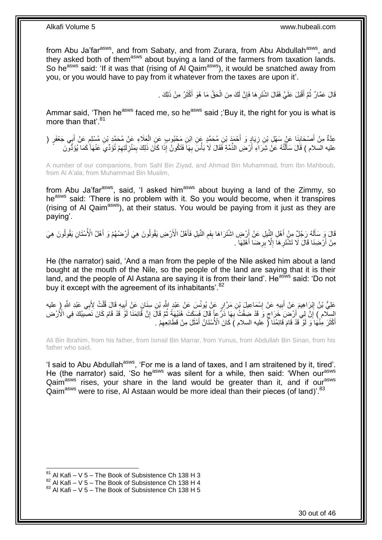from Abu Ja'far<sup>asws</sup>, and from Sabaty, and from Zurara, from Abu Abdullah<sup>asws</sup>, and they asked both of them<sup>asws</sup> about buying a land of the farmers from taxation lands. So he<sup>asws</sup> said: 'If it was that (rising of Al Qaim<sup>asws</sup>), it would be snatched away from you, or you would have to pay from it whatever from the taxes are upon it'.

> قَالَ عَمَّارٌ ثُمَّ أَقْبَلَ عَلَيَّ فَقَالَ اشْتَرِ هَا فَإِنَّ لَكَ مِنَ الْحَقِّ مَا هُوَ أَكْثَرُ مِنْ ذَلِكَ . ة<br>أ َ ْ ِ ِ َ .<br>• • • •

Ammar said, 'Then he<sup>asws</sup> faced me, so he<sup>asws</sup> said ;'Buy it, the right for you is what is more than that'.<sup>81</sup>

ِ عِدَّةٌ مِنْ أَصْحَابِذَا عَنْ سَهْلِ بْنِ زِيَادٍ وَ أَحْمَدَ بْنِ مُحَمَّدٍ عَنِ ابْنِ مَحْبُوبٍ عَنِ الْعَلاءِ عَنْ مُحَمَّدٍ بْنِ مُسْلِمٍ عَنْ أَبِي جَعْفَرٍ (<br>- يَمَدُّدُ مِنْ أَحْمِلُ مَنْ الْمَجْمَعِينَ مَعَلَّمَة **∣** َ َ ֧֖֧֖֖֖֖֖֧֖֖֧֧֧֧ׅ֧֧֧֧֧֧֧֧֧֧֧֧֚֚֚֚֚֚֚֚֝֝֟֓֝֓֝֓֝֬֟֓֟֓֝֬֝֬֝֓֝֬֜֓֝֬֜֓֝֬֝֓֝֬֝֓֝֬֝֬֓֝֬֝֬֝ ْ َ لَ ِ عليه السلام ) قَالَ سَأَلْتُهُ عَنْ شِرَاءِ أَرْضِ الذِّمَّةِ فَقَالَ لَا بَأْسَ بِهَا فَتَكُونُ إِذَا كَانَ ذَلِكَ بِمَنْزِلَتِهِمْ تُؤَدِّي عَنْهَا كَمَا يُؤَدُّونَ ِ ِ اُ ֺ֧֦֦֧֦֦֖֦֦֦֖֦֧֦֪֦֧֦֪֪֦֧֦֪֦֪֦֪֦֧֦֪֦֧֦֪֦֧֦֧֦֪֪֦֧֦֪֪֦֧֦֧֦֧֪֝֟֟֟֟֟֟֟֟֟֟֟֟֟֟֟֟֟֟֟֟֟֬֟֟֓֟֟֟֓֞֟֟֟֓֞֟֟֟֟֩֓֞֟֟֓֞֟֟֟֟֟֟֟֟֝

A number of our companions, from Sahl Bin Ziyad, and Ahmad Bin Muhammad, from Ibn Mahboub, from Al A'ala, from Muhammad Bin Muslim,

from Abu Ja'far<sup>asws</sup>, said, 'I asked him<sup>asws</sup> about buying a land of the Zimmy, so he<sup>asws</sup> said: 'There is no problem with it. So you would become, when it transpires (rising of Al Qaim<sup>asws</sup>), at their status. You would be paying from it just as they are paying'.

قَالَ وَ سَأَلَهُ رَجُلٌ مِنْ أَهْلِ النِّبْلِ عَنْ أَرْضٍ اشْتَرَاهَا بِفَعِ النِّبلِ فَأَهْلُ الْأَرْضِ يَقُولُونَ هِيَ أَرْضُهُمْ وَ أَهْلُ الْأُسْتَانِ يَقُولُونَ هِيَ ِ اُ َ لَ َ َ َ َ مِنْ أَرْضِنَا قَالَ لَا تَشْتَرِهَا إِلَّا بِرِضَا أَهْلِهَا . َ **∶** ِ **∶** 

He (the narrator) said, 'And a man from the peple of the Nile asked him about a land bought at the mouth of the Nile, so the people of the land are saying that it is their land, and the people of Al Astana are saying it is from their land'. He<sup>asws</sup> said: 'Do not buy it except with the agreement of its inhabitants'.<sup>82</sup>

عَلِيُّ بْنُ إِبْرِاهِيمَ عَنْ أَبِيهِ عَنْ إِسْمَاعِيلَ بْنِ مَرَّارٍ عَنْ يُونُسَ عَنْ عَبْدٍ اللَّهِ بْنِ سنَانٍ عَنْ أَبِيهِ قَالَ قُلْتُ لِأَبِي عَبْدِ اللَّهِ ( عليه **!** َ ْ ِ َ יִי י السِلَّام ) إِنَّ لِي أَرْضَ َخَرَاجٍ وَ قَدْ ضِقْتُ بِهَا ذَرٌّ عا ۖ قَالَ فَسَكَتَ ۚ هُنَدْهِةً ثُمَّ قَالَ إِنَّ قَائِمَنَا لَوْ قَدْ قَامَ كَانَ نَصَبِيبُكَ فِي الْأَرْضِ<br>إِنَّ الْبَلَّام الْمَرْضَاتِ فَيَنْ الْأَرْضَا ِ ان<br>المقامات المقامات المقامات المقامات المقامات المقامات المقامات المقامات المقامات المقامات المقامات المقامات<br>المقامات المقامات المقامات المقامات المقامات المقامات المقامات المقامات المقامات المقامات المقامات المقامات **∶** ٍ اُ أَكْثَرَ مِنْٰهَا َوَ لَوْ قَدْ قَامَ قَائِمُنَا ( عليه السلام ) كَانَ الْأُسْنَانُ أَمْثَلَ مِنْ قَطَائِعِهِمْ ِ َ َ َ َ

Ali Bin Ibrahim, from his father, from Ismail Bin Marrar, from Yunus, from Abdullah Bin Sinan, from his father who said,

'I said to Abu Abdullah<sup>asws</sup>, 'For me is a land of taxes, and I am straitened by it, tired'. He (the narrator) said, 'So he<sup>asws</sup> was silent for a while, then said: 'When our<sup>asws</sup> Qaim<sup>asws</sup> rises, your share in the land would be greater than it, and if our<sup>asws</sup> Qaim<sup>asws</sup> were to rise, AI Astaan would be more ideal than their pieces (of land)<sup>' 83</sup>

 $81$  Al Kafi – V 5 – The Book of Subsistence Ch 138 H 3

 $82$  Al Kafi – V 5 – The Book of Subsistence Ch 138 H 4

 $83$  Al Kafi – V 5 – The Book of Subsistence Ch 138 H 5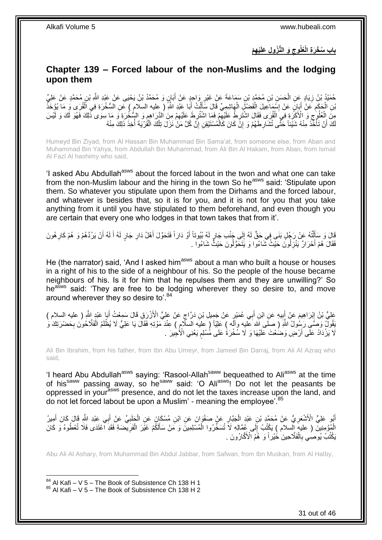**ِه ْم ْي َو الُّن ُزو ِل َعلَ ُعلُوج باب ُس ْخ َر ِة الْ ِ**

# <span id="page-30-0"></span>**Chapter 139 – Forced labour of the non-Muslims and the lodging upon them**

ْ حُمَيْدُ بْنُ زِيَادٍ عَنِ الْحَسَنِ بْنِ مُحَمَّدٍ بْنِ سَمَاعَةَ عَنْ غَيْرِ وَاحِدٍ عَنْ أَبَانٍ وَ مُحَمَّدُ بْنُ يَحْيَى عَنْ عَبْدِ اللَّهِ بْنِ مُحَمَّدٍ عَنْ عَلِيِّ **∶** َ ِ بْنِ الْحَكَمِ عَنْ أَبَانٍ عَنْ إِسْمَاعِيلَ الْفَصْلِّ الْهَاشِمِيِّ قَالَ سَأَلْتُ أَبَا عَبْدِ اللَّهِ ( عليه السلام ) عَنِ السُّخْرَةِ فِي اَلْقُرَى وَ مَا يُؤْخَذُ َ ْ َ ْ ْ ِ َ ِ :<br>ا ْ مِنَّ اِلْعُلُوجِ وَ الْأَكَّرَةِ فِي الْقُرَى فَقَالَ اشْتَرِطْ عَلَيْهِمْ فَمَا اشْتُرِطَ عَلَيْهِمْ مِنَ الدَّرَاهِمِ وَ السُّخْرَةِ وَ مَا سِوَى ذَٰلِكَ فَهُوَ لَّكَ وَ لَّيْسَ ِ ِ ِ ِ ِ ْ ِ لَكَ أَنْ تَأْخُذَ مِنْهُ شَيْئاً حَتَّى تُشَارِطَهُمْ وَ إِنَّ كَانَ كَالْمُسْتَيْقِنِ إِنَّ كُلَّ مَنْ نَزَلَ تِلْكَ الْقُرْيَةَ أُخِذَ ذَلِكَ مِنْهُ .<br>.<br>. ا<br>أ ْ ْ ِ ْ ِ ِ

Humeyd Bin Ziyad, from Al Hassan Bin Muhammad Bin Sama'at, from someone else, from Aban and Muhammad Bin Yahya, from Abdullah Bin Muhammad, from Ali Bin Al Hakam, from Aban, from Ismail Al Fazl Al hashimy who said,

'I asked Abu Abdullah<sup>asws</sup> about the forced labout in the twon and what one can take from the non-Muslim labour and the hiring in the town So he<sup>asws</sup> said: 'Stipulate upon them. So whatever you stipulate upon them from the Dirhams and the forced labour, and whatever is besides that, so it is for you, and it is not for you that you take anything from it until you have stipulated to them beforehand, and even though you are certain that every one who lodges in that town takes that from it'.

قَالَ وَ سَأَلْتُهُ عَنْ رَجُلٍ بَنَي فِي حَقٍّ لَهُ إِلَى جَنْبِ جَارٍ لَهُ بُيُوتاً أَوْ دَاراً فَتَحَوَّلَ أَهْلُ دَارِ جَارٍ لَهُ أَلَهُ أَنْ يَرُدَّهُمْ وَ هُمْ كَارِ هُونَ<br>ِ ِ َ َ ِ ْ َ ِ َ لَ َ فَقَالَ هُمْ أَحْرَالٌ يَنْزِلُونَ حَيْثُ شَاءُوا وَ يَتَحَوَّلُونَ حَيْثٌ شَاءُوا . **∶** َ

He (the narrator) said, 'And I asked him<sup>asws</sup> about a man who built a house or houses in a right of his to the side of a neighbour of his. So the people of the house became neighbours of his. Is it for him that he repulses them and they are unwilling?' So he<sup>asws</sup> said: 'They are free to be lodging wherever they so desire to, and move around wherever they so desire to'.<sup>84</sup>

عَلِيُّ بْنُ إِبْرَاهِيمَ عَنْ أَبِيهِ عَنِ ابْنِ أَبِي عُمَيْرٍ عَنْ جَمِيلِ بْنِ دَرَّاجٍ عَنْ عَلِيٍّ الْأَزْرَقِ قَالَ سَمِعْتُ أَبَا عَبْدٍ اللَّهِ ( عليه السلام ) **!** ِ َ ٍ نَقُولٌ وَصَّى رَسُولُ اللَّهِ ( صلَّى الله عليه وآله ) عَلِيّاً ( عليه السلام ) عِنْدَ مَوْتِهِ فَقَالَ يَا عَلِيُّ لَا يُظْلَمُ الْفَلَّاحُونَ بِحَضْرَتِكَ وَ ِ لَا يَزْدَاْدُ عَلَّى أَرْضٍ وَضُعْتَ عَلَيْهَا وَ لَا سُخْرَةُ عَلَى مُسْلِمٍ يَعْنِي الْأُجِيرَ . ٍ َ

Ali Bin Ibrahim, from his father, from Ibn Abu Umeyr, from Jameel Bin Darraj, from Ali Al Azraq who said,

'I heard Abu Abdullah<sup>asws</sup> saying: 'Rasool-Allah<sup>saww</sup> bequeathed to Ali<sup>asws</sup> at the time of his<sup>saww</sup> passing away, so he<sup>saww</sup> said: 'O Ali<sup>asws</sup>! Do not let the peasants be oppressed in yourasws presence, and do not let the taxes increase upon the land, and do not let forced labout be upon a Muslim' - meaning the employee'.<sup>85</sup>

أَبُو عَلِيٍّ الْأَشْعَرِ يُّ عَنْ مُحَمَّدٍ بْنِ عَبْدٍ الْجَبَّارِ عَنْ صَفْوَانَ عَنِ ابْنِ مُسْكَانَ عَنِ الْجَلَبِيِّ عَنْ أَبِي عَبْدِ اللَّهِ قَالَ كَانَ أَمِيرُ ِ ْ **ٍ** ْ ِ َ َ الْمُؤْمِنِينَٓ ( عليهِ السلام ) يَكْتُبُ إِلَى عُمَّالِهِ لَاَ تُسَخِّرُوا الْمُسْلِمِينَّ وَ مَنْ سَأَلَكُمْ غَيْرَ الْفَرِيضَةِ فَقَدِ اَعْتَدَى فَلَا تُعْطُوهُ وَ كَانَ  $\frac{1}{2}$ ِ ْ ĺ ْ يَكْتُبُ يُوصِي بِالْفَلَاحِينَ خُيْراً وَ ۚ هُمُ الْأَكَّارُونَ . ْ ِ

Abu Ali Al Ashary, from Muhammad Bin Abdul Jabbar, from Safwan, from Ibn Muskan, from Al Halby,

 $84$  Al Kafi – V 5 – The Book of Subsistence Ch 138 H 1 85 Al Kafi – V 5 – The Book of Subsistence Ch 138 H 2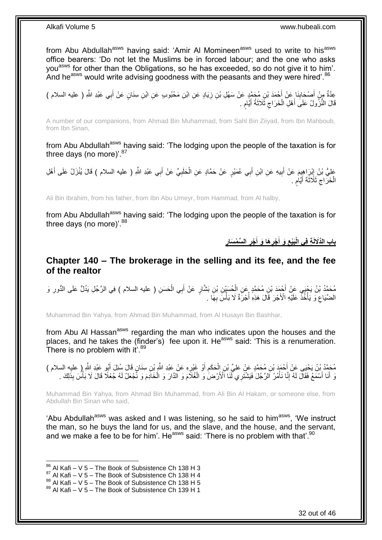from Abu Abdullah<sup>asws</sup> having said: 'Amir Al Momineen<sup>asws</sup> used to write to his<sup>asws</sup> office bearers: 'Do not let the Muslims be in forced labour; and the one who asks you<sup>asws</sup> for other than the Obligations, so he has exceeded, so do not give it to him'. And he<sup>asws</sup> would write advising goodness with the peasants and they were hired'.<sup>86</sup>

عِدَّةٌ مِنْ أَصْحَابِنَا عَنْ أَحْمَدَ بْنِ مُحَمَّدٍ عَنْ سَهْلِ بْنِ زِيَادٍ عَنِ ابْنِ مَحْبُوبٍ عَنِ ابْنِ سِنَانٍ عَنْ أَبِي عَبْدِ اللَّهِ ( عليه السلام )<br>ِ ِ َ **∣** َ قَالَ النُّزُولُ عَلَى أَهْلِ الْخَرَاجِ ثَلَاثَةُ أَيَّامِ . ٍ َ َ ِ ْ َ

A number of our companions, from Ahmad Bin Muhammad, from Sahl Bin Ziiyad, from Ibn Mahboub, from Ibn Sinan,

from Abu Abdullah<sup>asws</sup> having said: 'The lodging upon the people of the taxation is for three days (no more)'. $87$ 

عَلِيُّ بْنُ إِبْرِاهِيِمَ عَنْ أَبِيهِ عَنِ ابْنِ أَبِي عُمَيْرٍ عَنْ حَمَّادٍ عَنِ الْحَلَبِيِّ عَنْ أَبِي عَبْدِ اللَّهِ ( عليه السلام ) قَالَ يُنْزَلُ عَلَى أَهْلِ َ ِ ْ َ **!** َ ِ َ الْخَرَاج ثَلَاثَةَ أَيَّام ٍ َ ِ ْ

Ali Bin Ibrahim, from his father, from Ibn Abu Umeyr, from Hammad, from Al halby,

from Abu Abdullah<sup>asws</sup> having said: 'The lodging upon the people of the taxation is for three days (no more)'. $88$ 

> **ِ** باب الذَّلَالَةِ فِي الْبَيْع وَ أَجْرِهَا وَ أَجْرِ السِّمْسَارِ **ِ َ ِ َ ِ**

### <span id="page-31-0"></span>**Chapter 140 – The brokerage in the selling and its fee, and the fee of the realtor**

مُحَمَّدُ بْنُ يَجْيَى عَنْ أَجْمَدَ بْنِ مُحَمَّدٍ عِنِ الْحُسَيْنِ بْنِ بَشَّارٍ عَنْ أَبِي الْحَسَنِ ( عليه السلام ) فِي الرَّجُلِ يَدُلُّ عَلَى الدُّورِ وَ ْ ْ ِ الضِّيَاعِ وَ يَأْخُذُ عَلَيْهِ الْأَجْرَ قَالَ هَذِهِ أُجْرَةٌ لَا بَأْسَ بِهَا . :<br>. ِ **∶ ٔ** 

Muhammad Bin Yahya, from Ahmad Bin Muhammad, from Al Husayn Bin Bashhar,

from Abu Al Hassan<sup>asws</sup> regarding the man who indicates upon the houses and the places, and he takes the (finder's) fee upon it. He<sup>asws</sup> said: 'This is a renumeration. There is no problem with it'.<sup>89</sup>

مُحَمَّدُ بْنُ يَحْيَى عَنْ أَحْمَدَ بْنِ مُحَمَّدٍ عَنْ عَلِيِّ بْنِ إِلْحَكَمِ أَوْ غَيْرِهِ عَنْ عَبْدِ اللَّهِ بْنِ سِنَانٍ قَالَ سُئِلَ أَبُو عَبْدِ اللَّهِ ( عليه السلام )<br>مُحَمَّدُ بْنُ يَحْيَى عَنْ أَحَمْهُ بْنِ مُ ِ َ ِ ْ َ َ وَ أَنَا أَسْمَعُ فَقَالَ لَهُ إِنَّا نَأْمُرُ الرَّجُلَ فَيَشْتَرِي لَّنَا الْأَرْضَٰ وَ الْغُلَّامَ وَ الْخَادِمَ وَ نَّجْعَلُ لَهُ جُعْلًا قَالَ لَا بَأْسَ بِذَلِكَ . َ َ ْ ْ ْ ِ ْ

Muhammad Bin Yahya, from Ahmad Bin Muhammad, from Ali Bin Al Hakam, or someone else, from Abdullah Bin Sinan who said,

'Abu Abdullah<sup>asws</sup> was asked and I was listening, so he said to him<sup>asws</sup>, 'We instruct the man, so he buys the land for us, and the slave, and the house, and the servant, and we make a fee to be for him'. He<sup>asws</sup> said: 'There is no problem with that'.<sup>90</sup>

 $86$  Al Kafi – V 5 – The Book of Subsistence Ch 138 H 3

 $87$  Al Kafi – V 5 – The Book of Subsistence Ch 138 H 4

 $^{88}$  Al Kafi – V 5 – The Book of Subsistence Ch 138 H 5

 $89$  Al Kafi – V 5 – The Book of Subsistence Ch 139 H 1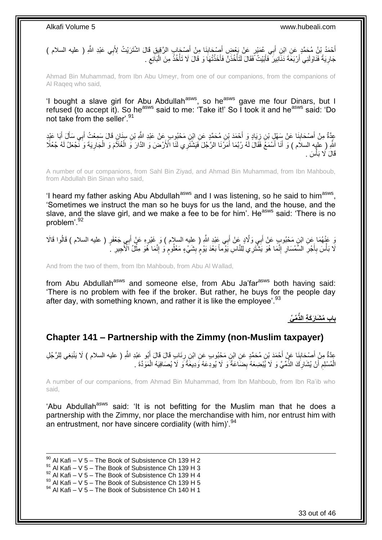ِ أَحْمَدُ بْنُ مُحَمَّدٍ عَنِ ابْنِ أَبِي عُمَيْرِ عَنْ بَعْضٍ أَصْدَابِنَا مِنْ أَصْدَابٍ الرَّقِيقِ قَالَ اشْتَرَيْتُ لِأَبِي عَبْدِ اللَّهِ ( عليه السلام ) َ **∣** َ َ َ جَارِ يَةً فَنَاوَلَنِي أَرْبَعَةَ دَنَانِيرَ ۖ فَأَبَيْتُ فَقَالَ لَتَأْخُذَنَّ فَأَخَذْتُهَا وَ قَالَ لَا تَأْخُذْ مِنَ الْبَائِعِ . **ٔ** َ ْ ن<br>ا **∶** ِ ْ **ٔ** ْ

Ahmad Bin Muhammad, from Ibn Abu Umeyr, from one of our companions, from the companions of Al Raqeq who said,

'I bought a slave girl for Abu Abdullah<sup>asws</sup>, so he<sup>asws</sup> gave me four Dinars, but I refused (to accept it). So he<sup>asws</sup> said to me: 'Take it!' So I took it and he<sup>asws</sup> said: 'Do not take from the seller'.<sup>91</sup>

عَدَّةٌ مِنْ أَصْحَابِنَا عَنْ سَهْلٍ بْنِ زِيَادٍ وَ أَحْمَدَ بْنِ مُحَمَّدٍ عَنِ ابْنِ مَحْبُوبٍ عَنْ عَبْدِ اللَّهِ بْنِ سِنَانٍ قَالَ سَمِعْتُ أَبِي سَأَلَ أَبَا عَبْدٍ<br>مَعْ أَوْلَمْ الْعَمَّالِ الْمَالِّي بِنَ زِيَادٍ َ ِ **∣** َ ِ َ َ َ لَّهِ ( عَلِيه السلام ) وَ أَنَا أَسْمَعَ فَقَالَ لَهُ رُبَّمَا أَمَرَّنَا الرَّجُلَ فَيَشْتَرِي لَنَّا الْأَرْضَ وَ الذَّارَ وَ الْغُلَاَّمَ وَ الْجَارِيَةَ وَ نَّجْعَلُ لَهُ جُعْلًا َ َ ِ ْ ْ قَالَ لَا بَأْسَ . י<br>י

A number of our companions, from Sahl Bin Ziyad, and Ahmad Bin Muhammad, from Ibn Mahboub, from Abdullah Bin Sinan who said,

'I heard my father asking Abu Abdullah<sup>asws</sup> and I was listening, so he said to him<sup>asws</sup>, 'Sometimes we instruct the man so he buys for us the land, and the house, and the slave, and the slave girl, and we make a fee to be for him'. He<sup>asws</sup> said: 'There is no problem'.<sup>92</sup>

يَ عَنْهُمَا عَنِ ابْنِ مَحْبُوبٍ عَنْ أَبِي وَلَّادٍ عَنْ أَبِي عَبْدِ اللَّهِ ( عليه السلام ) وَ غَيْرِهِ عَنْ أَبِي جَعْفَرٍ ( عليه السلام ) قَالُوا قَالَا َ ِ َ لَا بَأْسَ بِأَجْرِ السَّمْسَارِ ۖ إِنَّمَا هُوَ يَشْثَرِي لِلنَّاسِ يَوْمًا بَعْدَ يَوْمٍ بِشَيْءٍ مَعْلُومٍ وَ إِنَّمَا هُوَ مِثْلُ الْأَجِيرِ ۚ ۖ ِ ֧֧֖֧֖֧֖֧֧֧֧֧֧֧֧֧֧֧֧֚֚֚֓֝֝֝֝֝֟֓֝֓֬֝֓֝֬֟֓֟֓֝֬֟֓֟֓֝֬֝֬֝֓֟֓֝֬֜֝֬֝֓֝֬֝֓ ِ ِ **∶** َ **∶ ٔ** ِ **ٔ** ِ م

And from the two of them, from Ibn Mahboub, from Abu Al Wallad,

from Abu Abdullah<sup>asws</sup> and someone else, from Abu Ja'far<sup>asws</sup> both having said: 'There is no problem with fee if the broker. But rather, he buys for the people day after day, with something known, and rather it is like the employee'.<sup>93</sup>

**ِّم ِّي باب ُم َشا َر َك ِة الذِّ**

# <span id="page-32-0"></span>**Chapter 141 – Partnership with the Zimmy (non-Muslim taxpayer)**

عِدَّةٌ مِنْ أَصْحَابِنَا عَنْ أَحْمَدَ بْنِ مُحَمَّدٍ عَنِ ابْنِ مَحْبُوبٍ عَنِ ابْنِ رِذَابِ قَالَ قَالَ أَبُو عَبْدِ اللَّهِ ( عليه السلام ) لَا يَنْبَغِي لِلرَّجُلِ<br>وَمَدَّدَ مَعْ أَصْحَابِنَا عَنْ أَحْمَدَ بْنِ مُحَم َ ِ **∣** َ الْمُسْلِم أَنْ يُشَارِكَ الذِّمِّيَّ وَ لَا يُبْضِعَهُ بِضَاعَةً وَ لَا يُودِعَهُ وَدِيعَةً وَ لَا يُصَافِيَهُ الْمَوَدَّةَ . ِ ِ َ ِ ْ ْ

A number of our companions, from Ahmad Bin Muhammad, from Ibn Mahboub, from Ibn Ra'ib who said,

'Abu Abdullah<sup>asws</sup> said: 'It is not befitting for the Muslim man that he does a partnership with the Zimmy, nor place the merchandise with him, nor entrust him with an entrustment, nor have sincere cordiality (with him)<sup>'.94</sup>

1  $^{90}$  Al Kafi – V 5 – The Book of Subsistence Ch 139 H 2  $^{91}$  Al Kafi – V 5 – The Book of Subsistence Ch 139 H 3  $92$  Al Kafi – V 5 – The Book of Subsistence Ch 139 H 4  $^{93}$  Al Kafi – V 5 – The Book of Subsistence Ch 139 H 5 94 Al Kafi – V 5 – The Book of Subsistence Ch 140 H 1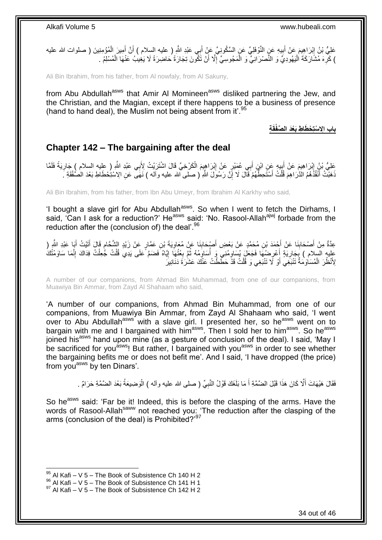

Ali Bin Ibrahim, from his father, from Al nowfaly, from Al Sakuny,

from Abu Abdullah<sup>asws</sup> that Amir Al Momineen<sup>asws</sup> disliked partnering the Jew, and the Christian, and the Magian, except if there happens to be a business of presence (hand to hand deal), the Muslim not being absent from it'.<sup>95</sup>

**باب اَِل ْستِ ْح ِة َطا ِط َبْعَد ال َّص قَ فْ**

### <span id="page-33-0"></span>**Chapter 142 – The bargaining after the deal**

عَلِيُّ بْنُ إِبْرَاهِيمَ عَنْ أَبِيهِ عَنِ ابْنِ أَبِي عُمَيْرٍ عَنْ إِبْرَاهِيمَ الْكَرْخِيِّ قَالَ اشْتَرَيْتُ لِأَبِي عَبْدِ اللَّهِ ( عِليه السلام ) جَارِيَةً فَلَمَّا ْ ِ َ ا<br>پ ِ ِ ذَهَبْتُ أَنْقُذُهُمُ الذَّرَاهِمَ قُلْتُ أَسْتَحِطَّهُمْ فَآلَ لَا إِنَّ رَسُولَ اللَّهِ ( صلى الله عليه وآله ) نَهَى ۖ عَنِ الِاسْتِحْطَاطِ بَعْدَ الْصُفْقَةِ ۚ ا<br>ا ِ اُ، ْ

Ali Bin Ibrahim, from his father, from Ibn Abu Umeyr, from Ibrahim Al Karkhy who said,

'I bought a slave girl for Abu Abdullah<sup>asws</sup>. So when I went to fetch the Dirhams, I said, 'Can I ask for a reduction?' He<sup>asws</sup> said: 'No. Rasool-Allah<sup>ajwj</sup> forbade from the reduction after the (conclusion of) the deal'.<sup>96</sup>

عِدَّةٌ مِنْ أَصْحَابِنَا عَنْ أَجْمَدَ بْنِ مُحَمَّدٍ عَنْ بَعْضِ أَصْبِحَابِنَا عَنْ مُعَاوِيَةَ بْنِ عَمَّارٍ عَنْ زَيْدِ الشَّحَّامِ قَالَ أَتَيْتُ أَيَا عَبْدِ الشَّي َ َ ِ َ َ **ื** ِ عِلِيهِ السِلام ) يَجَارِيَةٍ أَعْرِضُهَا فَجَعَلَ يُسَاوِمُنِي وَ أُسَاوِمُهُ ثُمَّ بِعْثُهَا إِيَّاهُ فَضَمَّ عَلَى يَدِي قُلْتُ جُعِلْتُ فِدَاكَ إِنَّمَا سَاوَمْتُكُ ْ ון<br>≀ ِ ُ ِ ُ **∶** ِ َ ِ **∶** َّ ِ لِأَنْظُرَ الْمُسَاوَمَةُ تَنْبَغِي أَوْ لَا تَنْبَغِي وَ قُلْتُ قَذْ حَطَّطْتُ عَنْكَ عَشَٰرَةَ دَنَانِيرَ ْ ز<br>ا ْ

A number of our companions, from Ahmad Bin Muhammad, from one of our companions, from Muawiya Bin Ammar, from Zayd Al Shahaam who said,

'A number of our companions, from Ahmad Bin Muhammad, from one of our companions, from Muawiya Bin Ammar, from Zayd Al Shahaam who said, 'I went over to Abu Abdullah<sup>asws</sup> with a slave girl. I presented her, so he<sup>asws</sup> went on to bargain with me and I bargained with him<sup>asws</sup>. Then I sold her to him<sup>asws</sup>. So he<sup>asws</sup> joined his<sup>asws</sup> hand upon mine (as a gesture of conclusion of the deal). I said, 'May I be sacrificed for you<sup>asws</sup>! But rather, I bargained with you<sup>asws</sup> in order to see whether the bargaining befits me or does not befit me'. And I said, 'I have dropped (the price) from you<sup>asws</sup> by ten Dinars'.

> فَقَالَ هَيْهَاتَ أَلَّا كَانَ هَذَا قَبْلَ الضَّمَّةِ أَ مَا بَلَغَكَ قَوْلُ النَّبِيِّ ( صلى الله عليه وآله ) الْوَضِيعَةُ بَعْدَ الضَّمَّةِ حَرَامٌ . ْ **∶** َ

So he<sup>asws</sup> said: 'Far be it! Indeed, this is before the clasping of the arms. Have the words of Rasool-Allah<sup>saww</sup> not reached you: 'The reduction after the clasping of the arms (conclusion of the deal) is Prohibited?<sup>97</sup>

 $95$  Al Kafi – V 5 – The Book of Subsistence Ch 140 H 2

 $^{96}$  Al Kafi – V 5 – The Book of Subsistence Ch 141 H 1

 $97$  Al Kafi – V 5 – The Book of Subsistence Ch 142 H 2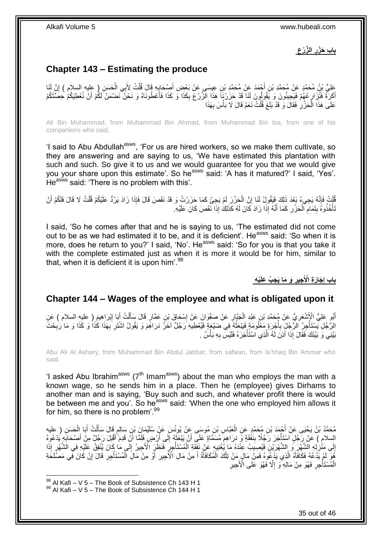**ِ ال َّز ْرع باب َح ْزر ِ**

# <span id="page-34-0"></span>**Chapter 143 – Estimating the produce**

عَلِيُّ بْنُ مُحَمَّدٍ عَنْ مُحَمَّدِ بْنِ أَجْمَدَ عَنْ مُحَمَّدِ بْنِ عِيسَى عَنْ بَعْضِ أَصِحَابِهِ قَالَ قُلْتُ لِأَبِي الْحَسَنِ ( عليه السلام ) إِنَّ لَنَا<br>يَحِبُّ بُنُ مُحَمَّدٍ عَنْ مُحَمَّدِ بْنِ أَجْمَدَ عَنْ مُ ْ ِ َ َ ِ ْ أَكَرَةً فَلْزَارٍ عُهُمْ فَيَجِيئُونَ وَ يَقُولُونَ لَذَا قَدْ حَزَرْنَا ۖ هَذَا الْزَّرْعَ بِكَذَا وَ كَذَا فَأَعْطُونَاهُ وَ نَحْنُ نَضْمَنُ لَكُمْ أَنْ نُعْطِيَكُمْ حُصَّتَكُمْ ِ َ َ ِ عَلَى هَذَا الْحَزْرِ فَقَالَ وَ قَدْ بَلَغَ قُلْتُ نَعَمْ قَالَ لَا بَأْسَ بِهَذَا ِ ،<br>ا ْ ِ ْ

Ali Bin Muhammad, from Muhammad Bin Ahmad, from Muhammad Bin Isa, from one of his companions who said,

'I said to Abu Abdullah<sup>asws</sup>, 'For us are hired workers, so we make them cultivate, so they are answering and are saying to us, 'We have estimated this plantation with such and such. So give it to us and we would guarantee for you that we would give you your share upon this estimate'. So he<sup>asws</sup> said: 'A has it matured?' I said, 'Yes'. He<sup>asws</sup> said: 'There is no problem with this'.

قُلْتُ فَإِنَّهُ يَجِيءُ بَعْدَ ذَلِكَ فَيَقُولُ لَنَا إِنَّ الْجَزْرَ لَمْ يَجِئْ كَمَا جَزَرْتُ وَ قَدْ نَقَصَ قَالَ فَإِذَا زَادَ يَرُدُّ عَلَيْكُمْ قُلْتُ لَا قَالَ فَلَكُمْ أَنْ<br>فَإِمَا أَنَّهُ يَجِيءُ بَعْدَ ذَلِكَ ֺ֦֧֦֧֦֧֦֦֦֦ׅ֦֦֦֦֦֦֦֦ׅ֦֪ׅ֧֪ׅ֦֧֦֧֦֚֚֚֚֝֟֘֝֬֝֘֜֡֜֝֓֞֟֓֡֟֓֡֟֡֟֓֡֟֓֡֟֓֡֟֡֟֡֟֡֡֟֓֞֡֟֡֓֞֡֟֓֞֞֟֟֓֞֟ ْ ْ ِ َ ْ تَأْخُذُوهُ بِتَمَامٍ ٱلْحَرْرِ كَمَا أَنَّهُ إِذَا زَادَ كَانَ لَهُ كَذَلِكَ إِذَا نَقَصَ كَانَ عَلَيْهِ ۖ َ ِ ْ **ُ** ِ ة<br>أ

I said, 'So he comes after that and he is saying to us, 'The estimated did not come out to be as we had estimated it to be, and it is deficient'. He<sup>asws</sup> said: 'So when it is more, does he return to you?' I said, 'No'. He<sup>asws</sup> said: 'So for you is that you take it with the complete estimated just as when it is more it would be for him, similar to that, when it is deficient it is upon him'. $98$ 

> **ْي ِه ِج ُب َعلَ َو َما َي ِجير َجا َر ِة اْْلَ باب إ ِ ِ**

### <span id="page-34-1"></span>**Chapter 144 – Wages of the employee and what is obligated upon it**

أَبُو عَلِيٍّ الْأَشْعَرِيُّ عَنْ مُحَمَّدِ بْنِ عَبْدِ الْجَبَّارِ عَنْ صَفْوَانَ عَنْ إِسْحَاقَ بْنِ عَمَّارٍ قَالَ سَأَلْتُ أَبَا إِبْرَاهِيمَ ( عليهِ السلام ) عَنِ ِ ْ ِ َ ِ َ ْ َ ِ الرَّجُلِ يَسْتَأْجِرُ الرَّجُلِ بِأَجْرِةٍ مَغْلُومَةٍ فَيَيْعَثُهُ فِي ضَيْعَةٍ فَيُعْطِيهِ رَجُلٌ آخَرُ دَرَاهِمَ وَ يَقُولُ اشْتَرِ بِهَذَا كَذَا وَ كَذَا وَ مَا رَٰبِحْتَ ُ ان<br>المستقبل ِ ة<br>أ ِ ِ ِ بَيْنِي وَ بَيْنَكَ فَقَالَ إِذَا أَذِنَّ لَهُ الَّذِي اسْتَأْجَرَهُ فَلَيْسَ بِهِ بَأْسٌ . **ٔ** ِ ْ اُ اُ

Abu Ali Al Ashary, from Muhammad Bin Abdul Jabbar, from safwan, from Is'hhaq Bin Ammar who said,

'I asked Abu Ibrahim<sup>asws</sup> ( $7<sup>th</sup>$  Imam<sup>asws</sup>) about the man who employs the man with a known wage, so he sends him in a place. Then he (employee) gives Dirhams to another man and is saying, 'Buy such and such, and whatever profit there is would be between me and you'. So he<sup>asws</sup> said: 'When the one who employed him allows it for him, so there is no problem'.<sup>99</sup>

مُحَمَّدُ بْنُ يَحْيَى عَنْ أَجْمَدَ بْنِ مُحَمَّدٍ عَنِ الْعَبَّاسِ بْنِ مُوسَى عَنْ يُونُسَ عَنْ سُلَيْمَانَ بْنِ سَالِمٍ قَالَ سَأَلْتُ أَبَا الْحَسَنِ ( عليه ֧֖֖֚֚֚֓֝֬֝ ْ ْ َ ْ اً ا السلام ) عَنْ رَجُلٍ اسْتَأْجَرَ رَجُلًا بِنَفَقَةٍ وَ دَرَاهِمَ مُسَمَّاةٍ عَلَي أَنْ يَبْعَثَهُ إِلَى أَرْضٍ فَلَمَّا أَنْ قَدِمَ أَقْبَلَ رَجُلٌ مِنْ أَصْحَابِهِ يُدْعُوهُ **!** ة<br>المسابق ِ َ َ اُ َ ∣∣<br>∶ َ اُ إِلَى مَنْزِلِهِ الْشَّهْرَيْنِ فَأَرْضِيَبِ عِنْدَهُ مَا يُغْنِيهِ عَنْ نَفَقَةِ الْمُسْتَأْجِرِ فَنَظَرٍ الْأَجِيرُ إِلَى مَا كَانَ يُنْفِقُ عَلَيْهِ فِي الَشَّهْرِ إِذَا ِ ْ ْ ِ ِ لَ ِ ِ هُوَ لَمْ يَدْعُهُ فَكَافَأَهُ الَّذِي يَدْعُوهُ فَمِنْ مَالٍ مَنْ تِلْكَ الْمُكَافَأَةُ أَ مِنْ مَالِ الْأَجِيرِ أَوْ مِنْ مَالِ الْمُسْتَأْجِرِ قَالَ إِنْ كَانَ فِّي مَصَلَّكَةَ َ ِ َ َ ْ ْ َّ َ ِ ْ ْ ِ الْمُسْتَأْجِرِ فَهُوَ مِنْ مَالِهِ وَ إِلَّا فَهُوَ عَلَى الْأَجِيرِ ِ ة<br>أ ْ ِ ِ

 $98$  Al Kafi – V 5 – The Book of Subsistence Ch 143 H 1

 $99$  Al Kafi – V 5 – The Book of Subsistence Ch 144 H 1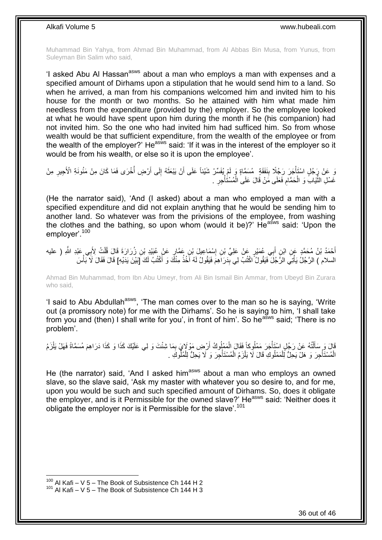Muhammad Bin Yahya, from Ahmad Bin Muhammad, from Al Abbas Bin Musa, from Yunus, from Suleyman Bin Salim who said,

'I asked Abu AI Hassan<sup>asws</sup> about a man who employs a man with expenses and a specified amount of Dirhams upon a stipulation that he would send him to a land. So when he arrived, a man from his companions welcomed him and invited him to his house for the month or two months. So he attained with him what made him needless from the expenditure (provided by the) employer. So the employee looked at what he would have spent upon him during the month if he (his companion) had not invited him. So the one who had invited him had sufficed him. So from whose wealth would be that sufficient expenditure, from the wealth of the employee or from the wealth of the employer?' He<sup>asws</sup> said: 'If it was in the interest of the employer so it would be from his wealth, or else so it is upon the employee'.

نَ عَنْ رَجُلٍ اسْتَأْجَرَ رَجُلًا بِنَفَقَةٍ ۖ مُسَمَّاةٍ وَ لَمْ يُفَسِّرْ شَيْئاً عَلَى أَنْ يَبْعَثَهُ إِلَى أَرْضٍ أُخْرَى فَمَا كَانَ مِنْ مَئُونَةِ الْأَجِيرِ مِنْ **∣ ٔ** ِ ُ اً ِ َ اُ غَسْلِ الثَّيَابِ وَ الْحَمَّامِ فَعَلَى مَنْ قَالَ عَلَى الْمُسْتَأْجِرِ . **∶** ْ ْ ِ ْ ِ<br>ِّأَ

(He the narrator said), 'And (I asked) about a man who employed a man with a specified expenditure and did not explain anything that he would be sending him to another land. So whatever was from the privisions of the employee, from washing the clothes and the bathing, so upon whom (would it be)?'  $He^{asws}$  said: 'Upon the employer'.<sup>100</sup>

أَحْمَدُ بْنُ مُحَمَّدٍ عَنِ ابْنِ أَبِي عُمَيْرٍ عَنْ عَلِيِّ بْنِ إِسْمَاعِيلَ بْنِ عَمَّارٍ عَنْ عُبَيْدِ بْنِ زُرَارَةَ قَالَ قُلْتُ لِأَبِي عَبْدِ اللَّهِ ( عليه َ ِ َ ْ السلام ) الرَّجُلُ يَأْتِي الرَّجُلُ فَيَقُولُ ۗ اكْتُبْ لِي بِدَرَاهِمَ فَيَقُولُ لَهُ أَخُذُ مِنْكٌ وَ أَكْتُبُ لَكَ إَبَيْنَ يَدَيْهِ] قَالَ فَقَالَ لَا بَأْسَ ِ ْ َ

Ahmad Bin Muhammad, from Ibn Abu Umeyr, from Ali Bin Ismail Bin Ammar, from Ubeyd Bin Zurara who said,

'I said to Abu Abdullah<sup>asws</sup>, 'The man comes over to the man so he is saying, 'Write out (a promissory note) for me with the Dirhams'. So he is saying to him, 'I shall take from you and (then) I shall write for you', in front of him'. So he<sup>asws</sup> said: 'There is no problem'.

قَالَ وَ سَأَلْتُهُ عَنْ رَجُلٍ اسْتَأْجَرَ مَمْلُوكاً فَقَالَ الْمَمْلُوكُ أَرْضِ مَوْلَايَ بِمَا شِئْتَ وَ لِي عَلَيْكَ كَذَا وَ كَذَا دَرَاهِمَ مُسَمَّاةً فَهَلْ يَلْزَمُ ْ ْ ֦֖֖֦֖֦֪֦֧֦֦֦֖֦֦֖֦֧֦֪֦֦֧֦֪֦֪֦֪֦֧֦֪֦֧֦֪֦֧֦֧֦֪֦֧֦֧֦֪֦֧֦֧֪֦֧֦֧֦֧֦֟֟֟֟֟֟֟֟֟֟֟֟֟֟֟֟֟֟֟֟֟֟֟֟֟֟֟֟֟֟֟֟֟֟֟֟֟֟֟֩֕֟֟֟֟֟֟֟֟֟ َ ْ ِ َ الْمُسْتَأْجِرَ وَ هَلْ يَحِلُّ لِلْمَمْلُوكِ قَالَ لَا يَلْزَمُ الْمُسْتَأْجِرَ وَ لَا يَحِلُّ لِلْمُلُوكَ ِ ْ ْ ْ ْ ْ ة<br>أ ْ

He (the narrator) said, 'And I asked him<sup>asws</sup> about a man who employs an owned slave, so the slave said, 'Ask my master with whatever you so desire to, and for me, upon you would be such and such specified amount of Dirhams. So, does it obligate the employer, and is it Permissible for the owned slave?' He<sup>asws</sup> said: 'Neither does it obligate the employer nor is it Permissible for the slave'.<sup>101</sup>

 $100$  Al Kafi – V 5 – The Book of Subsistence Ch 144 H 2

 $101$  Al Kafi – V 5 – The Book of Subsistence Ch 144 H 3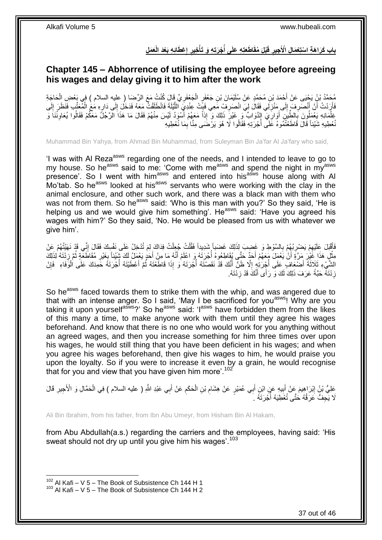### باب كَرَاهَةِ اسْتِعْمَالِ الْأَجِيرِ قَبْلَ مُقَاطَعَتِهِ عَلَى أُجْرَتِهِ وَ تَأْخِيرِ إعْطَائِهِ بَعْدَ الْعَمَل **ِ ِ ْ ُ ِ**

# <span id="page-36-0"></span>**Chapter 145 – Abhorrence of utilising the employee before agreeing his wages and delay giving it to him after the work**

مُحَمَّدُ بْنُ يَجْيَى عَنْ أَحْمَدَ بْنِ مُحَمَّدٍ عَنْ سُلَيْمَانَ بْنِ جَعْفَرٍ الْجَعْفَرِ يِّ قَالَ كُنْتُ مَعَ الرِّضَا ( عليه السلام ) فِي يَعْضِ الْحَاجَةِ<br>يَهْ مَمَّذُ بْنُ يَجْيَى عَنْ أَحْمَدَ بْنِ مُحَمَّدٍ عَن ِ ْ ْ فَأَرَدْتُ أَنْ أَنْصَرِفَ إِلَى مَنْزِلِّي فَقَالَ لِيَ انْصَرِفْ مَعِي فَبِّتْ عِنْدِيَ اللَّيْلَةَ فَانْطَلَقْتُ مَعَهُ فَدَخَلَ إِلَى دَارِهِ مَعَ الْمُعَنِّبِ فَنَظَرَ إِلَى ِ َّ **⊥** ِ ِ  $\frac{1}{2}$ ِ اً<br>ا لَ ِ ْ ¦ َفِلْمَانِهِ يَعْمَلُونَ بِالطِّيْنِ أَوَارِّيَ إِلَيْوَابٍّ وَ غَيْرَ ذَلِكَ وَ إِذاً مَعَهُمْ أَسْوَدُ لَيْسَ مِنْهُمْ فَقَالَ مَا هَذَا الْرَّجُلِّ مَعَكُمْ فَقَالُوا يُعَاوِنُنَا وَ ِ اُ ِ ِ َ نُعْطِيهِ شَيْئاً قَالَ قَاطَعْتُمُوهُ عَلَى أُجْرَتِهِ فَقَالُوا لَا هُوَ يَرْضَى مِنَّا بِمَا نُعْطِيهِ ِ ا<br>ا

Muhammad Bin Yahya, from Ahmad Bin Muhammad, from Suleyman Bin Ja'far Al Ja'fary who said,

'I was with Al Reza<sup>asws</sup> regarding one of the needs, and I intended to leave to go to my house. So he<sup>asws</sup> said to me: 'Come with me<sup>asws</sup> and spend the night in my<sup>asws</sup> presence'. So I went with him<sup>asws</sup> and entered into his<sup>asws</sup> house along with Al Mo'tab. So he<sup>asws</sup> looked at his<sup>asws</sup> servants who were working with the clay in the animal enclosure, and other such work, and there was a black man with them who was not from them. So he<sup>asws</sup> said: 'Who is this man with you?' So they said, 'He is helping us and we would give him something'. He<sup>asws</sup> said: 'Have you agreed his wages with him?' So they said, 'No. He would be pleased from us with whatever we give him'.

فَأَقْبَلَ عَلَيْهِمْ يَصْرِبُهُمْ بِالسَّوْطِ وَ غَضِببَ لِذَلِكَ غَضَباً شَدِيداً فَقُلْتُ جُعِلْتُ فِدَاكَ لِمَ تُدْخِلُ عَلَى نَفْسِكَ فَقَالَ إِنِّي قَدْ نَهَيْتُهُمْ عَنْ **∶ ∶** ِ ِ ْ ْ مِثْلٍ هَذَا غََيْرَ مَرَّةٍ أَنْ يَعْمَلَ مَعَهُمْ أَحَدٌّ حَتَّى يُقَاطِعُوهُ أَجْرَتَهُ وَ اعْلَمْ أَنَّهُ مَا مِنْ أَحَدٍ يَعْمَلُ لَكَ شَيْئاً بِغَيْرِ مُقَاطَعَةٍ ثُمَّ زِدْتَهُ لِذَلِكَ َ َ َ **ٔ** ِ **ٍ** ُ ِ الشَّيْءِ ثَلَاثَةَ أَصْعَافٍ عَلَى أُجْرَتِهٍ إِلَّا ظَنَّ أَنَّكَ قَدْ نَقَصْتَهُ أُجْرَتَهُ وَ إِذَا قَاطَعْتَهُ ثُمَّ أَعْطَيْتَهُ أُجْرَتَهُ حَمِدَكَ عَلَى الْوَفَاءِ ۖ فَإِنْ َ ُ :<br>ا َ ِ ا<br>ا َ ِ ْ ُ زِ دُثَهٌ ۚ حَبَّةً عَرَفَ ذَلِكَ لَكَ وَ رَأَى أَنَّكَ قَدْ زِدْتَهُ. ِ َ

So he<sup>asws</sup> faced towards them to strike them with the whip, and was angered due to that with an intense anger. So I said, 'May I be sacrificed for you<sup>asws</sup>! Why are you taking it upon yourself<sup>asws</sup>?' So he<sup>asws</sup> said: 'l<sup>asws</sup> have forbidden them from the likes of this many a time, to make anyone work with them until they agree his wages beforehand. And know that there is no one who would work for you anything without an agreed wages, and then you increase something for him three times over upon his wages, he would still thing that you have been deficient in his wages; and when you agree his wages beforehand, then give his wages to him, he would praise you upon the loyalty. So if you were to increase it even by a grain, he would recognise that for you and view that you have given him more'.<sup>102</sup>

عَلِيُّ بْنُ إِبْرَاهِيمَ عَنْ أَبِيهِ عَنِ ابْنِ أَبِي عُمَيْرٍ عَنْ هِشَامِ بْنِ الْحَكَمِ عَنْ أَبِي عَبْدِ اللَّهِ ( عليه السلام ) فِي الْحَمَّالِ وَ الْأَجِيرِ قَالَ َ ِ ْ ِ َ **!** َ ِ ِ ْ لَا يَجِفُّ عَرَقُهُ حَتَّى تُعْطِيَهُ أَجْرَتَهُ ۚ أَ ُ

Ali Bin Ibrahim, from his father, from Ibn Abu Umeyr, from Hisham Bin Al Hakam,

from Abu Abdullah(a.s.) regarding the carriers and the employees, having said: 'His sweat should not dry up until you give him his wages'.<sup>103</sup>

 $102$  Al Kafi – V 5 – The Book of Subsistence Ch 144 H 1

 $103$  Al Kafi – V 5 – The Book of Subsistence Ch 144 H 2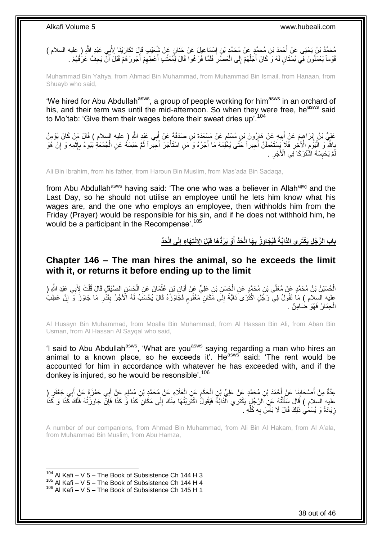مُحَمَّدُ بْنُ يَحْيَى عَنْ أَحْمَدَ بْنِ مُحَمَّدٍ عَنْ مُحَمَّدٍ بْنِ إِسْمَاعِيلَ عَنْ حَذَانٍ عَنْ شُعَيْبِ قَإِلَ تَكَارَيْنَا لِأَبِي عَبْدِ اللَّهِ ( عليه السلام )<br>سَمَّدُ بْنُ يَحْيَى عَنْ أَحْمَدَ بْنِ مُحَمَّدٍ ∣l<br>∶ قَوْماً يَعْمَلُونَ فِي بُسْتَانٍ لَهُ وَ كَانَ أَجَلُهُمْ إِلَى الْعَصَّلِ فَلَمَّا فَرَغُوا قَالَ لِمُعَتَّبِ أَعْطِهِمْ أَجُورَ هُمْ قَبْلَ أَنْ يَجِفَّ عَرَفُهُمْ . ِ ْ ∣ا<br>∶ ٔ<br>ا َ اُ ا<br>أ ِ َ

Muhammad Bin Yahya, from Ahmad Bin Muhammad, from Muhammad Bin Ismail, from Hanaan, from Shuayb who said,

'We hired for Abu Abdullah<sup>asws</sup>, a group of people working for him<sup>asws</sup> in an orchard of his, and their term was until the mid-afternoon. So when they were free, he<sup>asws</sup> said to Mo'tab: 'Give them their wages before their sweat dries up'.<sup>104</sup>

عَلِيُّ بْنُ إِبْرَاهِيمَ عَنْ أَبِيهِ عَنْ هَارُونَ بْنِ مُسْلِمٍ عَنْ مَسْعَدَةَ بْنِ صَدَقَةً عَنْ أَبِي عَبْدٍ اللَّهِ ( عليه السلام ) قَالَ مَنْ كَانَ يُؤْمِنُ ٍ ِ َ َ ُ بِاللَّهِ وَ الْيَوْمِ الْأَخِرِ فَلَا َيَسْتَعْمِلَنَّ أَجِيراً حَتَّى يُعْلِمَهُ مَا أَجْرُهُ وَ مَنِ اسْتَأْجَرَ أَجَيراً ثُمَّ حَبَسَهُ عَنِ الْجُمُعَةِ يُبُوءُ بِإِثْمِهِ وَ إِنْ هُوَ َ ْ َ َ ِ ِ :<br>ا **∶** ِ ْ ِ **∶** ْ مْ يَحْبِسْهُ الشَّتَرَكَا فِّي الْأَجْرِ . ِ **∣** لَ

Ali Bin Ibrahim, from his father, from Haroun Bin Muslim, from Mas'ada Bin Sadaqa,

from Abu Abdullah<sup>asws</sup> having said: 'The one who was a believer in Allah<sup>ajwj</sup> and the Last Day, so he should not utilise an employee until he lets him know what his wages are, and the one who employs an employee, then withholds him from the Friday (Prayer) would be responsible for his sin, and if he does not withhold him, he would be a participant in the Recompense'.<sup>105</sup>

> باب الرَّجُل يَكْتَرِ ي الذَّابَّةَ فَيُجَاوِزُ بِهَا الْحَدَّ أَوْ يَرُدُّهَا قَبْلَ الِانْتِهَاءِ إِلَى الْحَذّ **ِ َ ِ**

### <span id="page-37-0"></span>**Chapter 146 – The man hires the animal, so he exceeds the limit with it, or returns it before ending up to the limit**

َّ الْحُسَيْنُ بْنُ مُحَمَّدٍ عَنْ مُعَلَّى بْنِ مُحَمَّدٍ عَنِ الْجَسَنِ بْنِ عَلِيٍّ عَنْ أَبَانِ بْنِ عُثْمَانَ عَنِ الْحَسَنِ الصَّنْقِلِ قَالَ قُلْتُ لِأَبِي عَبْدِ اللَّهِ ( ْ ِ ْ ْ **ٔ** َ ْ عليه السلام ) مَا تَقُولُ فِي رَجُلٍ اكْثَرَى َدَابَةً إِلَى مَكَانٍ مَعْلُومٍ فَجَاوَزَهُ قَالَ يُحْسَبُ لَهُ الْأَجْرُ بِقَدْرِ مَا جَاوَزَ وَ إِنْ عَطِبَ ٍ ِ ِ ِ الْحِمَارُ فَهُوَ ضَامِنٌ . ْ

Al Husayn Bin Muhammad, from Moalla Bin Muhammad, from Al Hassan Bin Ali, from Aban Bin Usman, from Al Hassan Al Sayqal who said,

'I said to Abu Abdullah<sup>asws</sup>, 'What are you<sup>asws</sup> saying regarding a man who hires an animal to a known place, so he exceeds it'. He<sup>asws</sup> said: 'The rent would be accounted for him in accordance with whatever he has exceeded with, and if the donkey is injured, so he would be resonsible'.<sup>106</sup>

عِدَّةٌ مِنْ أَصْحَابِنَا عَنْ أُحْمَدَ بْنِ مُحَمَّدٍ عَنْ عَلِيٍّ بْنِ الْحَكَمِ عَنِ الْعَلَاءِ عَنْ مُحَمَّدٍ بْنِ مُسْلِمٍ عَنْ أَبِي حَمْزَةَ عَنْ أَبِي جَعْفَرٍ ( **∣** َ َ م ْ ِ ْ َ َ عليه السلام ) قَالَ سَأَلْتُهُ عَنِ الرَّجُلِ يَكْتَرِي الْذَابَةَ فَيَقُولُ اكْتَرَيْتُهَا مِنْكَ إِلَى مَكَانِ كَذَا وَّ كَذَا وَحَكَامَ ذَكَاهَ كَذَا وَ كَذَا<br>عليه السلام ) قَالَ سَأَلْتُهُ عَنِ الرَّجُلِ يَكْتَرِي الْذ ِ ْ َ ।।<br>़ زِ يَادَةً وَ يُسَمِّيٰ ذَلِكَ قَالَ لَا بَأْسَ بِهِ كُلِّهِ . ِّ ِ ا<br>ا ِ

A number of our companions, from Ahmad Bin Muhammad, from Ali Bin Al Hakam, from Al A'ala, from Muhammad Bin Muslim, from Abu Hamza,

 $104$  Al Kafi – V 5 – The Book of Subsistence Ch 144 H 3

 $105$  Al Kafi – V 5 – The Book of Subsistence Ch 144 H 4

 $106$  Al Kafi – V 5 – The Book of Subsistence Ch 145 H 1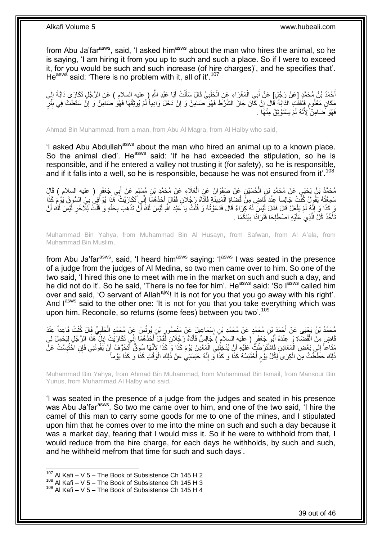from Abu Ja'far<sup>asws</sup>, said, 'I asked him<sup>asws</sup> about the man who hires the animal, so he is saying, 'I am hiring it from you up to such and such a place. So if I were to exceed it, for you would be such and such increase (of hire charges)', and he specifies that'. He<sup>asws</sup> said: 'There is no problem with it, all of it'.<sup>107</sup>

أَحْمَدُ بْنُ مُحَمَّدٍ [عَنْ رَجُلٍ] عَنْ أَبِي الْمَغْرَاءِ عَنِ الْحَلَبِيِّ قَالَ سَأَلْتُ أَبَا عَبْدِ اللَّهِ ( عليه السلام ) عَنِ الرَّجُلِ تَكَارَى دَابَّةً إِلَى َ ْ َ **∶** ْ ْ َ لَ ِ مَكَانٍ مَعْلُومٍ فَنَفَقَتِ الذَّابَّةُ قَالَ إِنْ كَانَ جَازَ الشَّرْطَ فَهُوَ ضَامِنٌ وَ إِنْ دَخَلَ وَادِياً لَمْ يُوثِقْهَا فَهُوَ ضَامِنٌ وَ إِنْ سَقَطَتْ فِي بِئْرٍ ٍ ِ لَ ِ ِ ِ فَهُوَ ۚ ضَامِنٌّ ۚ لِأَنَّهُ لَمْ يَسْتَوْثِقْ مِنْهَاۤ ۚ .

Ahmad Bin Muhammad, from a man, from Abu Al Magra, from Al Halby who said,

'I asked Abu Abdullah<sup>asws</sup> about the man who hired an animal up to a known place. So the animal died'. He<sup>asws</sup> said: 'If he had exceeded the stipulation, so he is responsible, and if he entered a valley not trusting it (for safety), so he is responsible, and if it falls into a well, so he is responsible, because he was not ensured from it'.<sup>108</sup>

مُحَمَّدُ بْنُ يَحْيَى عَنْ مُحَمَّدٍ بْنِ الْحُسَيْنِ عَنْ صَفْوَانَ عَنِ الْعَلَاءِ عَنْ مُحَمَّدٍ بْنِ مُسْلِمٍ عَنْ أَبِي جَعْفَرٍ ( عليه السلام ) قَالَ<br>مُحَمَّدُ بْنُ يَحْيَى عَنْ مُحَمَّدٍ بْنِ الْحُسَيْنِ عَنْ صَفْو َ ֧֚֚֓֝֬֝ ْ ْ نِّي َت َك َحُد ُه َما إ َتاهُ َر ُجَال ِن َفَقا َل أ َمِديَن ِة َفأ َضاِة ال َد َقا ٍض ِم ْن قُ ِعنْ ُه َيقُو ُل ُكنْ ُت َجالِساً َس ِمْعت ا ُ َي ال ُّسو َق َيْو َم َكذَ ا ُيَواِفي ب ا َرْي ُت َهذَ ِ َ َ ْ **∶** رَ كَذَا وَ إِنَّهُ لَمْ يَفْعَلْ قَالَ فَقَالَ لَيْسَ لَهُ كِرَاءٌ قَالَ فَدَعَوْتُهُ وَ قُلْتُ يَا عَبْدَ اللّهِ لَيْسَ لَكَ مَنْهُو وَ قُلْتُ لِلْآخَرِ لَيْسَ لَكَ أَنْ ֺ֧ׅ֧ׅ֧֧֚֚֚֚֚֚֚֚֚֚֚֚֚֚֚֚֚֝֝֬֓֡֡֡֡֡֡֡֬֓֡֟֓֡֟֓֡֟֓֡֡֡֬֓֡֡֬֩֓֓֬֩ َ لَ ِ ْ **∶ ٔ** َ ْ تَأْخُذَ كُلَّ اَلَّذِي عَلَيْهِ اصْطَلِحَا فَتَرَادًا بَيْنَكُمَا . اُ ة<br>أ

Muhammad Bin Yahya, from Muhammad Bin Al Husayn, from Safwan, from Al A'ala, from Muhammad Bin Muslim,

from Abu Ja'far<sup>asws</sup>, said, 'I heard him<sup>asws</sup> saying: 'l<sup>asws</sup> I was seated in the presence of a judge from the judges of Al Medina, so two men came over to him. So one of the two said, 'I hired this one to meet with me in the market on such and such a day, and he did not do it'. So he said, 'There is no fee for him'. He<sup>asws</sup> said: 'So l<sup>asws</sup> called him over and said, 'O servant of Allah<sup>ajwj</sup>! It is not for you that you go away with his right'. And lasws said to the other one: 'It is not for you that you take everything which was upon him. Reconcile, so returns (some fees) between you two'.<sup>109</sup>

َس َع ْن ُم َح َّم ِن ُيونُ ْب ُصور ْس َما ِعي َل َع ْن َمنْ ِن إ ِن ُم َح َّمٍد َع ْن ُم َح َّمِد ْب ْح َمَد ْب ُم َح َّمُد ْب ُن َي ْحَيى َع ْن أ ِّي َق ب َحلَ ٍد ال َد ْ ِعنْ ا َل ُكنْ ُت َقا ِعداً ِ ِ ِ قَاضٍ مِنَ الْقُضَاةِ وَ عِنْدَهُ أَبُو َجَعْفَرٍ ( عِليه السلامِ ) جَالِسٌ فَأَتَاهُ رَجُلَانِ فَقَالَ أَحَدُهُمَا إِنِّي تَكَارَيْتُ إِبِلَ هَذَا الرَّجُلِ لِيَحْمِلَ لِي ِ َ اً َ ِ ِ َ مَثَاعاً إِلَي بَعْضِ الْمَعَادِنِ فَاشْتَرَطْتُ عَلَيْهِ أَنْ يُدْخِلِنِي الْمَعْدِنَ يَوْمَ كَذَا وَ كَذَا لِأَنَّهَا سُوِقٌ أَنْخَعَ فَ أَنْ يَفُوتَنِي فَإِنِّ اخْتُبِسْتُ عَنَّ ْ ِ ِ َ َ ْ ذَلِكَ حَطَّطْتُ مِنَّ الْكِرَىِ لِكُلِّ يَوْم أُحْتَبَسُهُ كَذَا وَ كَذَا وَّ إِنَّهُ حَبَسَنِي عَنْ ذَلِكَ الْوَقْتِ كَذَا وَ كَذَا يَوْمأَ ْ ِ ا<br>ا م ْ

Muhammad Bin Yahya, from Ahmad Bin Muhammad, from Muhammad Bin Ismail, from Mansour Bin Yunus, from Muhammad Al Halby who said,

'I was seated in the presence of a judge from the judges and seated in his presence was Abu Ja'far<sup>asws</sup>. So two me came over to him, and one of the two said, 'I hire the camel of this man to carry some goods for me to one of the mines, and I stipulated upon him that he comes over to me into the mine on such and such a day because it was a market day, fearing that I would miss it. So if he were to withhold from that, I would reduce from the hire charge, for each days he withholds, by such and such, and he withheld mefrom that time for such and such days'.

 $107$  Al Kafi – V 5 – The Book of Subsistence Ch 145 H 2

 $108$  Al Kafi – V 5 – The Book of Subsistence Ch 145 H 3

 $109$  Al Kafi – V 5 – The Book of Subsistence Ch 145 H 4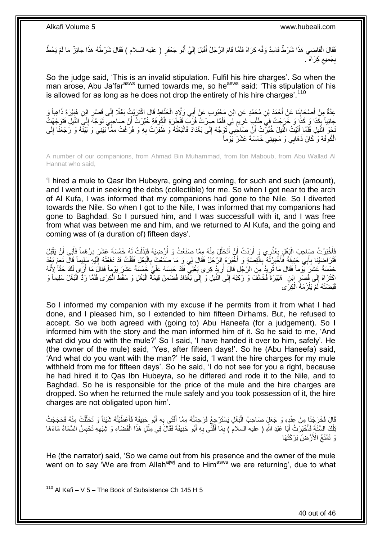فَقَالَ الْقَاضِبِي هَذَا شَرْطٌ فَاسِدٌ وَفِّهِ كِرَاهُ فَلَمًا قَامَ الرَّجُلُ أَقْبَلَ إِلَيَّ أَبُو جَعْفَرٍ ( عليه السلام ) فَقَالَ شَرْطُهُ هَذَا جَائِزٌ مَا لَمْ يَحُطَّ ْ َ لَ ِ َ بِجَمِيع كِرَاهُ .  $\zeta$ ِ

So the judge said, 'This is an invalid stipulation. Fulfil his hire charges'. So when the man arose, Abu Ja'far<sup>asws</sup> turned towards me, so he<sup>asws</sup> said: 'This stipulation of his is allowed for as long as he does not drop the entirety of his hire charges'.<sup>110</sup>

عِدَّةٌ مِنْ أَصْحَابِنَا عَنْ أَحْمَدَ بْنِ مُحَمَّدٍ عَنِ ابْنِ مَحْبُوبٍ عَنْ أَبِي وَلَّادٍ الْحَنَّاطِ قَالَ اكْتَرَيْتُ بَغْلًا إِلَى قَصْرِ ابْنِ هُبَيْرَةَ ذَاهِباً وَ ْ َ َ ِ َ ِ ِ ِ جَائِدًا وَ كَذَا وَ خَرَجْتُ فِيَ طَلَبِ غَرِيَمٍ لِيَ فَلَمَّا صِرْتُ قُرَّبَ قَتْطَرَةِ الْكُوفَةِ خُبِّرْتُ أَنَّ صَاحِبِي تَوَجَّهَ إِلَيَ النِّيلِ فَتَوَجَّهْتُ َ ٍ ِ ِ ِ َّبْحُوَ النَّيلِ فَلَمَّا أَتَيْتُ النِّيلَ خُبِّرْتُ أَنَّ صَاحِّبِي ۖ تَوَجَّهَ إِلَى بَغْدَادَ فَاتَّبَعْتُهُ وَ ظَفِرْتُ بِهِ وَ فَرَغْتُ مِمَّا بَيْنِي وَ بَيْنَهُ وَ رَجَعْنَا إِلَى َ ِ  $\frac{1}{2}$ لَ ِ الْكُوفَةِ وَ كَانَ ذَهَابِي وَ مَجِيئِي خَمْسَةَ عَشَرَ يَوْمأَ

A number of our companions, from Ahmad Bin Muhammad, from Ibn Maboub, from Abu Wallad Al Hannat who said,

'I hired a mule to Qasr Ibn Hubeyra, going and coming, for such and such (amount), and I went out in seeking the debs (collectible) for me. So when I got near to the arch of Al Kufa, I was informed that my companions had gone to the Nile. So I diverted towards the Nile. So when I got to the Nile, I was informed that my companions had gone to Baghdad. So I pursued him, and I was successfull with it, and I was free from what was between me and him, and we returned to Al Kufa, and the going and coming was of (a duration of) fifteen days'.

فَأَخْبَرْتُ صَاحِبَ الْبَغْلِ بِعُذْرِي وَ أَرَدْتُ أَنْ أَتَحَلَّلَ مِنْهُ مِمَّا صَنَعْتُ وَ أَرْضِيَهُ فَبَذَلْتُ لَهُ خَمْسَةَ عَشَرَ دِرْهَماً فَأَبَى أَنْ يَقْبَلَ<br>تَمَيْنَ مَعَ الْمَرْسَلَ مِنْ أَوْمَهُ مِنْ أَوْم ْ ُ َّ َ َ ْ ِ ْ ا<br>ا َ َ فَتَرَاضِيْنَا بِأَبِي حَنِيفَةَ فَأَخْبَرْتُهُ بِالْقِصَّةِ وَ أَخْبَرَهُ الرَّجُلُ فَقَالَ لِي وَ مَا صَنَعْتَ بِالْبَغْلِ فَقُلْتُ قَدْ دَفَعْتُهُ إِلَيْهِ سَلِيماً قَالَ نَعَمْ بَعْدَ ْ ِ َ ْ ِ َ َ ِ لَ ِ ْ خَمْسَةَ عَشَرَ يَّوْماً فَقَالَ مَا تُرِيدُ مِنَ الرَّجْلِ قَالَ أُرِيدُ كِرَى بَغْلِي فَقَّدْ حَبَسَهُ عَلَيَّ خَمْسَةَ عَشَرَ يَوْماً فَقَالَ مَا أَرَى لَكَ حَقّاً لِأَنَّهُ ِ َ ِ الْخَتَرَاهُ إِلَى قَصْرِ إِبْنِ ۚ هُبَيْرَةَ فَخَالَفَ وَ رَكِبَهُ إِلَى النِّيلِ وَ إِلَى بَغْدَادَ فَضَمِنَ قِيمَةَ الْبَغْلِ وَ سَقَطَ الْكِرَى فَلَمَّا رَدَّ الْبَغْلَ سَلِيماً وَ ْ ِ ∣ا<br>∶ **∶** ِ ْ ْ قَبَضْتَهُ لَمْ يَلْزَمْهُ الْكِرَى ْ ْ

So I informed my companion with my excuse if he permits from it from what I had done, and I pleased him, so I extended to him fifteen Dirhams. But, he refused to accept. So we both agreed with (going to) Abu Haneefa (for a judgement). So I informed him with the story and the man informed him of it. So he said to me, 'And what did you do with the mule?' So I said, 'I have handed it over to him, safely'. He (the owner of the mule) said, 'Yes, after fifteen days!'. So he (Abu Haneefa) said, 'And what do you want with the man?' He said, 'I want the hire charges for my mule withheld from me for fifteen days'. So he said, 'I do not see for you a right, because he had hired it to Qas Ibn Hubeyra, so he differed and rode it to the Nile, and to Baghdad. So he is responsible for the price of the mule and the hire charges are dropped. So when he returned the mule safely and you took possession of it, the hire charges are not obligated upon him'.

قَالَ فَخَرَجْنَا مِنْ عِنْدِهِ وَ جَعَلٍَ صَاحِبُ الْبَغْلِ يَسْتَرْجِعُ فَرَحِمْتُهُ مِمَّا أَفْتَى بِهِ أَبُو حَنِيفَةَ فَأَعْطَيْتُهُ شَيْئاً وَ تَحَلَّلْتُ مِنْهُ فَحَجَجْتُ َ َ ِ َ ْ ْ َّ ِ َنِلْكَ السَّنَةَ فَأَخْبَرْتُ أَبَا عَبْدِ اللَّهِ ( عليه السلام ) بِمَا أَفْتَى بِهِ أَبُو حَنِيفَةَ فَقَالَ فِي مِثْلِ هَذَا الْقَضَاءِ وَ شِبْهِهِ تَحْبِسُ السَّمَاءُ مَاءَهَا َ ِ َ َ ْ ِ ِ ْ ْ َ وَ تَمْنَعُ الْأَرْضُ بَرَكَتَهَا

He (the narrator) said, 'So we came out from his presence and the owner of the mule went on to say 'We are from Allah<sup>ajwj</sup> and to Him<sup>asws</sup> we are returning', due to what

1

40 out of 46

 $110$  Al Kafi – V 5 – The Book of Subsistence Ch 145 H 5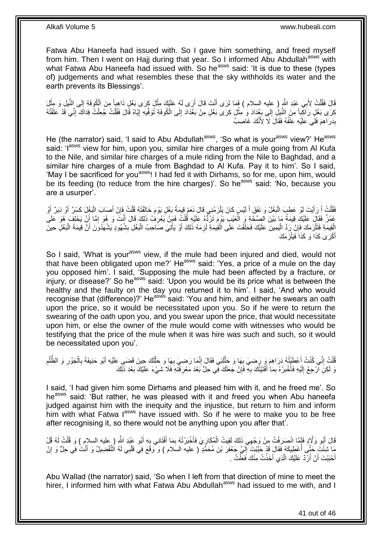Fatwa Abu Haneefa had issued with. So I gave him something, and freed myself from him. Then I went on Hajj during that year. So I informed Abu Abdullah<sup>asws</sup> with what Fatwa Abu Haneefa had issued with. So he<sup>asws</sup> said: 'It is due to these (types of) judgements and what resembles these that the sky withholds its water and the earth prevents its Blessings'.

قَالَ فَقُلْتُ لِأَبِي عَبْدِ اللَّهِ ( عليه السلام ) فَمَا تَرَى أَنْتَ قَالَ أَرَى لَهُ عَلَيْكَ مِثْلَ كِرَى بَغْلِ ذَاهِباً مِنَ الْحُوفَةِ إِلَى النَّبْلِ وَ مِثْلَ ْ َ َ ْ ْ ٳٳ كِرَى بَغْلٍ رَاكِباً مِنَ النَّبِلِ إِلَى بَغْدَادَ وَ مِثْلَ كِرَى بَغْلٍ مِنْ بَغْدَادَ إِلَى الْكُوفَةِ تُوَفِّيهِ إِيَّاهُ قَالَ فَقُلْتُ جُعِلْتُ فِدَاكَ إِنِّي قَدْ عَلَفْتُهُ ِ  $\frac{1}{2}$ ْ ِ ِ ْ ْ بِذَرَاهِمَ فَلِّي عَلَيْهِ عَلَّفُهُ فَقَالَ لَا لِأَنَّكَ غَاصِبٌ **∣** 

He (the narrator) said, 'I said to Abu Abdullah<sup>asws</sup>, 'So what is your<sup>asws</sup> view?' He<sup>asws</sup> said: 'l<sup>asws</sup> view for him, upon you, similar hire charges of a mule going from Al Kufa to the Nile, and similar hire charges of a mule riding from the Nile to Baghdad, and a similar hire charges of a mule from Baghdad to Al Kufa. Pay it to him'. So I said, 'May I be sacrificed for you<sup>asws</sup>! I had fed it with Dirhams, so for me, upon him, would be its feeding (to reduce from the hire charges)'. So he<sup>asws</sup> said: 'No, because you are a usurper'.

فَقُلْتُ أَ رَأَيْتَ لَوْ عَطِبَ الْبَغْلُ وَ نَفَقَ أَ لَيْسَ كَانَ يَلْزَمُنِي قَالَ نَعَمْ قِيمَةُ بَغْلٍ يَوْمَ خَالَفْتَهُ قُلْتُ فَإِنْ أَصَابَ الْبَغْلَ كَسْرٌ أَوْ دَبَرٌ أَوْ ْ لَ َ :<br>ا َ َ .<br>ا َ َ ْ َ ِ ْ غَمْزٌ فَقَالَ عَلَيْكَ قِيمَةُ مَا بَيْنَ الصِّحَّةِ وَ الْعَيْبِ يَوْمَ تَرُدُّهُ عَلَيْهِ قُلْتُ فَمَنْ يَعْرِفُ ذَلِكَ قَالَ أَنْتَ وَ هُوَ إِمًا أَنْ يَحْلِفَ هُوَ عَلَى ِ ْ ْ َ ן<br>ֲ َ الْقِيمَةِ فَتَلْزَمَكَ فَإِنْ رَدَّ الْيَمِينَ عَلَيْكَ فَحَلَفْتَ عَلَى الْقِيمَةِ لَزِمَهُ ذَلِكَ أَوْ يَأْتِيَ صَاحِبُ الْبَغْلِ بِشُهُودٍ يَشْهَدُونَ أَنَّ قِيمَةَ الْبَغْلِ حِينَ ْ :<br>ا ِ ْ ْ َ ِ ْ ْ َ ِ أَكْرَى كَذَا وَ كَذَاَ فَيَلْزَمَكَ ْ َ

So I said, 'What is your<sup>asws</sup> view, if the mule had been injured and died, would not that have been obligated upon me?' Heasws said: 'Yes, a price of a mule on the day you opposed him'. I said, 'Supposing the mule had been affected by a fracture, or injury, or disease?' So he<sup>asws</sup> said: 'Upon you would be its price what is between the healthy and the faulty on the day you returned it to him'. I said, 'And who would recognise that (difference)?' He<sup>asws</sup> said: 'You and him, and either he swears an oath upon the price, so it would be necessitated upon you. So if he were to return the swearing of the oath upon you, and you swear upon the price, that would necessitate upon him, or else the owner of the mule would come with witnesses who would be testifying that the price of the mule when it was hire was such and such, so it would be necessitated upon you'.

َ ُفْلَتُ إِنِّي كُنْتُ أَعْطَيْتُهُ دَرَاهِمَ وَ رَضِيَ بِهَا وَ حَلَّلَنِي فَقَالَ إِنَّمَا رَضِيَ بِهَا وَ حَلَّلَكَ حِينَ فَضَـي عَلَيْهِ أَبُو حَنِيفَةَ بِالْجَوْرِ وَ الظَّلْمِ ِ ْ َ لَ َّ ِ ِ لَ َّ ِ ِ ْ ِ ْ ِ نَ لَكِنِّ الْحِعْ إِلَيْهِ فَأَخْبِرْهُ بِمَا أَفْتَيْتُكَ بِهِ فََإِنْ جَعَلَكَ فِي حِلٍّ بَعْدَ مَعْرِفَتِهِ فَلَا شَيْءَ عَلَيْكَ بَعْدَ ذَلِكَ ِ **∶** َ ِ ِ .<br>ا لَ ∣<br>∶ **ٍ** 

I said, 'I had given him some Dirhams and pleased him with it, and he freed me'. So he<sup>asws</sup> said: 'But rather, he was pleased with it and freed you when Abu haneefa judged against him with the inequity and the injustice, but return to him and inform him with what Fatwa I<sup>asws</sup> have issued with. So if he were to make you to be free after recognising it, so there would not be anything upon you after that'.

قَالَ أَبُو وَلَادٍ فَلَمَّا انْصَرَفْتُ مِنْ وَجْهِي ذَلِكَ لَقِيتُ الْمُكَارِيَ فَأَخْبَرْتُهُ بِمَا أَفْتَانِي بِهِ أَبُو عَبْدِ اللَّهِ ( عِليه السلام ) وَ قُلْتُ لَهُ قُلْ ْ َ ِ َ ِ َ ِ ْ مَا شِئْتَ حَتَّى أَعْطِيَكَهُ فَقَالَ قَدْ حَبَّبْتَ إِلَيَّ جَعْفَرَ بْنَ مُحَمَّدٍ ( عليه السلام ) وَ وَقَعَ فِي قَلْبِي لَهُ التَّفْضِيلُ وَ أَنْتُ فِي حِلٍّ وَ إِنْ<br>يَسْتَبَرَّجَ حَبَّى أَعْطِيَكَهُ فَقَالَ قَدْ حَبَ ْ لَ ِ ِ َ أَحْبَبْتَ أَنْ أَرُدَّ عَلَيْكَ الَّذِي أَخَذْتُ مِنْكَ فَعَلْتُ . ْ **ٔ** َ َّ َ َ

Abu Wallad (the narrator) said, 'So when I left from that direction of mine to meet the hirer, I informed him with what Fatwa Abu Abdullah<sup>asws</sup> had issued to me with, and I

41 out of 46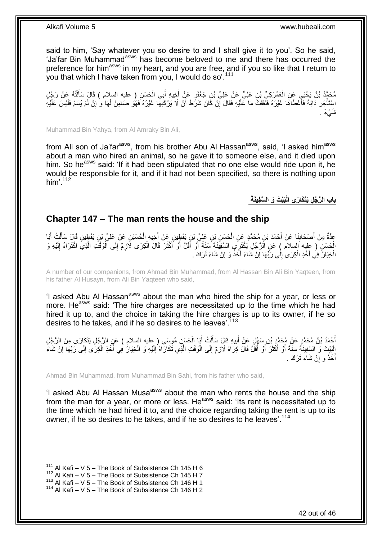said to him, 'Say whatever you so desire to and I shall give it to you'. So he said, 'Ja'far Bin Muhammad<sup>asws</sup> has become beloved to me and there has occurred the preference for him<sup>asws</sup> in my heart, and you are free, and if you so like that I return to you that which I have taken from you, I would do so'.<sup>111</sup>

مُحَمَّدُ بْنُ يَحْيَى عَنِ الْعَمْرَكِيِّ بْنِ عَلِيٍّ عَنْ عَلِيٍّ بْنِ جَعْفَرٍ عَنْ أَخِيهِ أَبِي الْحَسَنِ ( عليه السلام ) قَالَ سَأَلْتُهُ عَنْ رَجُلٍ<br>مَعَظَّدُ بْنُ يَحْيَى عَنِ الْعَمْرَكِيِّ بْنِ عَلِيِّ مَنْ عَل ْ َ َ ْ ْ َ اسْتَأْجَرَ دَابَّةً فَأَعْطَاهَا غَيْرَهُ فَنَفَقَتْ مَا عَلَيْهِ فَقَالَ إِنْ كَانَ شَرَّطَ أَنْ لَا يَرْكَبَهَا غَيْرُهُ فَهُوَ ضَامِنٌ لَهَا وَ إِنْ لَمْ يُسَمِّ فَلَيْسِ عَلَيْهِ َ :<br>. ِ اُ ِ شٌيءٌ .

Muhammad Bin Yahya, from Al Amraky Bin Ali,

from Ali son of Ja'far<sup>asws</sup>, from his brother Abu Al Hassan<sup>asws</sup>, said, 'I asked him<sup>asws</sup> about a man who hired an animal, so he gave it to someone else, and it died upon him. So he<sup>asws</sup> said: 'If it had been stipulated that no one else would ride upon it, he would be responsible for it, and if it had not been specified, so there is nothing upon him'.<sup>112</sup>

**َبْي َت َو ال َّس ِفيَنةَ باب ال َّر ُج ِل َيَتَكا َرى الْ**

### <span id="page-41-0"></span>**Chapter 147 – The man rents the house and the ship**

عِدَّةٌ مِنْ أَصْحَابِنَا عَنْ أَحْمَدَ بْنِ مُحَمَّدٍ عَنِ الْحَسَنِ بِْنِ عَلِّيِّ بْنِ يَقْطِينِ عَنْ عَلِي<br>عِدَّةٌ مِنْ أَصْحَابِنَا عَنْ أَحْمَدَ بْنِ مُحَمَّدٍ مِنِ الْحَسَنِ بِْنِ عَلِّيٍّ بِنِ يَقْطِينِ عَنْ عَلِي َ ْ َ ِ َ َ ْ ĺ ْ لَ ∣∣<br>ِ∶ الْحَسَنِ ( عِليه السلام ) عَنِ الَرَّجُلِ يَكْتَرِيَي السَّفِيَنَةَ سَنَةً أَوْ أَقَلَّ أَوْ أَكْثَرَ قَالَ الْكِرَى لَازِمٌ إِلَى الْوَقْتِ الَّذِيَّ اكْتَرَاهُ إِلَيْهِ وَ ِ ْ َ َ َ َ َ لَ ِ َّ ْ الْخِيَارُ فِي أَخْذِ الْكِرَىٰ إِلَٰى رَبِّهَا إِنْ شَاءَ أَخَذٌ وَ إِنْ شَاءَ تَرَكَ . ْ ِ ِ  $\frac{1}{2}$ ْ

A number of our companions, from Ahmad Bin Muhammad, from Al Hassan Bin Ali Bin Yaqteen, from his father Al Husayn, from Ali Bin Yaqteen who said,

'I asked Abu AI Hassan<sup>asws</sup> about the man who hired the ship for a year, or less or more. He<sup>asws</sup> said: 'The hire charges are necessitated up to the time which he had hired it up to, and the choice in taking the hire charges is up to its owner, if he so desires to he takes, and if he so desires to he leaves<sup>', 113</sup>

أَحْمَدُ بْنُ مُحَمَّدٍ عَنْ مُحَمَّدٍ بْنِ سَفْلٍ عَنْ أَبِيهِ قَالَ سَأَلْتُ أَبَا الْحَسَنِ مُوسَى ( عليه السلام ) عَنِ الرَّجُلِ يَتَكَارَى مِنَ الرَّجُلِ<br>أَحْمَدُ بْنُ مُحَمَّدٍ عَنْ مَحَمَّدٍ بِنَ يَجْمَعُونَ بِنَّ ْ َ ْ َ **!** َ َ لَ  $\frac{1}{2}$ الْبَيْتَ وَ السَّفِينَةَ سَنَةً أَوْ أَكْثَرَ أَوْ أَقَلَّ قَالَ كِرَاهُ لَازِمٌ إِلَى الْوَقْتِ الَّذِي تَكَارَاهُ إِلَيْهِ وَ الْخِيَالُ فِي أَخْذِ الْكِرَى إِلَى رَبِّهَا إِنْ شَاءَ ِ َ َ َ َ ِ ِ ْ َ ْ لَ ِ َّ ْ أَخَذَ وَ إِنْ شَاءَ تَرَكَ . ِ َ

Ahmad Bin Muhammad, from Muhammad Bin Sahl, from his father who said,

'I asked Abu AI Hassan Musa<sup>asws</sup> about the man who rents the house and the ship from the man for a year, or more or less. He<sup>asws</sup> said: 'Its rent is necessitated up to the time which he had hired it to, and the choice regarding taking the rent is up to its owner, if he so desires to he takes, and if he so desires to he leaves'.<sup>114</sup>

 $111$  Al Kafi – V 5 – The Book of Subsistence Ch 145 H 6

 $112$  Al Kafi – V 5 – The Book of Subsistence Ch 145 H 7

<sup>113</sup> Al Kafi – V  $5 -$  The Book of Subsistence Ch 146 H 1

 $114$  Al Kafi – V 5 – The Book of Subsistence Ch 146 H 2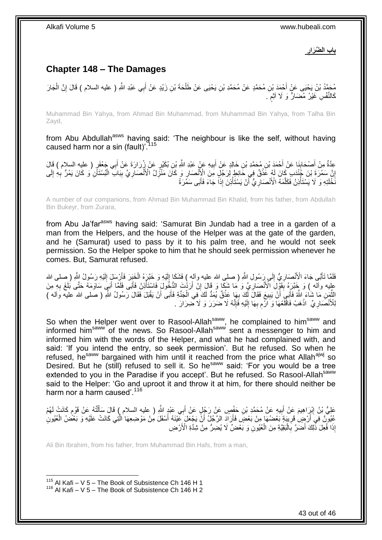**ِ باب ال ِّضَرار**

# <span id="page-42-0"></span>**Chapter 148 – The Damages**

مُحَمَّدُ بْنُ يَحْيَى عَنْ أَحْمَدَ بْنِ مُحَمَّدٍ عَنْ مُحَمَّدِ بْنِ يَحْيَى عَنْ طَلْحَةَ بْنِ زَيْدٍ عَنْ أَبِي عَبْدِ اللَّهِ ( عليه السلام ) قَالَ إِنَّ الْجَارَ َ ْ ْ ِ كَالنَّفْسِ غَيْرُ مُضَارٍّ وَ لَا أَثْمٍ َ ٍ

Muhammad Bin Yahya, from Ahmad Bin Muhammad, from Muhammad Bin Yahya, from Talha Bin Zayd,

from Abu Abdullah<sup>asws</sup> having said: 'The neighbour is like the self, without having caused harm nor a sin (fault)<sup>715</sup>

عِدَّةٌ مِنْ أَصْحَابِنَا عَنْ أَحْمَدَ بْنِ مُحَمَّدِ بْنِ خَالِدٍ عَنْ أَبِيهِ عَنْ عَبْدِ اللَّهِ بْنِ بُكَيْرٍ عَنْ زِرُرَارَةَ عَنْ أَبِي جَعْفَرٍ ( عليه السلام ) قَالَ ۱. َ َ ِ َ إِنَّ سَمُرَةَ بْنَ جُنْدَبٍ كَانَ لَهُ عََٰذْقٌ فِي خَائِطٍ لِزَجُلٍ مِنَ الْإِنْصَارِ وَ كَانَ مَنْزِلُ الْأَنْصَارِيِّ بِبَابَ الْبُسْتَأَنِ وَ كَانَ يَمُرُّ بِهِ إِلَى ِ ِ **ٔ**  ِ لَ ِ ِ ْ ِ ِ نَخْلَتِهِ وَ لَا يَسْتَأْذِنُ فَكَلَّمَهُ الْأَنْصَارِيُّ آَنْ يَسْتَأْذِنَ إِذَاً جَاءَ فَأَبَى سَمَرَةُ َ ْ اُ **∶** َّ ْ

A number of our companions, from Ahmad Bin Muhammad Bin Khalid, from his father, from Abdullah Bin Bukeyr, from Zurara,

from Abu Ja'far<sup>asws</sup> having said: 'Samurat Bin Jundab had a tree in a garden of a man from the Helpers, and the house of the Helper was at the gate of the garden, and he (Samurat) used to pass by it to his palm tree, and he would not seek permission. So the Helper spoke to him that he should seek permission whenever he comes. But, Samurat refused.

فَلَمَّا تَـأَبًى جَاءَ الْأَنْصَارِيُّ إِلَى رَسُولِ اللَّهِ ( صلى الله عليه وألهٍ ) فَشَكَا إِلَيْهِ وَ خَبَّرَهُ الْخَبِرَ فَأَرْسَلِ إِلَيْهِ رَسُولُ اللَّهِ ( صلى الله ْ لَ ِ  $\frac{1}{2}$ ِ َ لَ ِ عليه وآله ) وَ خَنَّزِهُ بِقَوْلِ الْأَنْصِارِيِّ وَ مَا شَكَّا وَ قَالَ إِنَّ أَرَدْتَ الدُّخُولَ فَاسْتَأْنِنْ فَأَبَى فَلَقَا أَبَيَ سَاوَمَهُ حَتَّى بُلَغَ بِهِ مِنَ َ **ٔ** ِ ِ **∣** ِ َ َّلْقُمِنِ مَا شَاءَ اللَّهُ فَأَنِيَ أَنْ يَبِيعَ فَقَالَ لَكَ بِهَا عَذْقٌ يُمَدُّ لَكَ فِي الْجَذَةِ فَأَنَى أَنْ يَقْبَلَ فَقَالَ رَسُولُ اللَّهِ ( صلى الله عليه وَاله )<br>النَّمنِ مَا شَاءَ اللَّهُ فَأَنَبِيَ أَنْ يَبِي ِ َ َ اُ ْ **ٔ** ِ لِلْأَنْصَارِيِّ ۚ اذْهَبْ فَاقْلَعْهَا وَ الْأَم بِهَا إِلَيْهِ فَإِنَّهُ لَا ضَرَرَ وَ لَا ضِرَارَ . ∣اٍ<br>∶ لَ ِ ِ ِ لَ **ٔ ∶** 

So when the Helper went over to Rasool-Allah<sup>saww</sup>, he complained to him<sup>saww</sup> and informed him<sup>saww</sup> of the news. So Rasool-Allah<sup>saww</sup> sent a messenger to him and informed him with the words of the Helper, and what he had complained with, and said: 'If you intend the entry, so seek permission'. But he refused. So when he refused, he<sup>saww</sup> bargained with him until it reached from the price what Allah<sup>ajwj</sup> so Desired. But he (still) refused to sell it. So he<sup>saww</sup> said: 'For you would be a tree extended to you in the Paradise if you accept'. But he refused. So Rasool-Allah<sup>saww</sup> said to the Helper: 'Go and uproot it and throw it at him, for there should neither be harm nor a harm caused'.<sup>116</sup>

عَلِيُّ بْنُ إِبْرَاهِيمَ عَنْ أَبِيهِ عَنْ مُحَمَّدِ بْنِ حَفْصٍ عَنْ رَجُلٍ عَنْ أَبِي عَبْدٍ اللَّهِ ( عليه السلام ) قَالَ سَأَلْتُهُ عَنْ قَوْمٍ كَانَتْ لَهُمْ َ ِ َ <u>֖֚֚֚֓</u> ֧֖֧֖֖֖֖֖֧֖֖֖֧֧֧֧֧֧֧֧֧֧֧֧֧֧֚֚֚֚֚֚֚֚֚֝֝֟֓֝֓֝֓֝֬֟֓֝֬֟֓֝֬֝֓֝֓֝֓֝֬֝֓֝֬֝֓֝֬֝֓֝֬֝֬֓֝֬֝֬ ْ اً<br>أ عُيُورٌنٌ فِيَ أَرْضٍ قَرِيبَةٍ بَعْضُهَا مِنْ بَعْضٍ فَأَرَادَ الرَّجُلُ أَنَّ يَجْعَلَ عَيْنَهُ أَسْفَلَ مِنْ مَوْضِعِهَا الَّتِي كَانَتْ عَلَيْهِ وَ بَعْضُ الْعُيُونِ َّ َ َ اُ ِ ْ إِذَا فُعِّلَ ذَٰٓلِكَ أَضۡمَرَّ بِٱلۡلَهَٰٓيَةِ مِنَ الْعُيُولِۤ وَ بَعۡمَتُ لَا يُضِرُّ مِنْ شِدَّةِ الْأَرْضِ :<br>ا ِ َ ْ

Ali Bin Ibrahim, from his father, from Muhammad Bin Hafs, from a man,

<sup>1</sup>  $115$  Al Kafi – V 5 – The Book of Subsistence Ch 146 H 1  $116$  Al Kafi – V 5 – The Book of Subsistence Ch 146 H 2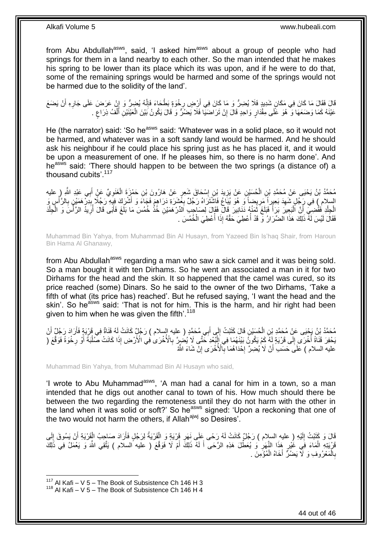from Abu Abdullah<sup>asws</sup>, said, 'I asked him<sup>asws</sup> about a group of people who had springs for them in a land nearby to each other. So the man intended that he makes his spring to be lower than its place which its was upon, and if he were to do that, some of the remaining springs would be harmed and some of the springs would not be harmed due to the solidity of the land'.

قَالَ فَقَالَ مَا كَانَ فِي مَكَانٍ شَدِيدٍ فَلَا يُضِرُّ وَ مَا كَانَ فِي أَرْضٍ رِخْوَةٍ بَطْحَاءَ فَإِنَّهُ يُضۭرُ وَ إِنْ عَرَضَ عَلَى جَارِهِ أَنْ يَضَعَ ا ا∣<br>ِ∘ِ **∶** اُ َ ِ عَيْنَهُ كَمَا وَضَعَهَا وَ ۚ هُوَ عَلَى مِقْدَارٍ وَاحِدٍ قَالَ إِنْ تَرَاضَيَا فَلَا يَضُرَّ وَ قَالَ يَكُونُ بَيْنَ الْعَيْنَيْنِ أَلْفُ ذِرَاعٍ . ِ **ٍ** ْ َ ْ

He (the narrator) said: 'So he<sup>asws</sup> said: 'Whatever was in a solid place, so it would not be harmed, and whatever was in a soft sandy land would be harmed. And he should ask his neighbour if he could place his spring just as he has placed it, and it would be upon a measurement of one. If he pleases him, so there is no harm done'. And heasws said: 'There should happen to be between the two springs (a distance of) a thousand cubits'.<sup>117</sup>

مُحَمَّدُ بْنُ يَحْيَى عَنْ مُحَمَّدِ بْنِ الْحُسَيْنِ عَنْ يَزِيدَ بْنِ إِسْحَاقَ شَعِرٍ عَنْ هَارُونَ بْنِ حَمْزٍةَ الْغَنَوِيِّ عَنٍْ أَبِي عَبْدِ اللَّهِ رِمٍ عليه<br>. َ **∶** ْ ِ ِ ْ السلام ) فِي رَِجُلٍ شَهِدَ بَعِيرٍ أَ مَرِيضِاً وَ هُوَ يُيَاغُ فَاشْتَرَاهُ رَجُلٌ بِعَشَرَةِ دَرَاهِمَ فَجَاءَ وَ أَشْرَكَ فِهِبَهِ رَجُلًا بِنِرْ هَمَيْنٍ بِالرَّأْسِ وَ َ ِ ِ ِ ْ **∶** ِ الْجِلْدِ فَقُضِيَ أَنَّ الْنَجِيرَ بَرَأَ فَبَلَغَ ثَمَنُهُ دَنَانِيرَ قَالَ فَقَالَ لِصَاحِبِ اَلدِّرْهَمَيْنِ خُذْ خُمُسَ مَا بَلَغَ فَأَبَى قَالَ أُرِيدُ الرَّأَسَ وَ الْجِلْدَ ا<br>: َ َ :<br>ا َ ْ ْ ْ ا<br>أ ِ ُ َ فَقَالَ لَيْسَ لَهُ ذَلِكَ هَذَا الضِّرَارُ وّ قَدْ أُعْطِيَ حَقَّهُ إِذَا أُعْطِيَ الْخُمُسَ . المستقبل المستقبل المستقبل المستقبل المستقبل المستقبل المستقبل المستقبل المستقبل المستقبل المستقبل المستقبل ال<br>المستقبل

Muhammad Bin Yahya, from Muhammad Bin Al Husayn, from Yazeed Bin Is'haq Shair, from Haroun Bin Hama Al Ghanawy,

from Abu Abdullah<sup>asws</sup> regarding a man who saw a sick camel and it was being sold. So a man bought it with ten Dirhams. So he went an associated a man in it for two Dirhams for the head and the skin. It so happened that the camel was cured, so its price reached (some) Dinars. So he said to the owner of the two Dirhams, 'Take a fifth of what (its price has) reached'. But he refused saying, 'I want the head and the skin'. So he<sup>asws</sup> said: 'That is not for him. This is the harm, and hir right had been given to him when he was given the fifth'.<sup>118</sup>

ْ مُحَمَّدُ بْنُ يَحْيَى عَنْ مُحَمَّدِ بْنِ الْحُسَيْنِ قَالَ كَتَبْتُ إِلَى أَبِي مُحَمَّدٍ ( عليه السلام ) رَجُلٌ كَانَتْ لَهُ قَنَاةٌ فِي قَرْيَةٍ فَأَرَادَ رَجُلٌ أَنْ<br>. َ أ َ ِ بَحْفِرَ قَنَاةً أُخْرَى إِلَى قَرْيَةٍ لَهُ ۖ كَمْ يَكُونَ بَيْنَهُمَا فِي إِلْبُعْدِ حَتَّى لَا يُضُرٍّ بِالْأُخْرَى فِي الْأَرْضِ إِذَا كَانَتْ صَلْبَةً أَوْ رِخْوَةً فَوَقَّعَ (ۖ ِ ْ ِ ُ ِ َ ْ عْليه السلام ) عَلَى حَسَبٌ أَنْ لَا يُضِرَّ لِخُدَاهُمَا بِالْأُخْرَى إِنْ شَاءَ اللَّهُ ِ ِ **∶** َ

Muhammad Bin Yahya, from Muhammad Bin Al Husayn who said,

'I wrote to Abu Muhammad<sup>asws</sup>, 'A man had a canal for him in a town, so a man intended that he digs out another canal to town of his. How much should there be between the two regarding the remoteness until they do not harm with the other in the land when it was solid or soft?' So he<sup>asws</sup> signed: 'Upon a reckoning that one of the two would not harm the others, if Allah<sup>ajwj</sup> so Desires'.

قَالَ وَ كَتَبْتُ إِلَيْهِ ( عليهِ السلام ) رَجُلٌ كَانَتْ لَهُ رَحًى عَلَى نَهَرِ قَرْيَةٍ وَ الْقَرْيَةُ لِرَجُلٍ فَأَرَادَ صَاحِبُ الْقِرْيَةِ أَنْ يَسُوقَ إِلَى َ ْ **∶** لَ  $\frac{1}{2}$ ِ َ ْ َفَزْيَتِهِ الْمَاءَ فِي غُيْرٍ هَذَا النَّهَرِ ۚ وَ يُعَطِّلَ هَذِهِ الرَّحَى أَ لَهُ ذَلِكَ أَمْ لَا فَوَقَّعَ ( عليه السلام ) يَتَّقِي اللَّهَ وَ يَعْمَلُ فِي ذَلِكَ ْ لَ َ **∶**  ِ بِالْمَعْرُوفِ وَ لَا يَضُرُّ أَخَاهُ الْمُؤْمِنَ <sub>.</sub> ْ ْ **∶** 

 $117$  Al Kafi – V 5 – The Book of Subsistence Ch 146 H 3

 $118$  Al Kafi – V 5 – The Book of Subsistence Ch 146 H 4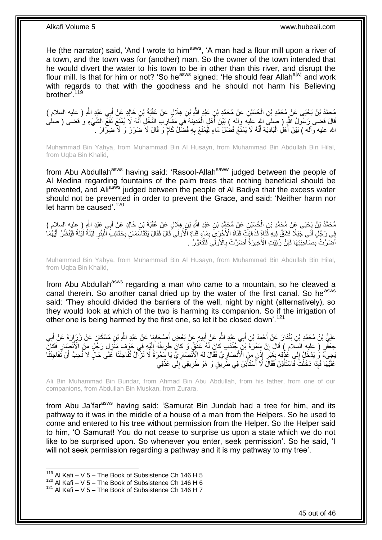He (the narrator) said, 'And I wrote to him<sup>asws</sup>, 'A man had a flour mill upon a river of a town, and the town was for (another) man. So the owner of the town intended that he would divert the water to his town to be in other than this river, and disrupt the flour mill. Is that for him or not? 'So he<sup>asws</sup> signed: 'He should fear Allah<sup>ajwj</sup> and work with regards to that with the goodness and he should not harm his Believing brother'.<sup>119</sup>

مُحَمَّدُ بْنُ يَحْيَى عَنْ مُحَمَّدِ بْنِ الْحُسَيْنِ عَنْ مُحَمَّدِ بْنِ عَبْدٍ اللَّهِ بْنِ هِلَالٍ عَنْ عُقْبَةَ بْنِ خَالِدٍ عَنْ أَبِي عَبْدٍ اللَّهِ ( عِليه السلام ) ْ َ قَالَ قَضَى رَسُولُ اللَّهِ ( صلىَ اللهِ عِليَه وآله ) بَيْنَ أَهْلِ الْمَدِينَةِ فِي مَشَارِبِ النَّخْلِ أَنَّهُ لَا يُمْنَعُ نَفَعٌ الشَّيْءِ وَ قَضَى ( صلى َ ِ ْ َ الله عليه وأله ) بَيْنَ أَهْلِ الْبَادِيَةِ أَنَّهُ لَا يُمْنَعُ فَضْلُ مَاءٍ لِيُمْنَعَ بِهِ فَضْلُ كَلَإٍ وَ قَالَ لَا ضَرَرَ وَ لَا ضِرَارَ . َ :<br>ا َ ِ

Muhammad Bin Yahya, from Muhammad Bin Al Husayn, from Muhammad Bin Abdullah Bin Hilal, from Uqba Bin Khalid,

from Abu Abdullah<sup>asws</sup> having said: 'Rasool-Allah<sup>saww</sup> judged between the people of Al Medina regarding fountains of the palm trees that nothing beneficial should be prevented, and Ali<sup>asws</sup> judged between the people of Al Badiya that the excess water should not be prevented in order to prevent the Grace, and said: 'Neither harm nor let harm be caused'.  $120$ 

مُحَمَّدُ بْنُ يَحْيَى عَنْ مُحَمَّدِ بْنِ الْحُسَيْنِ عَنْ مُحَمَّدٍ بْنِ عَبْدِ اللَّهِ بْنِ هِلَالٍ عَنْ عُقْبَةَ بْنِ خَالِدٍ عَنْ أَبِي عَبْدِ اللَّهِ رِ عِليه السلام )<br>وَقَدْ بَنَّ أَبِي عَبْدِ الْمَسْلَمِ الْسَلَامِ ْ َ فِي رَِجُلٍۗ أَتَى جَبَلًا ۖ فَشَقَّ فِيهِ قَنَاةً فَذَهَبَتْ قَثَاةُ الْأُخُرِ ىِّ بِمَاءٍ قَنَاةِ ٱلْأُولَى ًقَالَ فَقَالَ يَتَقَاسَمَانِ بِحَقَائِبَ ٱلْبِئْرِ ۖ لَيْلَةً لَيُلْةً فَيُنْظَرُ أَيُّهُمَا َ لَ لَ ِ ِ ْ ِ ِ َ أَضَرَّتْ بِصَاحِبَتِهَا فَإِنْ رُبْيَتِ الْأَخِيرَةُ أَصَرَّتْ بِالْأُولَى فَلْتُعَوَّرْ ۚ . ْ ِ َ ِ ِ َ

Muhammad Bin Yahya, from Muhammad Bin Al Husayn, from Muhammad Bin Abdullah Bin Hilal, from Uqba Bin Khalid,

from Abu Abdullah<sup>asws</sup> regarding a man who came to a mountain, so he cleaved a canal therein. So another canal dried up by the water of the first canal. So he<sup>asws</sup> said: 'They should divided the barriers of the well, night by night (alternatively), so they would look at which of the two is harming its companion. So if the irrigation of other one is being harmed by the first one, so let it be closed down'.<sup>121</sup>

عَلِيُّ بْنُ مُحَمَّدِ بْنِ بُنْدَارَ عَنْ أَحْمَدَ بْنِ أَبِي عَبْدِ اللَّهِ عَنْ أَبِيهِ عَنْ بَعْضِ أَصْحَابِنَا عَنْ عَبْدِ اللَّهِ بْنِ مُسْكَانَ عَنْ زُرَارَةَ عَنْ أَبِي ِ َ ِ َ َ َ ِ َ جَعْفُرٍ ( عليه السِّلام ) قَالَ إِنَّ سَمُرَةً بْنَ جُنْدَبِ كَانَ لَهُ عَذْقٌ وَ كَانَ طَرِيقُهُ إِلَيْهِ فِي جَوْف مَنْزِلِ رَجُلٍ مِنَ الْأَنْصَارِ فَكَانَ **ٍ ٔ** ِ ِ ِ لَ ِ يَجِيءُ وَ يَدْخُلُ إِلَى عُذْقِهِ بِغَيْرٍ ۖ إِذْنٍ مِنَ الْأَنْصَارِيِّ فَقَالَ لَهُ الْإِنْصَارِيُّ يَا سَمُرَةُ لَا تَزَالُ تُفَاجِئُنَا عَلَى حَالٍ لَا نُعبُ أَنْ تُفَاجِئَنَا ِ ِ **ٔ** ِ ِ ֡֝֟<u>֝</u>  $\frac{1}{2}$ َ عَلَيْهَا فَإِذَا دَخَلْتَ فَاسْتَأْذِنْ فَقَالَ لَا أَسْتَأْذِنُ فِي طَّرِيْقٍ وَ هُوَ طَرِيقِي َإِلَى عَذْقِي **ٔ**  $\frac{1}{2}$ ِ **∶** ة<br>أ ْ ْ

Ali Bin Muhammad Bin Bundar, from Ahmad Bin Abu Abdullah, from his father, from one of our companions, from Abdullah Bin Muskan, from Zurara,

from Abu Ja'far<sup>asws</sup> having said: 'Samurat Bin Jundab had a tree for him, and its pathway to it was in the middle of a house of a man from the Helpers. So he used to come and entered to his tree without permission from the Helper. So the Helper said to him, 'O Samurat! You do not cease to surprise us upon a state which we do not like to be surprised upon. So whenever you enter, seek permission'. So he said, 'I will not seek permission regarding a pathway and it is my pathway to my tree'.

 $119$  Al Kafi – V 5 – The Book of Subsistence Ch 146 H 5

<sup>120</sup> Al Kafi – V 5 – The Book of Subsistence Ch 146 H 6

 $121$  Al Kafi – V 5 – The Book of Subsistence Ch 146 H 7